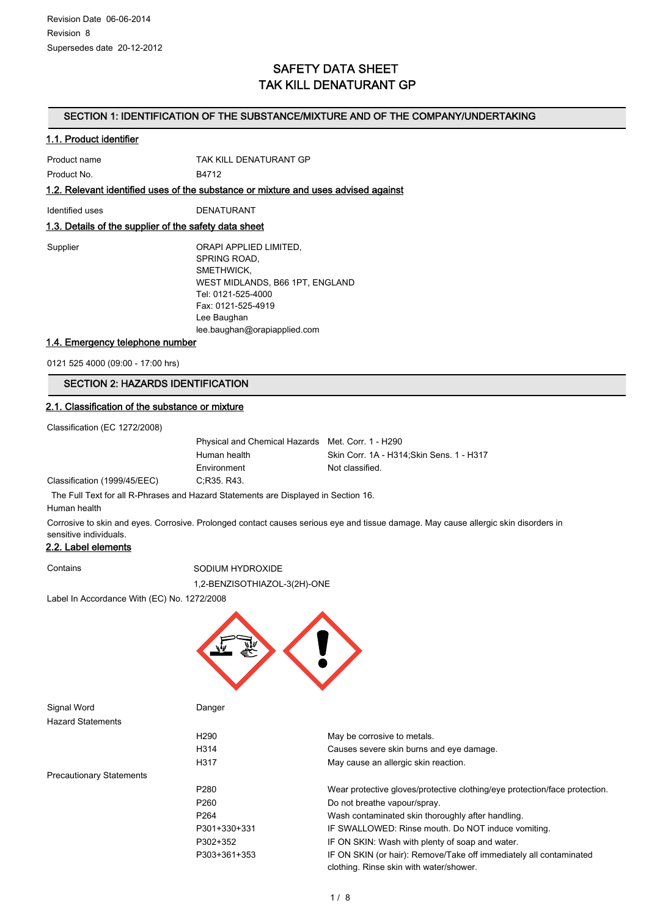## SAFETY DATA SHEET TAK KILL DENATURANT GP

#### SECTION 1: IDENTIFICATION OF THE SUBSTANCE/MIXTURE AND OF THE COMPANY/UNDERTAKING

#### 1.1. Product identifier

| Product name | TAK KILL DENATURANT GP |
|--------------|------------------------|
| Product No.  | B4712                  |

1.2. Relevant identified uses of the substance or mixture and uses advised against

Identified uses DENATURANT

#### 1.3. Details of the supplier of the safety data sheet

| Supplier |  |
|----------|--|
|----------|--|

ORAPI APPLIED LIMITED,

SPRING ROAD, SMETHWICK, WEST MIDLANDS, B66 1PT, ENGLAND Tel: 0121-525-4000 Fax: 0121-525-4919 Lee Baughan lee.baughan@orapiapplied.com

#### 1.4. Emergency telephone number

0121 525 4000 (09:00 - 17:00 hrs)

### SECTION 2: HAZARDS IDENTIFICATION

#### 2.1. Classification of the substance or mixture

Classification (EC 1272/2008)

Classification (1999/45/EEC)

| Physical and Chemical Hazards Met. Corr. 1 - H290 |                                           |
|---------------------------------------------------|-------------------------------------------|
| Human health                                      | Skin Corr. 1A - H314: Skin Sens. 1 - H317 |
| Environment                                       | Not classified.                           |
| C;R35, R43.                                       |                                           |

The Full Text for all R-Phrases and Hazard Statements are Displayed in Section 16.

Human health

Corrosive to skin and eyes. Corrosive. Prolonged contact causes serious eye and tissue damage. May cause allergic skin disorders in sensitive individuals.

#### 2.2. Label elements

#### Contains SODIUM HYDROXIDE

1,2-BENZISOTHIAZOL-3(2H)-ONE

Label In Accordance With (EC) No. 1272/2008



Signal Word **Danger** Hazard Statements H290 May be corrosive to metals. H314 Causes severe skin burns and eye damage. H317 May cause an allergic skin reaction. Precautionary Statements P280 Wear protective gloves/protective clothing/eye protection/face protection. P260 Do not breathe vapour/spray. P264 Wash contaminated skin thoroughly after handling. P301+330+331 IF SWALLOWED: Rinse mouth. Do NOT induce vomiting. P302+352 IF ON SKIN: Wash with plenty of soap and water. P303+361+353 IF ON SKIN (or hair): Remove/Take off immediately all contaminated clothing. Rinse skin with water/shower.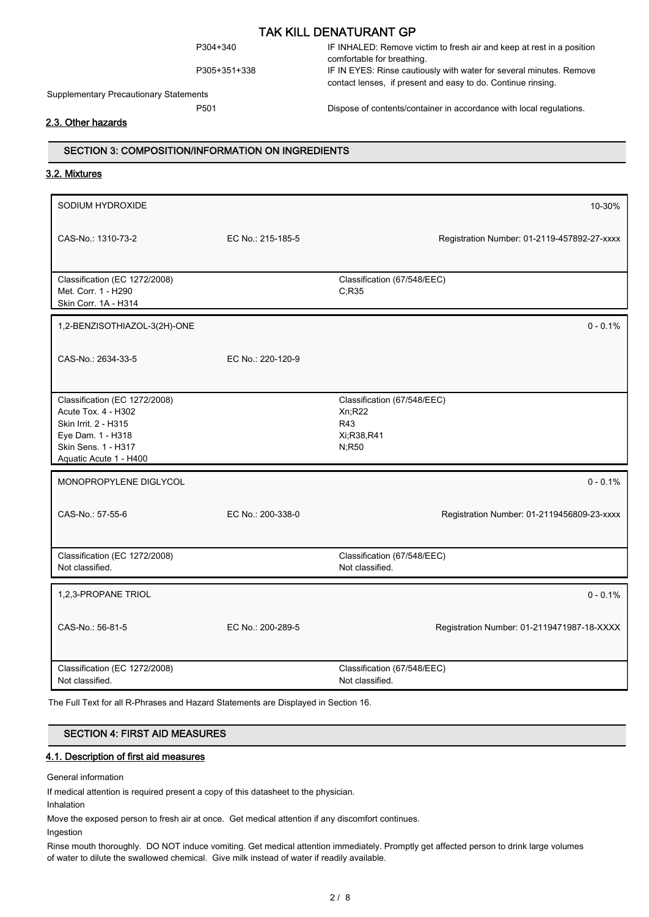Supplementary Precautionary Statements

P304+340 IF INHALED: Remove victim to fresh air and keep at rest in a position comfortable for breathing. P305+351+338 IF IN EYES: Rinse cautiously with water for several minutes. Remove

P501 Dispose of contents/container in accordance with local regulations.

contact lenses, if present and easy to do. Continue rinsing.

#### 2.3. Other hazards

#### SECTION 3: COMPOSITION/INFORMATION ON INGREDIENTS

#### 3.2. Mixtures

| SODIUM HYDROXIDE                                                                                                                                   |                   | 10-30%                                                              |
|----------------------------------------------------------------------------------------------------------------------------------------------------|-------------------|---------------------------------------------------------------------|
| CAS-No.: 1310-73-2                                                                                                                                 | EC No.: 215-185-5 | Registration Number: 01-2119-457892-27-xxxx                         |
| Classification (EC 1272/2008)<br>Met. Corr. 1 - H290<br>Skin Corr. 1A - H314                                                                       |                   | Classification (67/548/EEC)<br>C, R35                               |
| 1,2-BENZISOTHIAZOL-3(2H)-ONE                                                                                                                       |                   | $0 - 0.1%$                                                          |
| CAS-No.: 2634-33-5                                                                                                                                 | EC No.: 220-120-9 |                                                                     |
| Classification (EC 1272/2008)<br>Acute Tox. 4 - H302<br>Skin Irrit. 2 - H315<br>Eye Dam. 1 - H318<br>Skin Sens. 1 - H317<br>Aquatic Acute 1 - H400 |                   | Classification (67/548/EEC)<br>Xn;R22<br>R43<br>Xi;R38,R41<br>N;R50 |
| MONOPROPYLENE DIGLYCOL                                                                                                                             |                   | $0 - 0.1\%$                                                         |
| CAS-No.: 57-55-6                                                                                                                                   | EC No.: 200-338-0 | Registration Number: 01-2119456809-23-xxxx                          |
| Classification (EC 1272/2008)<br>Not classified.                                                                                                   |                   | Classification (67/548/EEC)<br>Not classified.                      |
| 1,2,3-PROPANE TRIOL                                                                                                                                |                   | $0 - 0.1\%$                                                         |
| CAS-No.: 56-81-5                                                                                                                                   | EC No.: 200-289-5 | Registration Number: 01-2119471987-18-XXXX                          |
| Classification (EC 1272/2008)<br>Not classified.                                                                                                   |                   | Classification (67/548/EEC)<br>Not classified.                      |

The Full Text for all R-Phrases and Hazard Statements are Displayed in Section 16.

#### SECTION 4: FIRST AID MEASURES

#### 4.1. Description of first aid measures

General information

If medical attention is required present a copy of this datasheet to the physician.

Inhalation

Move the exposed person to fresh air at once. Get medical attention if any discomfort continues.

Ingestion

Rinse mouth thoroughly. DO NOT induce vomiting. Get medical attention immediately. Promptly get affected person to drink large volumes of water to dilute the swallowed chemical. Give milk instead of water if readily available.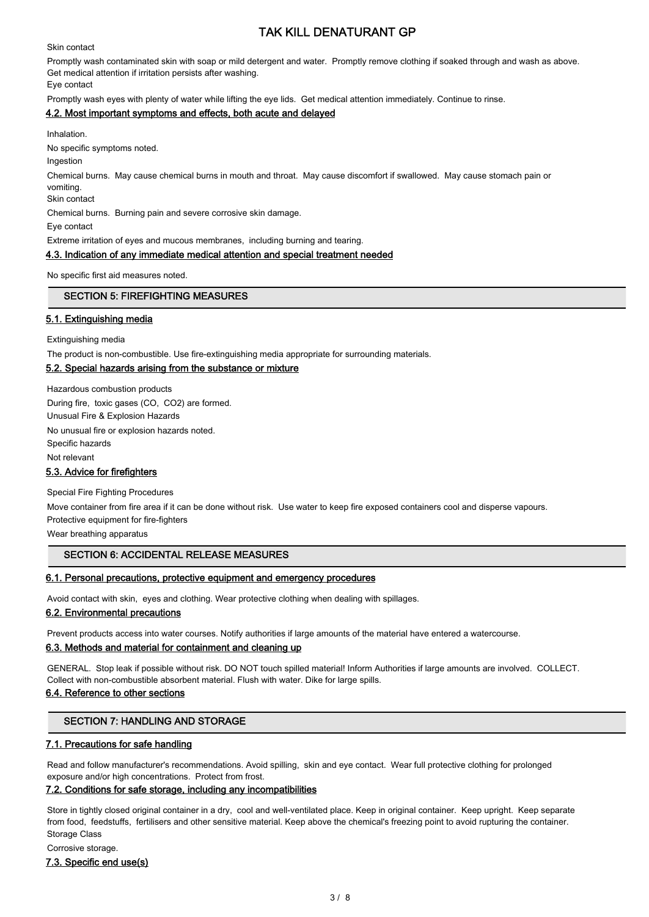Skin contact

Promptly wash contaminated skin with soap or mild detergent and water. Promptly remove clothing if soaked through and wash as above. Get medical attention if irritation persists after washing.

Eye contact

Promptly wash eyes with plenty of water while lifting the eye lids. Get medical attention immediately. Continue to rinse.

#### 4.2. Most important symptoms and effects, both acute and delayed

Inhalation.

No specific symptoms noted.

Ingestion

Chemical burns. May cause chemical burns in mouth and throat. May cause discomfort if swallowed. May cause stomach pain or vomiting.

Skin contact

Chemical burns. Burning pain and severe corrosive skin damage.

Eye contact

Extreme irritation of eyes and mucous membranes, including burning and tearing.

#### 4.3. Indication of any immediate medical attention and special treatment needed

No specific first aid measures noted.

#### SECTION 5: FIREFIGHTING MEASURES

#### 5.1. Extinguishing media

Extinguishing media

The product is non-combustible. Use fire-extinguishing media appropriate for surrounding materials.

#### 5.2. Special hazards arising from the substance or mixture

Hazardous combustion products During fire, toxic gases (CO, CO2) are formed. Unusual Fire & Explosion Hazards No unusual fire or explosion hazards noted. Specific hazards Not relevant 5.3. Advice for firefighters

Special Fire Fighting Procedures

Move container from fire area if it can be done without risk. Use water to keep fire exposed containers cool and disperse vapours. Protective equipment for fire-fighters

Wear breathing apparatus

#### SECTION 6: ACCIDENTAL RELEASE MEASURES

#### 6.1. Personal precautions, protective equipment and emergency procedures

Avoid contact with skin, eyes and clothing. Wear protective clothing when dealing with spillages.

#### 6.2. Environmental precautions

Prevent products access into water courses. Notify authorities if large amounts of the material have entered a watercourse.

#### 6.3. Methods and material for containment and cleaning up

GENERAL. Stop leak if possible without risk. DO NOT touch spilled material! Inform Authorities if large amounts are involved. COLLECT. Collect with non-combustible absorbent material. Flush with water. Dike for large spills.

#### 6.4. Reference to other sections

#### SECTION 7: HANDLING AND STORAGE

#### 7.1. Precautions for safe handling

Read and follow manufacturer's recommendations. Avoid spilling, skin and eye contact. Wear full protective clothing for prolonged exposure and/or high concentrations. Protect from frost.

#### 7.2. Conditions for safe storage, including any incompatibilities

Store in tightly closed original container in a dry, cool and well-ventilated place. Keep in original container. Keep upright. Keep separate from food, feedstuffs, fertilisers and other sensitive material. Keep above the chemical's freezing point to avoid rupturing the container. Storage Class

Corrosive storage.

#### 7.3. Specific end use(s)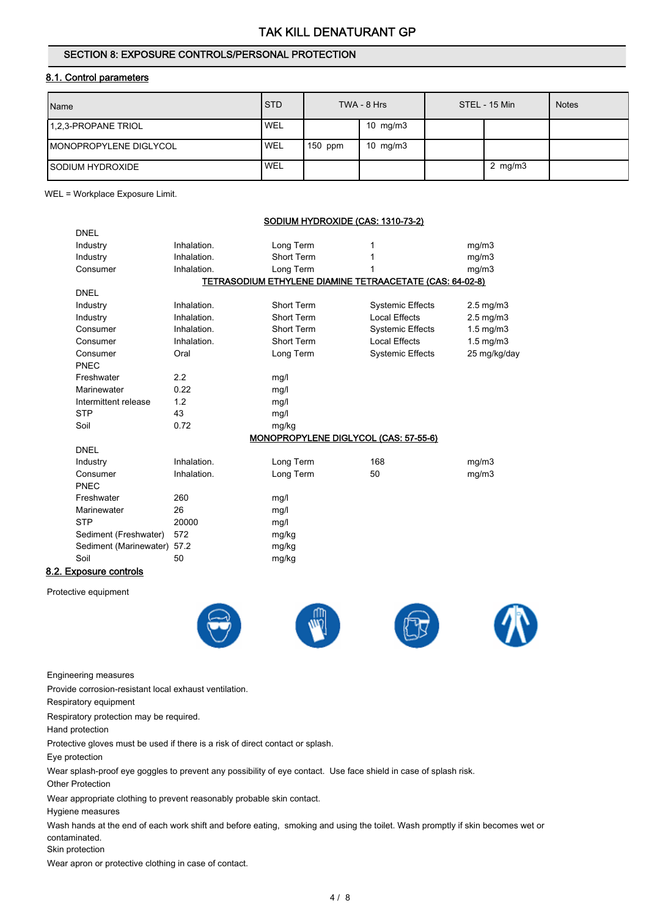#### SECTION 8: EXPOSURE CONTROLS/PERSONAL PROTECTION

#### 8.1. Control parameters

| Name                           | <b>STD</b> |           | TWA - 8 Hrs | STEL - 15 Min | <b>Notes</b> |
|--------------------------------|------------|-----------|-------------|---------------|--------------|
| 1.2.3-PROPANE TRIOL            | ' WEL      |           | 10 $mg/m3$  |               |              |
| <b>IMONOPROPYLENE DIGLYCOL</b> | <b>WEL</b> | $150$ ppm | 10 $mg/m3$  |               |              |
| <b>ISODIUM HYDROXIDE</b>       | <b>WEL</b> |           |             | 2 $mg/m3$     |              |

WEL = Workplace Exposure Limit.

DNEL

#### SODIUM HYDROXIDE (CAS: 1310-73-2)

| Industry               | Inhalation. | Long Term                                                |                         | mg/m3                |
|------------------------|-------------|----------------------------------------------------------|-------------------------|----------------------|
| Industry               | Inhalation. | Short Term                                               |                         | mq/m3                |
| Consumer               | Inhalation. | Long Term                                                |                         | mg/m3                |
|                        |             | TETRASODIUM ETHYLENE DIAMINE TETRAACETATE (CAS: 64-02-8) |                         |                      |
| <b>DNEL</b>            |             |                                                          |                         |                      |
| Industry               | Inhalation. | Short Term                                               | <b>Systemic Effects</b> | $2.5 \text{ mg/m}$ 3 |
| Industry               | Inhalation. | Short Term                                               | Local Effects           | $2.5 \text{ mg/m}$ 3 |
| Consumer               | Inhalation. | Short Term                                               | <b>Systemic Effects</b> | $1.5$ mg/m $3$       |
| Consumer               | Inhalation. | Short Term                                               | <b>Local Effects</b>    | $1.5 \text{ mg/m}$ 3 |
| Consumer               | Oral        | Long Term                                                | <b>Systemic Effects</b> | 25 mg/kg/day         |
| PNEC                   |             |                                                          |                         |                      |
| Freshwater             | 2.2         | mg/l                                                     |                         |                      |
| Marinewater            | 0.22        | mg/l                                                     |                         |                      |
| Intermittent release   | 1.2         | mg/l                                                     |                         |                      |
| <b>STP</b>             | 43          | mg/l                                                     |                         |                      |
| Soil                   | 0.72        | mg/kg                                                    |                         |                      |
|                        |             | <b>MONOPROPYLENE DIGLYCOL (CAS: 57-55-6)</b>             |                         |                      |
| <b>DNEL</b>            |             |                                                          |                         |                      |
| Industry               | Inhalation. | Long Term                                                | 168                     | mg/m3                |
| Consumer               | Inhalation. | Long Term                                                | 50                      | mg/m3                |
| <b>PNEC</b>            |             |                                                          |                         |                      |
| Freshwater             | 260         | mg/l                                                     |                         |                      |
| Marinewater            | 26          | mg/l                                                     |                         |                      |
| <b>STP</b>             | 20000       | mg/l                                                     |                         |                      |
| Sediment (Freshwater)  | 572         | mg/kg                                                    |                         |                      |
| Sediment (Marinewater) | 57.2        | mg/kg                                                    |                         |                      |
| Soil                   | 50          | mg/kg                                                    |                         |                      |
| .aa.usa aantsala       |             |                                                          |                         |                      |

### 8.2. Exposure controls

Protective equipment









Engineering measures

Provide corrosion-resistant local exhaust ventilation.

Respiratory equipment

Respiratory protection may be required.

Hand protection

Protective gloves must be used if there is a risk of direct contact or splash.

Eye protection

Wear splash-proof eye goggles to prevent any possibility of eye contact. Use face shield in case of splash risk.

Other Protection

Wear appropriate clothing to prevent reasonably probable skin contact.

Hygiene measures

Wash hands at the end of each work shift and before eating, smoking and using the toilet. Wash promptly if skin becomes wet or contaminated.

Skin protection

Wear apron or protective clothing in case of contact.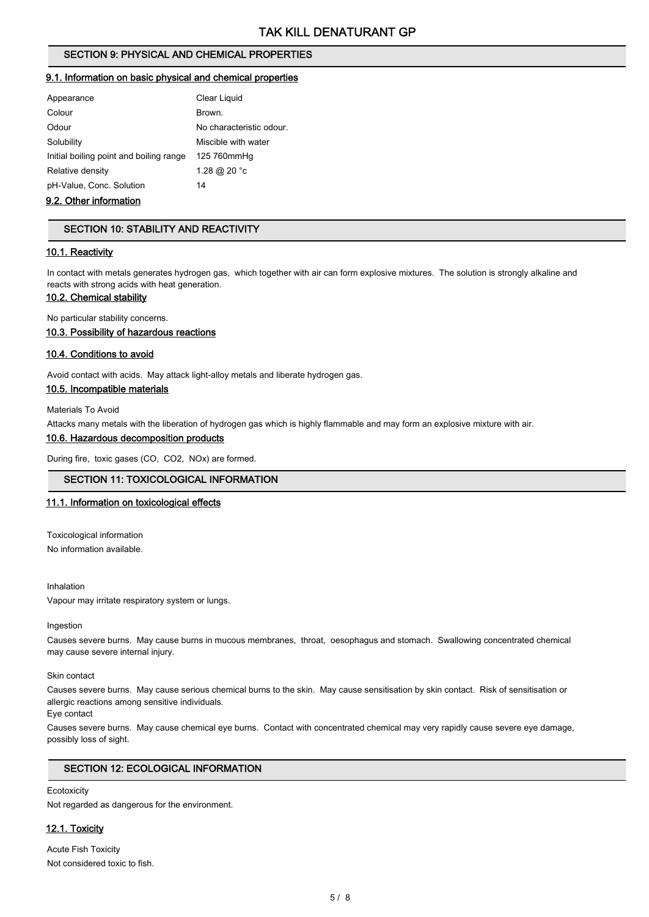#### SECTION 9: PHYSICAL AND CHEMICAL PROPERTIES

#### 9.1. Information on basic physical and chemical properties

| Appearance                              | Clear Liquid             |
|-----------------------------------------|--------------------------|
| Colour                                  | Brown.                   |
| Odour                                   | No characteristic odour. |
| Solubility                              | Miscible with water      |
| Initial boiling point and boiling range | 125 760mmHg              |
| Relative density                        | 1.28 @ 20 °c             |
| pH-Value, Conc. Solution                | 14                       |
|                                         |                          |

#### 9.2. Other information

#### SECTION 10: STABILITY AND REACTIVITY

#### 10.1. Reactivity

In contact with metals generates hydrogen gas, which together with air can form explosive mixtures. The solution is strongly alkaline and reacts with strong acids with heat generation.

#### 10.2. Chemical stability

No particular stability concerns.

#### 10.3. Possibility of hazardous reactions

#### 10.4. Conditions to avoid

Avoid contact with acids. May attack light-alloy metals and liberate hydrogen gas.

#### 10.5. Incompatible materials

Materials To Avoid

Attacks many metals with the liberation of hydrogen gas which is highly flammable and may form an explosive mixture with air.

#### 10.6. Hazardous decomposition products

During fire, toxic gases (CO, CO2, NOx) are formed.

#### SECTION 11: TOXICOLOGICAL INFORMATION

#### 11.1. Information on toxicological effects

Toxicological information No information available.

Inhalation

Vapour may irritate respiratory system or lungs.

#### Ingestion

Causes severe burns. May cause burns in mucous membranes, throat, oesophagus and stomach. Swallowing concentrated chemical may cause severe internal injury.

Skin contact

Causes severe burns. May cause serious chemical burns to the skin. May cause sensitisation by skin contact. Risk of sensitisation or allergic reactions among sensitive individuals.

Eye contact

Causes severe burns. May cause chemical eye burns. Contact with concentrated chemical may very rapidly cause severe eye damage, possibly loss of sight.

#### SECTION 12: ECOLOGICAL INFORMATION

**Ecotoxicity** Not regarded as dangerous for the environment.

#### 12.1. Toxicity

Acute Fish Toxicity Not considered toxic to fish.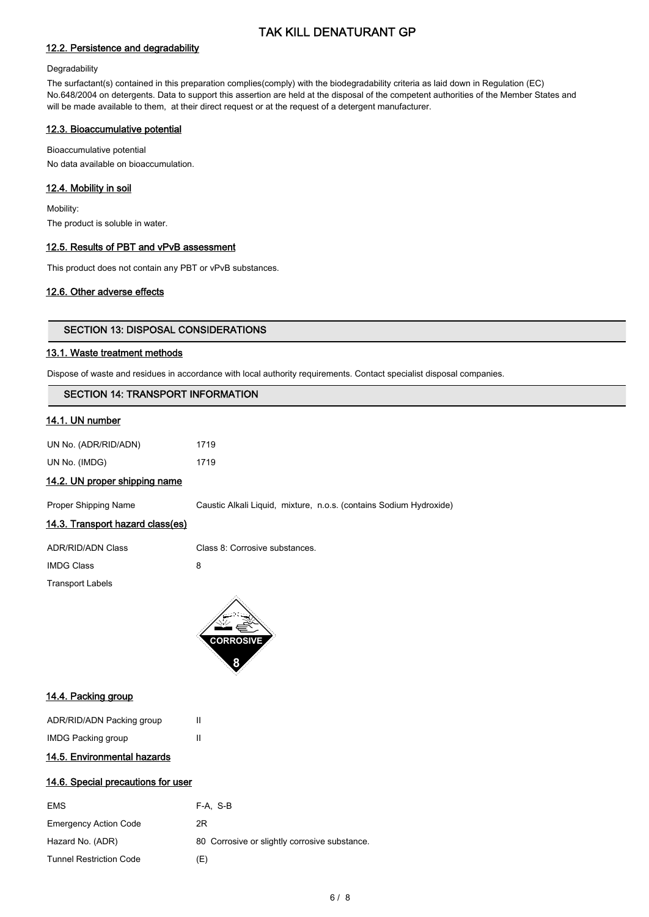#### 12.2. Persistence and degradability

#### **Degradability**

The surfactant(s) contained in this preparation complies(comply) with the biodegradability criteria as laid down in Regulation (EC) No.648/2004 on detergents. Data to support this assertion are held at the disposal of the competent authorities of the Member States and will be made available to them, at their direct request or at the request of a detergent manufacturer.

#### 12.3. Bioaccumulative potential

Bioaccumulative potential No data available on bioaccumulation.

#### 12.4. Mobility in soil

Mobility: The product is soluble in water.

#### 12.5. Results of PBT and vPvB assessment

This product does not contain any PBT or vPvB substances.

#### 12.6. Other adverse effects

#### SECTION 13: DISPOSAL CONSIDERATIONS

#### 13.1. Waste treatment methods

Dispose of waste and residues in accordance with local authority requirements. Contact specialist disposal companies.

#### SECTION 14: TRANSPORT INFORMATION

#### 14.1. UN number

| UN No. (ADR/RID/ADN) | 1719 |
|----------------------|------|
| UN No. (IMDG)        | 1719 |

#### 14.2. UN proper shipping name

Proper Shipping Name Caustic Alkali Liquid, mixture, n.o.s. (contains Sodium Hydroxide)

#### 14.3. Transport hazard class(es)

| <b>ADR/RID/ADN Class</b> | Class 8: Corrosive substances. |
|--------------------------|--------------------------------|
| <b>IMDG Class</b>        | 8                              |
| <b>Transport Labels</b>  |                                |



#### 14.4. Packing group

| ADR/RID/ADN Packing group | Ш |
|---------------------------|---|
| <b>IMDG Packing group</b> | Ш |

#### 14.5. Environmental hazards

#### 14.6. Special precautions for user

| <b>EMS</b>                     | F-A. S-B                                      |
|--------------------------------|-----------------------------------------------|
| <b>Emergency Action Code</b>   | 2R                                            |
| Hazard No. (ADR)               | 80 Corrosive or slightly corrosive substance. |
| <b>Tunnel Restriction Code</b> | (E)                                           |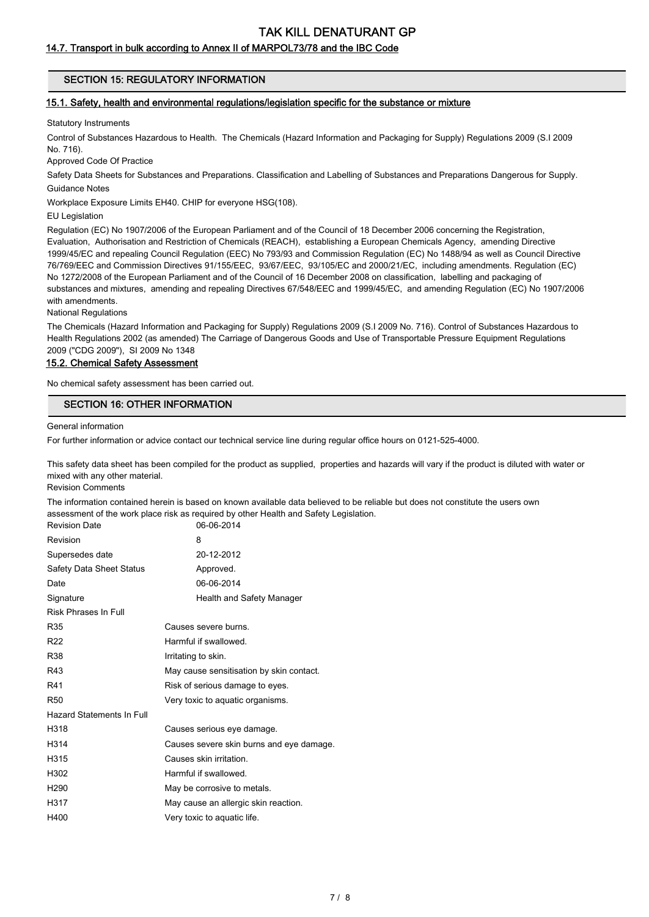#### 14.7. Transport in bulk according to Annex II of MARPOL73/78 and the IBC Code

#### SECTION 15: REGULATORY INFORMATION

#### 15.1. Safety, health and environmental regulations/legislation specific for the substance or mixture

Statutory Instruments

Control of Substances Hazardous to Health. The Chemicals (Hazard Information and Packaging for Supply) Regulations 2009 (S.I 2009 No. 716).

Approved Code Of Practice

Safety Data Sheets for Substances and Preparations. Classification and Labelling of Substances and Preparations Dangerous for Supply. Guidance Notes

Workplace Exposure Limits EH40. CHIP for everyone HSG(108).

EU Legislation

Regulation (EC) No 1907/2006 of the European Parliament and of the Council of 18 December 2006 concerning the Registration, Evaluation, Authorisation and Restriction of Chemicals (REACH), establishing a European Chemicals Agency, amending Directive 1999/45/EC and repealing Council Regulation (EEC) No 793/93 and Commission Regulation (EC) No 1488/94 as well as Council Directive 76/769/EEC and Commission Directives 91/155/EEC, 93/67/EEC, 93/105/EC and 2000/21/EC, including amendments. Regulation (EC) No 1272/2008 of the European Parliament and of the Council of 16 December 2008 on classification, labelling and packaging of substances and mixtures, amending and repealing Directives 67/548/EEC and 1999/45/EC, and amending Regulation (EC) No 1907/2006 with amendments.

National Regulations

The Chemicals (Hazard Information and Packaging for Supply) Regulations 2009 (S.I 2009 No. 716). Control of Substances Hazardous to Health Regulations 2002 (as amended) The Carriage of Dangerous Goods and Use of Transportable Pressure Equipment Regulations 2009 ("CDG 2009"), SI 2009 No 1348

#### 15.2. Chemical Safety Assessment

No chemical safety assessment has been carried out.

#### SECTION 16: OTHER INFORMATION

General information

For further information or advice contact our technical service line during regular office hours on 0121-525-4000.

This safety data sheet has been compiled for the product as supplied, properties and hazards will vary if the product is diluted with water or mixed with any other material.

Revision Comments

The information contained herein is based on known available data believed to be reliable but does not constitute the users own assessment of the work place risk as required by other Health and Safety Legislation.

| <b>Revision Date</b>      | 06-06-2014                               |
|---------------------------|------------------------------------------|
| Revision                  | 8                                        |
| Supersedes date           | 20-12-2012                               |
| Safety Data Sheet Status  | Approved.                                |
| Date                      | 06-06-2014                               |
| Signature                 | Health and Safety Manager                |
| Risk Phrases In Full      |                                          |
| R35                       | Causes severe burns.                     |
| R22                       | Harmful if swallowed.                    |
| R38                       | Irritating to skin.                      |
| R43                       | May cause sensitisation by skin contact. |
| R41                       | Risk of serious damage to eyes.          |
| R50                       | Very toxic to aquatic organisms.         |
| Hazard Statements In Full |                                          |
| H318                      | Causes serious eye damage.               |
| H314                      | Causes severe skin burns and eye damage. |
| H315                      | Causes skin irritation.                  |
| H302                      | Harmful if swallowed.                    |
| H290                      | May be corrosive to metals.              |
| H317                      | May cause an allergic skin reaction.     |
| H400                      | Very toxic to aquatic life.              |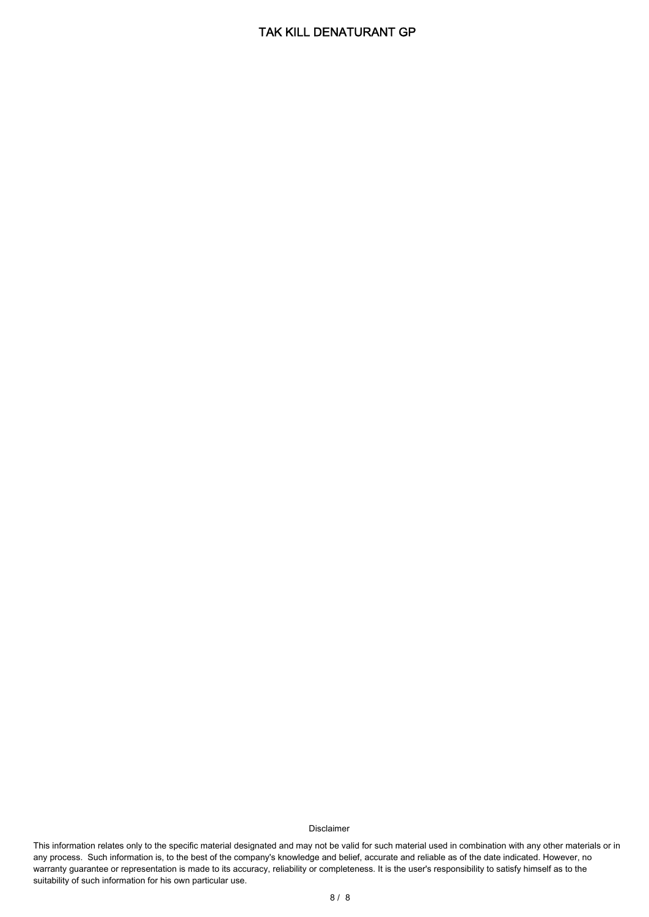#### Disclaimer

This information relates only to the specific material designated and may not be valid for such material used in combination with any other materials or in any process. Such information is, to the best of the company's knowledge and belief, accurate and reliable as of the date indicated. However, no warranty guarantee or representation is made to its accuracy, reliability or completeness. It is the user's responsibility to satisfy himself as to the suitability of such information for his own particular use.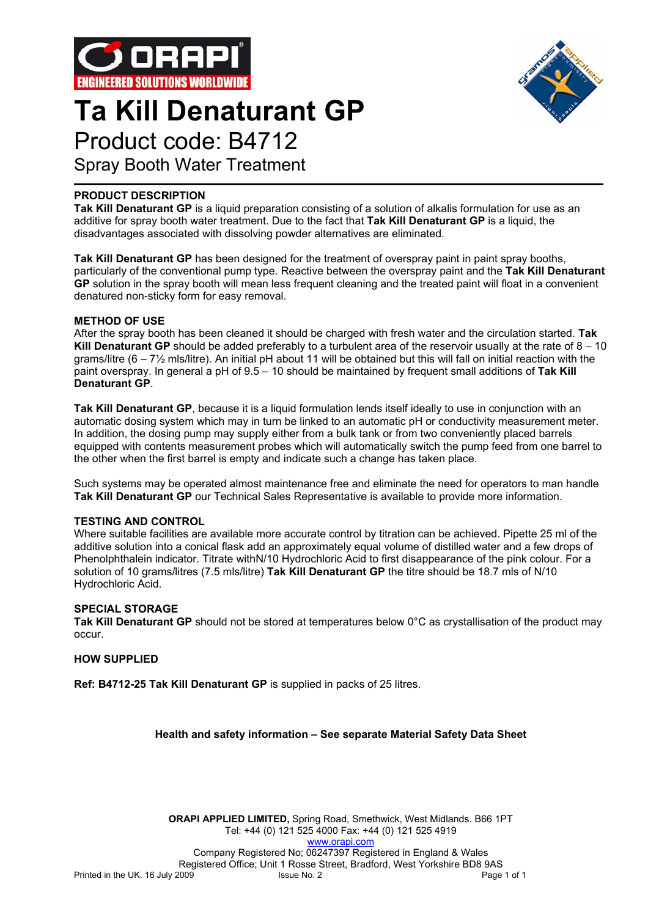

## **Ta Kill Denaturant GP**



## Product code: B4712

Spray Booth Water Treatment

## **PRODUCT DESCRIPTION**

**Tak Kill Denaturant GP** is a liquid preparation consisting of a solution of alkalis formulation for use as an additive for spray booth water treatment. Due to the fact that **Tak Kill Denaturant GP** is a liquid, the disadvantages associated with dissolving powder alternatives are eliminated.

**Tak Kill Denaturant GP** has been designed for the treatment of overspray paint in paint spray booths, particularly of the conventional pump type. Reactive between the overspray paint and the **Tak Kill Denaturant GP** solution in the spray booth will mean less frequent cleaning and the treated paint will float in a convenient denatured non-sticky form for easy removal.

### **METHOD OF USE**

After the spray booth has been cleaned it should be charged with fresh water and the circulation started. **Tak Kill Denaturant GP** should be added preferably to a turbulent area of the reservoir usually at the rate of 8 – 10 grams/litre  $(6 - 7\frac{1}{2}$  mls/litre). An initial pH about 11 will be obtained but this will fall on initial reaction with the paint overspray. In general a pH of 9.5 – 10 should be maintained by frequent small additions of **Tak Kill Denaturant GP**.

**Tak Kill Denaturant GP**, because it is a liquid formulation lends itself ideally to use in conjunction with an automatic dosing system which may in turn be linked to an automatic pH or conductivity measurement meter. In addition, the dosing pump may supply either from a bulk tank or from two conveniently placed barrels equipped with contents measurement probes which will automatically switch the pump feed from one barrel to the other when the first barrel is empty and indicate such a change has taken place.

Such systems may be operated almost maintenance free and eliminate the need for operators to man handle **Tak Kill Denaturant GP** our Technical Sales Representative is available to provide more information.

## **TESTING AND CONTROL**

Where suitable facilities are available more accurate control by titration can be achieved. Pipette 25 ml of the additive solution into a conical flask add an approximately equal volume of distilled water and a few drops of Phenolphthalein indicator. Titrate withN/10 Hydrochloric Acid to first disappearance of the pink colour. For a solution of 10 grams/litres (7.5 mls/litre) **Tak Kill Denaturant GP** the titre should be 18.7 mls of N/10 Hydrochloric Acid.

#### **SPECIAL STORAGE**

**Tak Kill Denaturant GP** should not be stored at temperatures below 0°C as crystallisation of the product may occur.

## **HOW SUPPLIED**

**Ref: B4712-25 Tak Kill Denaturant GP** is supplied in packs of 25 litres.

## **Health and safety information – See separate Material Safety Data Sheet**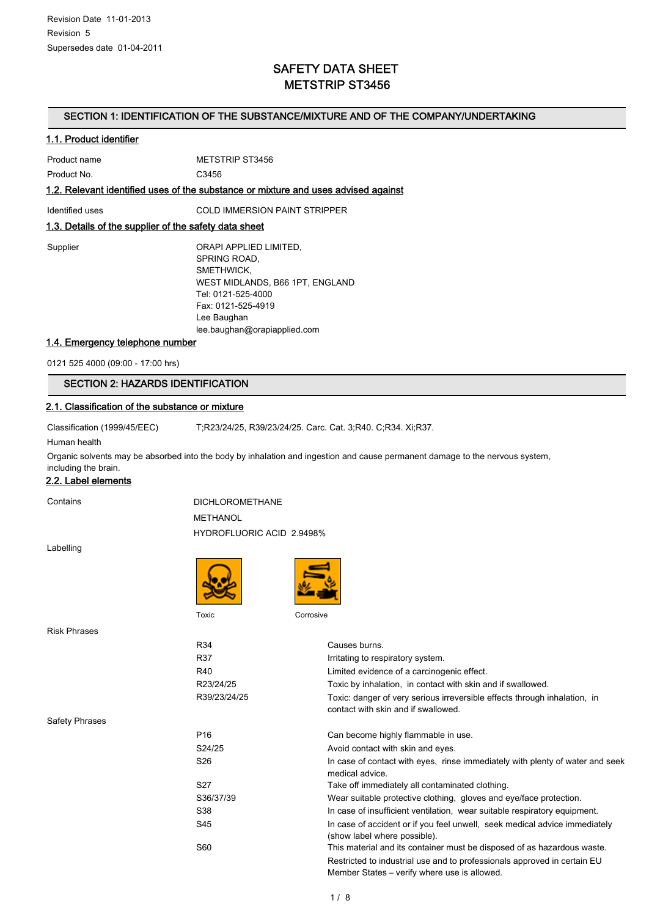## SAFETY DATA SHEET METSTRIP ST3456

#### SECTION 1: IDENTIFICATION OF THE SUBSTANCE/MIXTURE AND OF THE COMPANY/UNDERTAKING

#### 1.1. Product identifier

| Product name | METSTRIP ST3456 |
|--------------|-----------------|
| Product No.  | C3456           |

#### 1.2. Relevant identified uses of the substance or mixture and uses advised against

Identified uses COLD IMMERSION PAINT STRIPPER

#### 1.3. Details of the supplier of the safety data sheet

| Supplier | ORAPI APPLIED LIMITED,          |
|----------|---------------------------------|
|          | SPRING ROAD,                    |
|          | SMETHWICK.                      |
|          | WEST MIDLANDS, B66 1PT, ENGLAND |
|          | Tel: 0121-525-4000              |
|          | Fax: 0121-525-4919              |
|          | Lee Baughan                     |
|          | lee.baughan@orapiapplied.com    |

#### 1.4. Emergency telephone number

0121 525 4000 (09:00 - 17:00 hrs)

## SECTION 2: HAZARDS IDENTIFICATION

#### 2.1. Classification of the substance or mixture

Classification (1999/45/EEC) T;R23/24/25, R39/23/24/25. Carc. Cat. 3;R40. C;R34. Xi;R37.

Human health

Organic solvents may be absorbed into the body by inhalation and ingestion and cause permanent damage to the nervous system, including the brain.

#### 2.2. Label elements

Contains DICHLOROMETHANE METHANOL HYDROFLUORIC ACID 2.9498%

Labelling





Risk Phrases

|                       | R34<br>R37<br>R40<br>R23/24/25<br>R39/23/24/25 | Causes burns.<br>Irritating to respiratory system.<br>Limited evidence of a carcinogenic effect.<br>Toxic by inhalation, in contact with skin and if swallowed.<br>Toxic: danger of very serious irreversible effects through inhalation, in |
|-----------------------|------------------------------------------------|----------------------------------------------------------------------------------------------------------------------------------------------------------------------------------------------------------------------------------------------|
|                       |                                                | contact with skin and if swallowed.                                                                                                                                                                                                          |
| <b>Safety Phrases</b> |                                                |                                                                                                                                                                                                                                              |
|                       | P <sub>16</sub>                                | Can become highly flammable in use.                                                                                                                                                                                                          |
|                       | S24/25                                         | Avoid contact with skin and eyes.                                                                                                                                                                                                            |
|                       | S26                                            | In case of contact with eyes, rinse immediately with plenty of water and seek<br>medical advice.                                                                                                                                             |
|                       | S <sub>27</sub>                                | Take off immediately all contaminated clothing.                                                                                                                                                                                              |
|                       | S36/37/39                                      | Wear suitable protective clothing, gloves and eye/face protection.                                                                                                                                                                           |
|                       | S38                                            | In case of insufficient ventilation, wear suitable respiratory equipment.                                                                                                                                                                    |
|                       | S45                                            | In case of accident or if you feel unwell, seek medical advice immediately<br>(show label where possible).                                                                                                                                   |
|                       | S60                                            | This material and its container must be disposed of as hazardous waste.                                                                                                                                                                      |
|                       |                                                | Restricted to industrial use and to professionals approved in certain EU<br>Member States – verify where use is allowed.                                                                                                                     |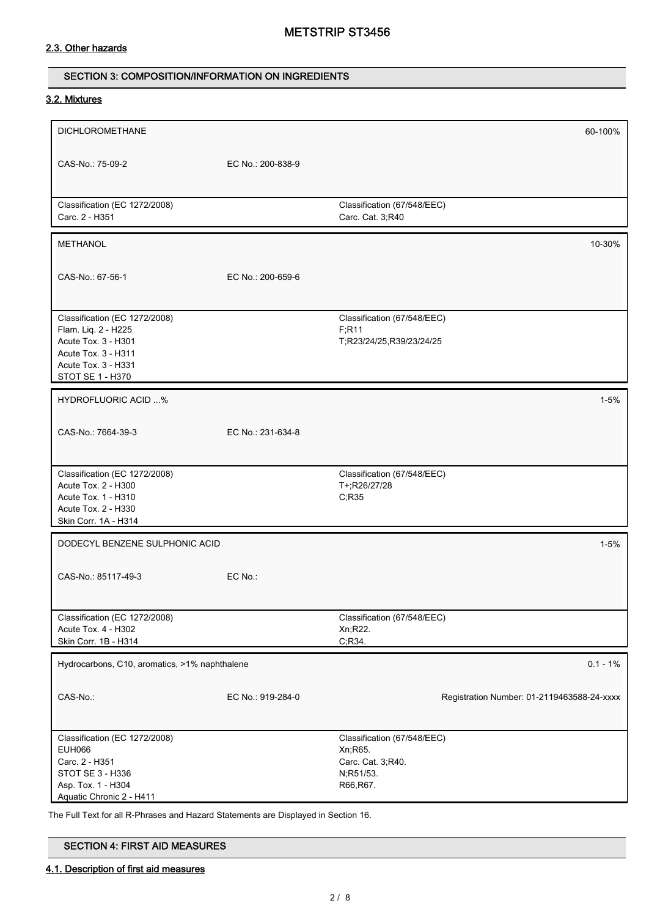### 2.3. Other hazards

#### SECTION 3: COMPOSITION/INFORMATION ON INGREDIENTS

#### 3.2. Mixtures

| <b>DICHLOROMETHANE</b>                                                                                                                        |                   |                                                                                        | 60-100%                                    |
|-----------------------------------------------------------------------------------------------------------------------------------------------|-------------------|----------------------------------------------------------------------------------------|--------------------------------------------|
| CAS-No.: 75-09-2                                                                                                                              | EC No.: 200-838-9 |                                                                                        |                                            |
| Classification (EC 1272/2008)<br>Carc. 2 - H351                                                                                               |                   | Classification (67/548/EEC)<br>Carc. Cat. 3;R40                                        |                                            |
| <b>METHANOL</b>                                                                                                                               |                   |                                                                                        | 10-30%                                     |
| CAS-No.: 67-56-1                                                                                                                              | EC No.: 200-659-6 |                                                                                        |                                            |
| Classification (EC 1272/2008)<br>Flam. Liq. 2 - H225<br>Acute Tox. 3 - H301<br>Acute Tox. 3 - H311<br>Acute Tox. 3 - H331<br>STOT SE 1 - H370 |                   | Classification (67/548/EEC)<br>F; R11<br>T;R23/24/25,R39/23/24/25                      |                                            |
| <b>HYDROFLUORIC ACID %</b>                                                                                                                    |                   |                                                                                        | $1 - 5%$                                   |
| CAS-No.: 7664-39-3                                                                                                                            | EC No.: 231-634-8 |                                                                                        |                                            |
| Classification (EC 1272/2008)<br>Acute Tox. 2 - H300<br>Acute Tox. 1 - H310<br>Acute Tox. 2 - H330<br>Skin Corr. 1A - H314                    |                   | Classification (67/548/EEC)<br>T+;R26/27/28<br>C;R35                                   |                                            |
| DODECYL BENZENE SULPHONIC ACID                                                                                                                |                   |                                                                                        | $1 - 5%$                                   |
| CAS-No.: 85117-49-3                                                                                                                           | EC No.:           |                                                                                        |                                            |
| Classification (EC 1272/2008)<br>Acute Tox. 4 - H302<br>Skin Corr. 1B - H314                                                                  |                   | Classification (67/548/EEC)<br>Xn; R22.<br>C, R34.                                     |                                            |
| Hydrocarbons, C10, aromatics, >1% naphthalene                                                                                                 |                   |                                                                                        | $0.1 - 1\%$                                |
| CAS-No.:                                                                                                                                      | EC No.: 919-284-0 |                                                                                        | Registration Number: 01-2119463588-24-xxxx |
| Classification (EC 1272/2008)<br><b>EUH066</b><br>Carc. 2 - H351<br>STOT SE 3 - H336<br>Asp. Tox. 1 - H304<br>Aquatic Chronic 2 - H411        |                   | Classification (67/548/EEC)<br>Xn; R65.<br>Carc. Cat. 3;R40.<br>N;R51/53.<br>R66, R67. |                                            |

The Full Text for all R-Phrases and Hazard Statements are Displayed in Section 16.

| <b>SECTION 4: FIRST AID MEASURES</b> |
|--------------------------------------|
|--------------------------------------|

#### 4.1. Description of first aid measures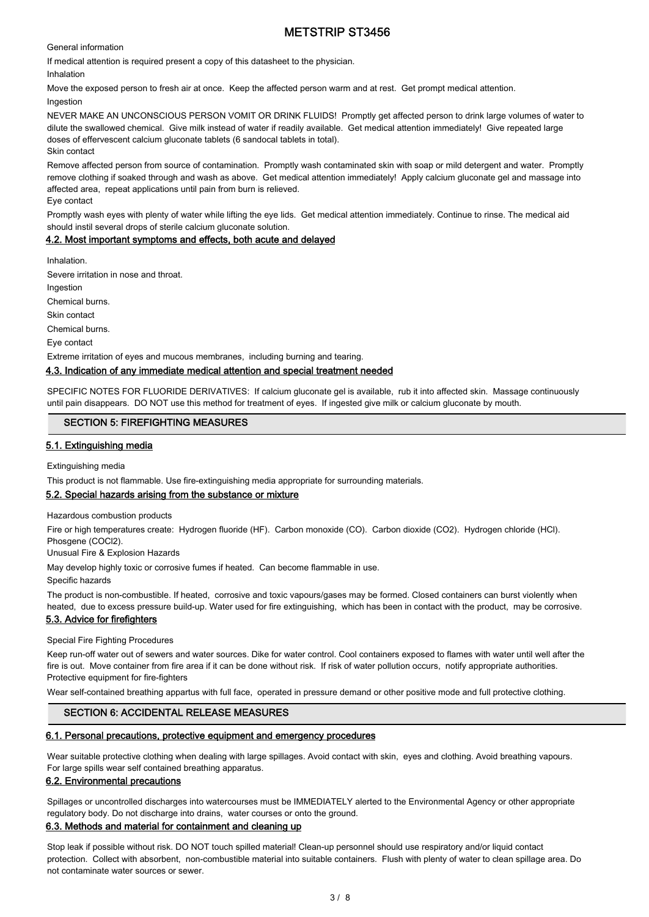General information

If medical attention is required present a copy of this datasheet to the physician.

Inhalation

Move the exposed person to fresh air at once. Keep the affected person warm and at rest. Get prompt medical attention. Ingestion

NEVER MAKE AN UNCONSCIOUS PERSON VOMIT OR DRINK FLUIDS! Promptly get affected person to drink large volumes of water to dilute the swallowed chemical. Give milk instead of water if readily available. Get medical attention immediately! Give repeated large doses of effervescent calcium gluconate tablets (6 sandocal tablets in total). Skin contact

Remove affected person from source of contamination. Promptly wash contaminated skin with soap or mild detergent and water. Promptly remove clothing if soaked through and wash as above. Get medical attention immediately! Apply calcium gluconate gel and massage into affected area, repeat applications until pain from burn is relieved.

Eye contact

Promptly wash eyes with plenty of water while lifting the eye lids. Get medical attention immediately. Continue to rinse. The medical aid should instil several drops of sterile calcium gluconate solution.

#### 4.2. Most important symptoms and effects, both acute and delayed

Inhalation.

Severe irritation in nose and throat.

Ingestion

Chemical burns.

Skin contact

Chemical burns.

Eye contact

Extreme irritation of eyes and mucous membranes, including burning and tearing.

#### 4.3. Indication of any immediate medical attention and special treatment needed

SPECIFIC NOTES FOR FLUORIDE DERIVATIVES: If calcium gluconate gel is available, rub it into affected skin. Massage continuously until pain disappears. DO NOT use this method for treatment of eyes. If ingested give milk or calcium gluconate by mouth.

#### SECTION 5: FIREFIGHTING MEASURES

#### 5.1. Extinguishing media

Extinguishing media

This product is not flammable. Use fire-extinguishing media appropriate for surrounding materials.

#### 5.2. Special hazards arising from the substance or mixture

Hazardous combustion products

Fire or high temperatures create: Hydrogen fluoride (HF). Carbon monoxide (CO). Carbon dioxide (CO2). Hydrogen chloride (HCl). Phosgene (COCl2).

Unusual Fire & Explosion Hazards

May develop highly toxic or corrosive fumes if heated. Can become flammable in use.

Specific hazards

The product is non-combustible. If heated, corrosive and toxic vapours/gases may be formed. Closed containers can burst violently when heated, due to excess pressure build-up. Water used for fire extinguishing, which has been in contact with the product, may be corrosive.

#### 5.3. Advice for firefighters

Special Fire Fighting Procedures

Keep run-off water out of sewers and water sources. Dike for water control. Cool containers exposed to flames with water until well after the fire is out. Move container from fire area if it can be done without risk. If risk of water pollution occurs, notify appropriate authorities. Protective equipment for fire-fighters

Wear self-contained breathing appartus with full face, operated in pressure demand or other positive mode and full protective clothing.

#### SECTION 6: ACCIDENTAL RELEASE MEASURES

#### 6.1. Personal precautions, protective equipment and emergency procedures

Wear suitable protective clothing when dealing with large spillages. Avoid contact with skin, eyes and clothing. Avoid breathing vapours. For large spills wear self contained breathing apparatus.

#### 6.2. Environmental precautions

Spillages or uncontrolled discharges into watercourses must be IMMEDIATELY alerted to the Environmental Agency or other appropriate regulatory body. Do not discharge into drains, water courses or onto the ground.

#### 6.3. Methods and material for containment and cleaning up

Stop leak if possible without risk. DO NOT touch spilled material! Clean-up personnel should use respiratory and/or liquid contact protection. Collect with absorbent, non-combustible material into suitable containers. Flush with plenty of water to clean spillage area. Do not contaminate water sources or sewer.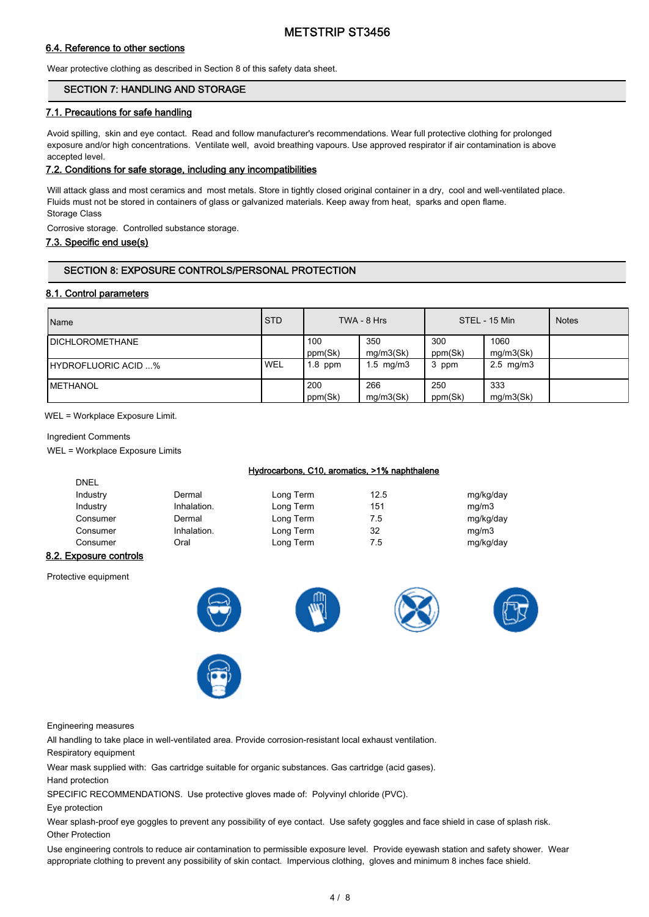#### 6.4. Reference to other sections

Wear protective clothing as described in Section 8 of this safety data sheet.

#### SECTION 7: HANDLING AND STORAGE

#### 7.1. Precautions for safe handling

Avoid spilling, skin and eye contact. Read and follow manufacturer's recommendations. Wear full protective clothing for prolonged exposure and/or high concentrations. Ventilate well, avoid breathing vapours. Use approved respirator if air contamination is above accepted level.

#### 7.2. Conditions for safe storage, including any incompatibilities

Will attack glass and most ceramics and most metals. Store in tightly closed original container in a dry, cool and well-ventilated place. Fluids must not be stored in containers of glass or galvanized materials. Keep away from heat, sparks and open flame. Storage Class

Corrosive storage. Controlled substance storage.

#### 7.3. Specific end use(s)

#### SECTION 8: EXPOSURE CONTROLS/PERSONAL PROTECTION

#### 8.1. Control parameters

| Name                        | <b>STD</b> |                | TWA - 8 Hrs      |                | STEL - 15 Min          | <b>Notes</b> |
|-----------------------------|------------|----------------|------------------|----------------|------------------------|--------------|
| <b>IDICHLOROMETHANE</b>     |            | 100<br>ppm(Sk) | 350<br>mq/m3(Sk) | 300<br>ppm(Sk) | 1060<br>mg/m3(Sk)      |              |
| <b>IHYDROFLUORIC ACID %</b> | ' WEL      | $1.8$ ppm      | $1.5$ mg/m $3$   | ppm            | $2.5 \, \text{mg/m}$ 3 |              |
| <b>IMETHANOL</b>            |            | 200<br>ppm(Sk) | 266<br>mq/m3(Sk) | 250<br>ppm(Sk) | 333<br>mg/m3(Sk)       |              |

WEL = Workplace Exposure Limit.

#### Ingredient Comments

DNEL

WEL = Workplace Exposure Limits

#### Hydrocarbons, C10, aromatics, >1% naphthalene

| -----    |             |           |      |           |
|----------|-------------|-----------|------|-----------|
| Industry | Dermal      | Long Term | 12.5 | mg/kg/day |
| Industry | Inhalation. | Long Term | 151  | mq/m3     |
| Consumer | Dermal      | Long Term | 7.5  | mg/kg/day |
| Consumer | Inhalation. | Long Term | 32   | mg/m3     |
| Consumer | Oral        | Long Term | 7.5  | mg/kg/day |
|          |             |           |      |           |

#### 8.2. Exposure controls

Protective equipment







Engineering measures

All handling to take place in well-ventilated area. Provide corrosion-resistant local exhaust ventilation.

Respiratory equipment

Wear mask supplied with: Gas cartridge suitable for organic substances. Gas cartridge (acid gases).

Hand protection

SPECIFIC RECOMMENDATIONS. Use protective gloves made of: Polyvinyl chloride (PVC).

Eye protection

Wear splash-proof eye goggles to prevent any possibility of eye contact. Use safety goggles and face shield in case of splash risk. Other Protection

Use engineering controls to reduce air contamination to permissible exposure level. Provide eyewash station and safety shower. Wear appropriate clothing to prevent any possibility of skin contact. Impervious clothing, gloves and minimum 8 inches face shield.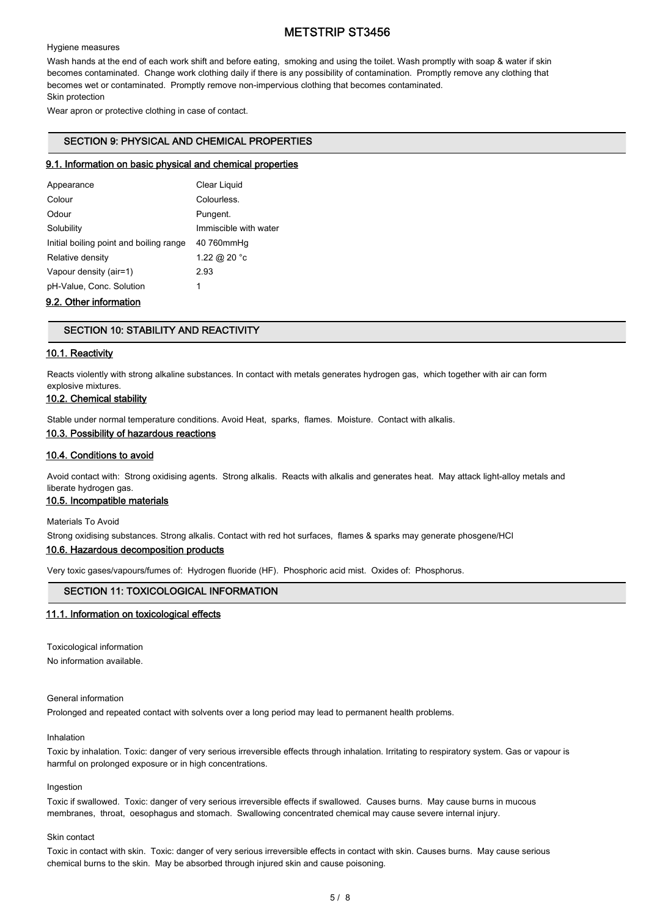#### Hygiene measures

Wash hands at the end of each work shift and before eating, smoking and using the toilet. Wash promptly with soap & water if skin becomes contaminated. Change work clothing daily if there is any possibility of contamination. Promptly remove any clothing that becomes wet or contaminated. Promptly remove non-impervious clothing that becomes contaminated. Skin protection

Wear apron or protective clothing in case of contact.

#### SECTION 9: PHYSICAL AND CHEMICAL PROPERTIES

#### 9.1. Information on basic physical and chemical properties

| Appearance                              | Clear Liquid          |
|-----------------------------------------|-----------------------|
| Colour                                  | Colourless.           |
| Odour                                   | Pungent.              |
| Solubility                              | Immiscible with water |
| Initial boiling point and boiling range | 40 760mmHg            |
| Relative density                        | 1.22 @ 20 °c          |
| Vapour density (air=1)                  | 2.93                  |
| pH-Value, Conc. Solution                | 1                     |

#### 9.2. Other information

#### SECTION 10: STABILITY AND REACTIVITY

#### 10.1. Reactivity

Reacts violently with strong alkaline substances. In contact with metals generates hydrogen gas, which together with air can form explosive mixtures.

## 10.2. Chemical stability

Stable under normal temperature conditions. Avoid Heat, sparks, flames. Moisture. Contact with alkalis.

10.3. Possibility of hazardous reactions

#### 10.4. Conditions to avoid

Avoid contact with: Strong oxidising agents. Strong alkalis. Reacts with alkalis and generates heat. May attack light-alloy metals and liberate hydrogen gas.

#### 10.5. Incompatible materials

Materials To Avoid

Strong oxidising substances. Strong alkalis. Contact with red hot surfaces, flames & sparks may generate phosgene/HCl

#### 10.6. Hazardous decomposition products

Very toxic gases/vapours/fumes of: Hydrogen fluoride (HF). Phosphoric acid mist. Oxides of: Phosphorus.

#### SECTION 11: TOXICOLOGICAL INFORMATION

#### 11.1. Information on toxicological effects

Toxicological information

No information available.

#### General information

Prolonged and repeated contact with solvents over a long period may lead to permanent health problems.

#### Inhalation

Toxic by inhalation. Toxic: danger of very serious irreversible effects through inhalation. Irritating to respiratory system. Gas or vapour is harmful on prolonged exposure or in high concentrations.

#### Ingestion

Toxic if swallowed. Toxic: danger of very serious irreversible effects if swallowed. Causes burns. May cause burns in mucous membranes, throat, oesophagus and stomach. Swallowing concentrated chemical may cause severe internal injury.

#### Skin contact

Toxic in contact with skin. Toxic: danger of very serious irreversible effects in contact with skin. Causes burns. May cause serious chemical burns to the skin. May be absorbed through injured skin and cause poisoning.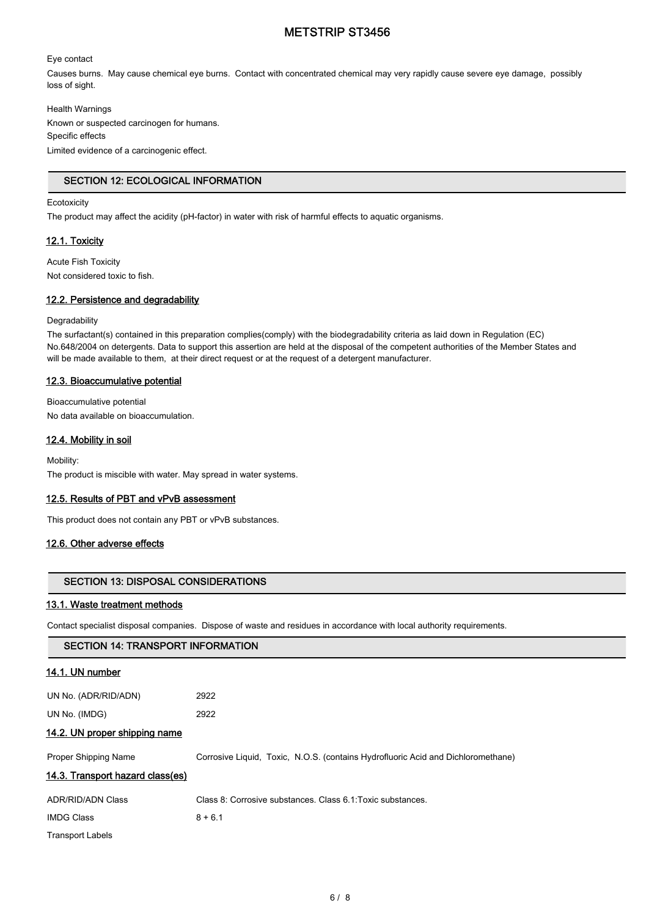#### Eye contact

Causes burns. May cause chemical eye burns. Contact with concentrated chemical may very rapidly cause severe eye damage, possibly loss of sight.

Health Warnings

Known or suspected carcinogen for humans. Specific effects Limited evidence of a carcinogenic effect.

#### SECTION 12: ECOLOGICAL INFORMATION

#### **Ecotoxicity**

The product may affect the acidity (pH-factor) in water with risk of harmful effects to aquatic organisms.

#### 12.1. Toxicity

Acute Fish Toxicity Not considered toxic to fish.

#### 12.2. Persistence and degradability

#### **Degradability**

The surfactant(s) contained in this preparation complies(comply) with the biodegradability criteria as laid down in Regulation (EC) No.648/2004 on detergents. Data to support this assertion are held at the disposal of the competent authorities of the Member States and will be made available to them, at their direct request or at the request of a detergent manufacturer.

#### 12.3. Bioaccumulative potential

Bioaccumulative potential

No data available on bioaccumulation.

#### 12.4. Mobility in soil

Mobility:

The product is miscible with water. May spread in water systems.

#### 12.5. Results of PBT and vPvB assessment

This product does not contain any PBT or vPvB substances.

#### 12.6. Other adverse effects

#### SECTION 13: DISPOSAL CONSIDERATIONS

#### 13.1. Waste treatment methods

Contact specialist disposal companies. Dispose of waste and residues in accordance with local authority requirements.

| <b>SECTION 14: TRANSPORT INFORMATION</b> |                                                                                  |  |
|------------------------------------------|----------------------------------------------------------------------------------|--|
| <u>14.1. UN number</u>                   |                                                                                  |  |
| UN No. (ADR/RID/ADN)                     | 2922                                                                             |  |
| UN No. (IMDG)                            | 2922                                                                             |  |
| 14.2. UN proper shipping name            |                                                                                  |  |
| Proper Shipping Name                     | Corrosive Liquid, Toxic, N.O.S. (contains Hydrofluoric Acid and Dichloromethane) |  |
| 14.3. Transport hazard class(es)         |                                                                                  |  |
| <b>ADR/RID/ADN Class</b>                 | Class 8: Corrosive substances. Class 6.1: Toxic substances.                      |  |
| <b>IMDG Class</b>                        | $8 + 6.1$                                                                        |  |
| <b>Transport Labels</b>                  |                                                                                  |  |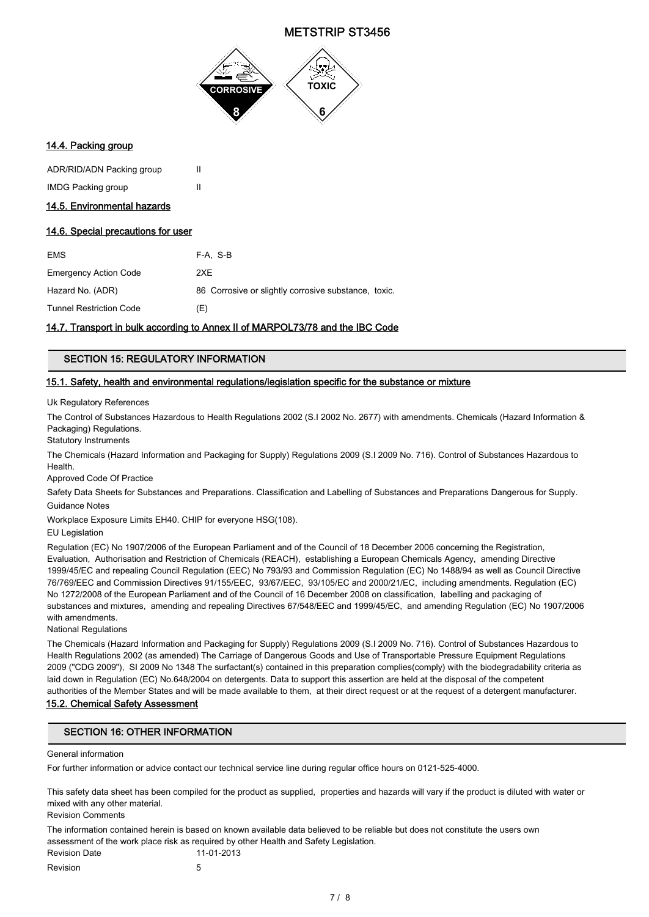

#### 14.4. Packing group

| ADR/RID/ADN Packing group | Ш |
|---------------------------|---|
| <b>IMDG Packing group</b> | Ш |

#### 14.5. Environmental hazards

#### 14.6. Special precautions for user

| <b>EMS</b>                     | F-A. S-B                                             |
|--------------------------------|------------------------------------------------------|
| <b>Emergency Action Code</b>   | 2XE                                                  |
| Hazard No. (ADR)               | 86 Corrosive or slightly corrosive substance, toxic. |
| <b>Tunnel Restriction Code</b> | (E)                                                  |

#### 14.7. Transport in bulk according to Annex II of MARPOL73/78 and the IBC Code

#### SECTION 15: REGULATORY INFORMATION

#### 15.1. Safety, health and environmental regulations/legislation specific for the substance or mixture

Uk Regulatory References

The Control of Substances Hazardous to Health Regulations 2002 (S.I 2002 No. 2677) with amendments. Chemicals (Hazard Information & Packaging) Regulations.

Statutory Instruments

The Chemicals (Hazard Information and Packaging for Supply) Regulations 2009 (S.I 2009 No. 716). Control of Substances Hazardous to Health.

Approved Code Of Practice

Safety Data Sheets for Substances and Preparations. Classification and Labelling of Substances and Preparations Dangerous for Supply. Guidance Notes

Workplace Exposure Limits EH40. CHIP for everyone HSG(108).

EU Legislation

Regulation (EC) No 1907/2006 of the European Parliament and of the Council of 18 December 2006 concerning the Registration, Evaluation, Authorisation and Restriction of Chemicals (REACH), establishing a European Chemicals Agency, amending Directive 1999/45/EC and repealing Council Regulation (EEC) No 793/93 and Commission Regulation (EC) No 1488/94 as well as Council Directive 76/769/EEC and Commission Directives 91/155/EEC, 93/67/EEC, 93/105/EC and 2000/21/EC, including amendments. Regulation (EC) No 1272/2008 of the European Parliament and of the Council of 16 December 2008 on classification, labelling and packaging of substances and mixtures, amending and repealing Directives 67/548/EEC and 1999/45/EC, and amending Regulation (EC) No 1907/2006 with amendments.

National Regulations

The Chemicals (Hazard Information and Packaging for Supply) Regulations 2009 (S.I 2009 No. 716). Control of Substances Hazardous to Health Regulations 2002 (as amended) The Carriage of Dangerous Goods and Use of Transportable Pressure Equipment Regulations 2009 ("CDG 2009"), SI 2009 No 1348 The surfactant(s) contained in this preparation complies(comply) with the biodegradability criteria as laid down in Regulation (EC) No.648/2004 on detergents. Data to support this assertion are held at the disposal of the competent authorities of the Member States and will be made available to them, at their direct request or at the request of a detergent manufacturer.

#### 15.2. Chemical Safety Assessment

#### SECTION 16: OTHER INFORMATION

#### General information

For further information or advice contact our technical service line during regular office hours on 0121-525-4000.

This safety data sheet has been compiled for the product as supplied, properties and hazards will vary if the product is diluted with water or mixed with any other material.

Revision Comments

The information contained herein is based on known available data believed to be reliable but does not constitute the users own assessment of the work place risk as required by other Health and Safety Legislation.

Revision Date 11-01-2013 Revision 5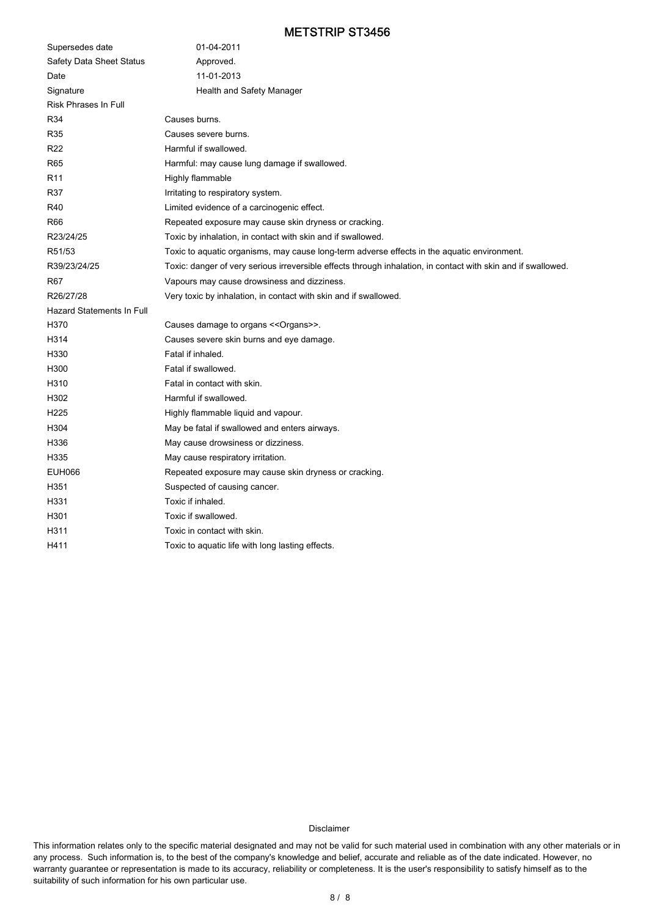| Supersedes date                  | 01-04-2011                                                                                                    |
|----------------------------------|---------------------------------------------------------------------------------------------------------------|
| Safety Data Sheet Status         | Approved.                                                                                                     |
| Date                             | 11-01-2013                                                                                                    |
| Signature                        | Health and Safety Manager                                                                                     |
| Risk Phrases In Full             |                                                                                                               |
| R34                              | Causes burns.                                                                                                 |
| R35                              | Causes severe burns.                                                                                          |
| R <sub>22</sub>                  | Harmful if swallowed.                                                                                         |
| R65                              | Harmful: may cause lung damage if swallowed.                                                                  |
| R <sub>11</sub>                  | Highly flammable                                                                                              |
| R37                              | Irritating to respiratory system.                                                                             |
| R40                              | Limited evidence of a carcinogenic effect.                                                                    |
| R66                              | Repeated exposure may cause skin dryness or cracking.                                                         |
| R23/24/25                        | Toxic by inhalation, in contact with skin and if swallowed.                                                   |
| R51/53                           | Toxic to aquatic organisms, may cause long-term adverse effects in the aquatic environment.                   |
| R39/23/24/25                     | Toxic: danger of very serious irreversible effects through inhalation, in contact with skin and if swallowed. |
| R67                              | Vapours may cause drowsiness and dizziness.                                                                   |
| R26/27/28                        | Very toxic by inhalation, in contact with skin and if swallowed.                                              |
| <b>Hazard Statements In Full</b> |                                                                                                               |
| H370                             | Causes damage to organs << Organs>>.                                                                          |
| H314                             | Causes severe skin burns and eye damage.                                                                      |
| H330                             | Fatal if inhaled.                                                                                             |
| H300                             | Fatal if swallowed.                                                                                           |
| H310                             | Fatal in contact with skin.                                                                                   |
| H302                             | Harmful if swallowed.                                                                                         |
| H <sub>225</sub>                 | Highly flammable liquid and vapour.                                                                           |
| H304                             | May be fatal if swallowed and enters airways.                                                                 |
| H336                             | May cause drowsiness or dizziness.                                                                            |
| H335                             | May cause respiratory irritation.                                                                             |
| <b>EUH066</b>                    | Repeated exposure may cause skin dryness or cracking.                                                         |
| H351                             | Suspected of causing cancer.                                                                                  |
| H331                             | Toxic if inhaled.                                                                                             |
| H301                             | Toxic if swallowed.                                                                                           |
| H311                             | Toxic in contact with skin.                                                                                   |
| H411                             | Toxic to aquatic life with long lasting effects.                                                              |

#### Disclaimer

This information relates only to the specific material designated and may not be valid for such material used in combination with any other materials or in any process. Such information is, to the best of the company's knowledge and belief, accurate and reliable as of the date indicated. However, no warranty guarantee or representation is made to its accuracy, reliability or completeness. It is the user's responsibility to satisfy himself as to the suitability of such information for his own particular use.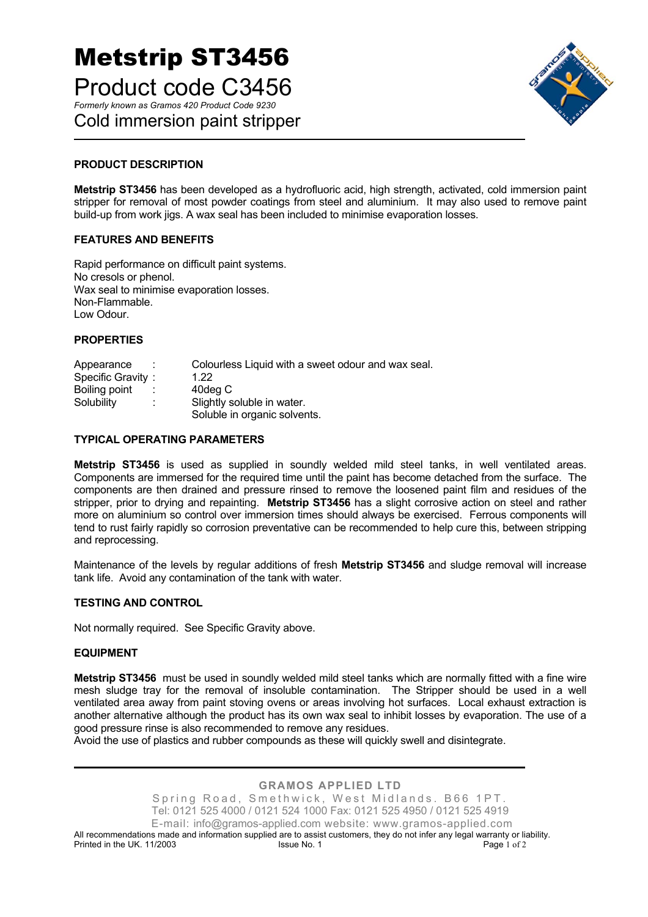## Metstrip ST3456 Product code C3456 *Formerly known as Gramos 420 Product Code 9230*  Cold immersion paint stripper



#### **PRODUCT DESCRIPTION**

**Metstrip ST3456** has been developed as a hydrofluoric acid, high strength, activated, cold immersion paint stripper for removal of most powder coatings from steel and aluminium. It may also used to remove paint build-up from work jigs. A wax seal has been included to minimise evaporation losses.

#### **FEATURES AND BENEFITS**

Rapid performance on difficult paint systems. No cresols or phenol. Wax seal to minimise evaporation losses. Non-Flammable. Low Odour.

#### **PROPERTIES**

| Appearance        |   | Colourless Liquid with a sweet odour and wax seal. |
|-------------------|---|----------------------------------------------------|
| Specific Gravity: |   | 1.22                                               |
| Boiling point     |   | 40deg C                                            |
| Solubility        | ÷ | Slightly soluble in water.                         |
|                   |   | Soluble in organic solvents.                       |

#### **TYPICAL OPERATING PARAMETERS**

**Metstrip ST3456** is used as supplied in soundly welded mild steel tanks, in well ventilated areas. Components are immersed for the required time until the paint has become detached from the surface. The components are then drained and pressure rinsed to remove the loosened paint film and residues of the stripper, prior to drying and repainting. **Metstrip ST3456** has a slight corrosive action on steel and rather more on aluminium so control over immersion times should always be exercised. Ferrous components will tend to rust fairly rapidly so corrosion preventative can be recommended to help cure this, between stripping and reprocessing.

Maintenance of the levels by regular additions of fresh **Metstrip ST3456** and sludge removal will increase tank life. Avoid any contamination of the tank with water.

#### **TESTING AND CONTROL**

Not normally required. See Specific Gravity above.

#### **EQUIPMENT**

**Metstrip ST3456** must be used in soundly welded mild steel tanks which are normally fitted with a fine wire mesh sludge tray for the removal of insoluble contamination. The Stripper should be used in a well ventilated area away from paint stoving ovens or areas involving hot surfaces. Local exhaust extraction is another alternative although the product has its own wax seal to inhibit losses by evaporation. The use of a good pressure rinse is also recommended to remove any residues.

Avoid the use of plastics and rubber compounds as these will quickly swell and disintegrate.

**GRAMOS APPLIED LTD**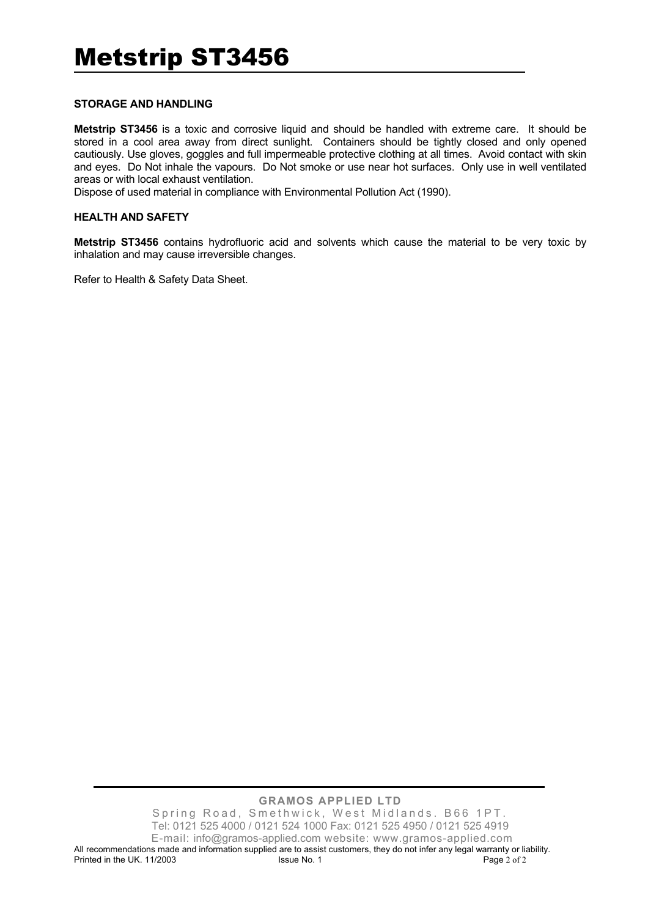#### **STORAGE AND HANDLING**

**Metstrip ST3456** is a toxic and corrosive liquid and should be handled with extreme care. It should be stored in a cool area away from direct sunlight. Containers should be tightly closed and only opened cautiously. Use gloves, goggles and full impermeable protective clothing at all times. Avoid contact with skin and eyes. Do Not inhale the vapours. Do Not smoke or use near hot surfaces. Only use in well ventilated areas or with local exhaust ventilation.

Dispose of used material in compliance with Environmental Pollution Act (1990).

#### **HEALTH AND SAFETY**

**Metstrip ST3456** contains hydrofluoric acid and solvents which cause the material to be very toxic by inhalation and may cause irreversible changes.

Refer to Health & Safety Data Sheet.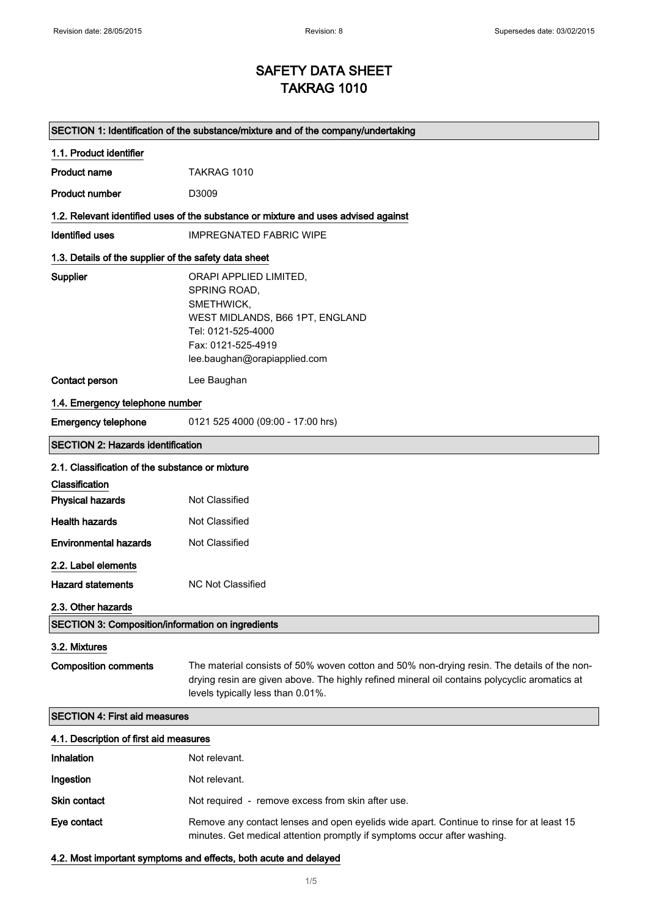## SAFETY DATA SHEET TAKRAG 1010

| SECTION 1: Identification of the substance/mixture and of the company/undertaking |                                                                                                                                                                                                                                   |  |
|-----------------------------------------------------------------------------------|-----------------------------------------------------------------------------------------------------------------------------------------------------------------------------------------------------------------------------------|--|
| 1.1. Product identifier                                                           |                                                                                                                                                                                                                                   |  |
| <b>Product name</b>                                                               | TAKRAG 1010                                                                                                                                                                                                                       |  |
| <b>Product number</b>                                                             | D3009                                                                                                                                                                                                                             |  |
|                                                                                   | 1.2. Relevant identified uses of the substance or mixture and uses advised against                                                                                                                                                |  |
| <b>Identified uses</b>                                                            | <b>IMPREGNATED FABRIC WIPE</b>                                                                                                                                                                                                    |  |
| 1.3. Details of the supplier of the safety data sheet                             |                                                                                                                                                                                                                                   |  |
| Supplier                                                                          | ORAPI APPLIED LIMITED,<br>SPRING ROAD,<br>SMETHWICK,<br>WEST MIDLANDS, B66 1PT, ENGLAND<br>Tel: 0121-525-4000<br>Fax: 0121-525-4919<br>lee.baughan@orapiapplied.com                                                               |  |
| <b>Contact person</b>                                                             | Lee Baughan                                                                                                                                                                                                                       |  |
| 1.4. Emergency telephone number                                                   |                                                                                                                                                                                                                                   |  |
| <b>Emergency telephone</b>                                                        | 0121 525 4000 (09:00 - 17:00 hrs)                                                                                                                                                                                                 |  |
| <b>SECTION 2: Hazards identification</b>                                          |                                                                                                                                                                                                                                   |  |
| 2.1. Classification of the substance or mixture                                   |                                                                                                                                                                                                                                   |  |
| Classification                                                                    |                                                                                                                                                                                                                                   |  |
| <b>Physical hazards</b>                                                           | Not Classified                                                                                                                                                                                                                    |  |
| <b>Health hazards</b>                                                             | Not Classified                                                                                                                                                                                                                    |  |
| <b>Environmental hazards</b>                                                      | Not Classified                                                                                                                                                                                                                    |  |
| 2.2. Label elements                                                               |                                                                                                                                                                                                                                   |  |
| <b>Hazard statements</b>                                                          | <b>NC Not Classified</b>                                                                                                                                                                                                          |  |
| 2.3. Other hazards                                                                |                                                                                                                                                                                                                                   |  |
| <b>SECTION 3: Composition/information on ingredients</b>                          |                                                                                                                                                                                                                                   |  |
| 3.2. Mixtures                                                                     |                                                                                                                                                                                                                                   |  |
| <b>Composition comments</b>                                                       | The material consists of 50% woven cotton and 50% non-drying resin. The details of the non-<br>drying resin are given above. The highly refined mineral oil contains polycyclic aromatics at<br>levels typically less than 0.01%. |  |
| <b>SECTION 4: First aid measures</b>                                              |                                                                                                                                                                                                                                   |  |
| 4.1. Description of first aid measures                                            |                                                                                                                                                                                                                                   |  |
| Inhalation                                                                        | Not relevant.                                                                                                                                                                                                                     |  |
| Ingestion                                                                         | Not relevant.                                                                                                                                                                                                                     |  |
| <b>Skin contact</b>                                                               | Not required - remove excess from skin after use.                                                                                                                                                                                 |  |
| Eye contact                                                                       | Remove any contact lenses and open eyelids wide apart. Continue to rinse for at least 15<br>minutes. Get medical attention promptly if symptoms occur after washing.                                                              |  |

4.2. Most important symptoms and effects, both acute and delayed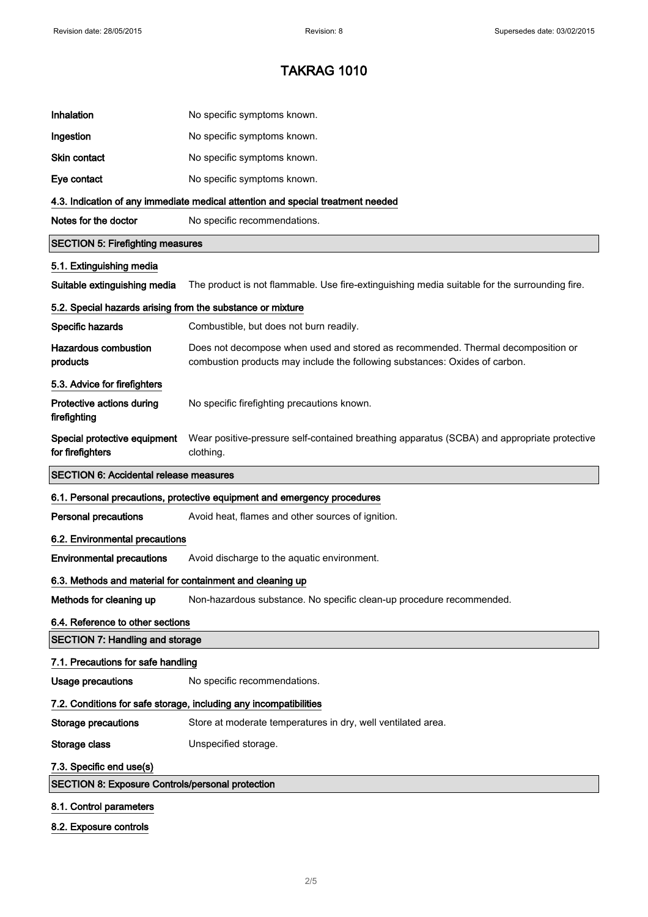| Inhalation                                                 | No specific symptoms known.                                                                                                                                     |
|------------------------------------------------------------|-----------------------------------------------------------------------------------------------------------------------------------------------------------------|
| Ingestion                                                  | No specific symptoms known.                                                                                                                                     |
| <b>Skin contact</b>                                        | No specific symptoms known.                                                                                                                                     |
| Eye contact                                                | No specific symptoms known.                                                                                                                                     |
|                                                            | 4.3. Indication of any immediate medical attention and special treatment needed                                                                                 |
| Notes for the doctor                                       | No specific recommendations.                                                                                                                                    |
| <b>SECTION 5: Firefighting measures</b>                    |                                                                                                                                                                 |
| 5.1. Extinguishing media                                   |                                                                                                                                                                 |
| Suitable extinguishing media                               | The product is not flammable. Use fire-extinguishing media suitable for the surrounding fire.                                                                   |
| 5.2. Special hazards arising from the substance or mixture |                                                                                                                                                                 |
| Specific hazards                                           | Combustible, but does not burn readily.                                                                                                                         |
| <b>Hazardous combustion</b><br>products                    | Does not decompose when used and stored as recommended. Thermal decomposition or<br>combustion products may include the following substances: Oxides of carbon. |
| 5.3. Advice for firefighters                               |                                                                                                                                                                 |
| Protective actions during<br>firefighting                  | No specific firefighting precautions known.                                                                                                                     |
| Special protective equipment<br>for firefighters           | Wear positive-pressure self-contained breathing apparatus (SCBA) and appropriate protective<br>clothing.                                                        |
|                                                            |                                                                                                                                                                 |
| <b>SECTION 6: Accidental release measures</b>              |                                                                                                                                                                 |
|                                                            | 6.1. Personal precautions, protective equipment and emergency procedures                                                                                        |
| <b>Personal precautions</b>                                | Avoid heat, flames and other sources of ignition.                                                                                                               |
| 6.2. Environmental precautions                             |                                                                                                                                                                 |
| <b>Environmental precautions</b>                           | Avoid discharge to the aquatic environment.                                                                                                                     |
| 6.3. Methods and material for containment and cleaning up  |                                                                                                                                                                 |
| Methods for cleaning up                                    | Non-hazardous substance. No specific clean-up procedure recommended.                                                                                            |
| 6.4. Reference to other sections                           |                                                                                                                                                                 |
| <b>SECTION 7: Handling and storage</b>                     |                                                                                                                                                                 |
| 7.1. Precautions for safe handling                         |                                                                                                                                                                 |
| <b>Usage precautions</b>                                   | No specific recommendations.                                                                                                                                    |
|                                                            | 7.2. Conditions for safe storage, including any incompatibilities                                                                                               |
| <b>Storage precautions</b>                                 | Store at moderate temperatures in dry, well ventilated area.                                                                                                    |
| Storage class                                              | Unspecified storage.                                                                                                                                            |
| 7.3. Specific end use(s)                                   |                                                                                                                                                                 |
| <b>SECTION 8: Exposure Controls/personal protection</b>    |                                                                                                                                                                 |

8.2. Exposure controls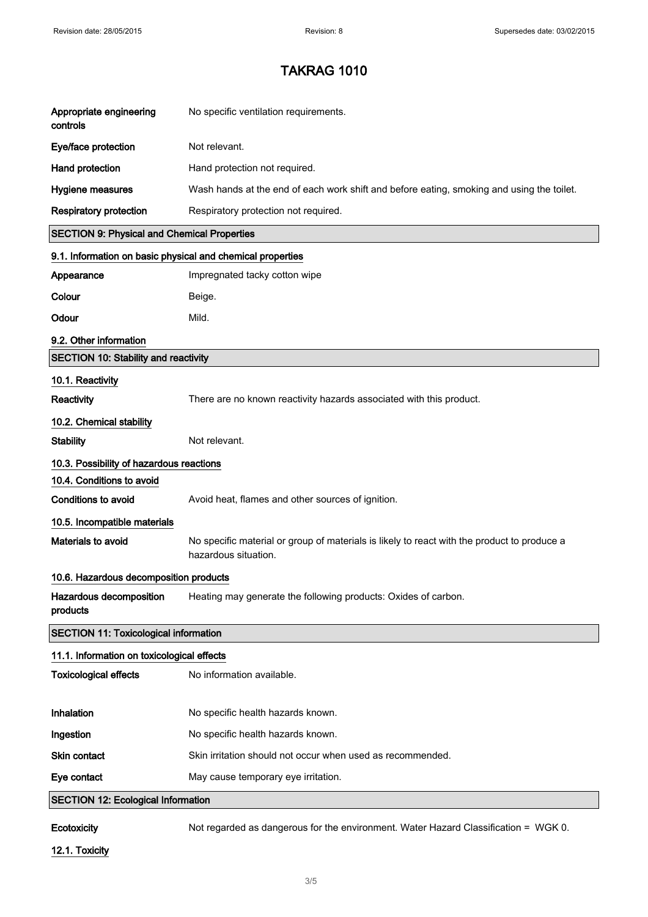| Appropriate engineering<br>controls                        | No specific ventilation requirements.                                                                               |
|------------------------------------------------------------|---------------------------------------------------------------------------------------------------------------------|
| Eye/face protection                                        | Not relevant.                                                                                                       |
| Hand protection                                            | Hand protection not required.                                                                                       |
| Hygiene measures                                           | Wash hands at the end of each work shift and before eating, smoking and using the toilet.                           |
| <b>Respiratory protection</b>                              | Respiratory protection not required.                                                                                |
| <b>SECTION 9: Physical and Chemical Properties</b>         |                                                                                                                     |
| 9.1. Information on basic physical and chemical properties |                                                                                                                     |
| Appearance                                                 | Impregnated tacky cotton wipe                                                                                       |
| Colour                                                     | Beige.                                                                                                              |
| Odour                                                      | Mild.                                                                                                               |
| 9.2. Other information                                     |                                                                                                                     |
| <b>SECTION 10: Stability and reactivity</b>                |                                                                                                                     |
| 10.1. Reactivity<br>Reactivity                             | There are no known reactivity hazards associated with this product.                                                 |
| 10.2. Chemical stability                                   |                                                                                                                     |
| <b>Stability</b>                                           | Not relevant.                                                                                                       |
| 10.3. Possibility of hazardous reactions                   |                                                                                                                     |
| 10.4. Conditions to avoid                                  |                                                                                                                     |
| <b>Conditions to avoid</b>                                 | Avoid heat, flames and other sources of ignition.                                                                   |
| 10.5. Incompatible materials                               |                                                                                                                     |
| Materials to avoid                                         | No specific material or group of materials is likely to react with the product to produce a<br>hazardous situation. |
| 10.6. Hazardous decomposition products                     |                                                                                                                     |
| Hazardous decomposition<br>products                        | Heating may generate the following products: Oxides of carbon.                                                      |
| <b>SECTION 11: Toxicological information</b>               |                                                                                                                     |
| 11.1. Information on toxicological effects                 |                                                                                                                     |
| <b>Toxicological effects</b>                               | No information available.                                                                                           |
|                                                            |                                                                                                                     |
| Inhalation                                                 | No specific health hazards known.                                                                                   |
| Ingestion                                                  | No specific health hazards known.                                                                                   |
| Skin contact                                               | Skin irritation should not occur when used as recommended.                                                          |
| Eye contact                                                | May cause temporary eye irritation.                                                                                 |
| <b>SECTION 12: Ecological Information</b>                  |                                                                                                                     |

Ecotoxicity Not regarded as dangerous for the environment. Water Hazard Classification = WGK 0.

12.1. Toxicity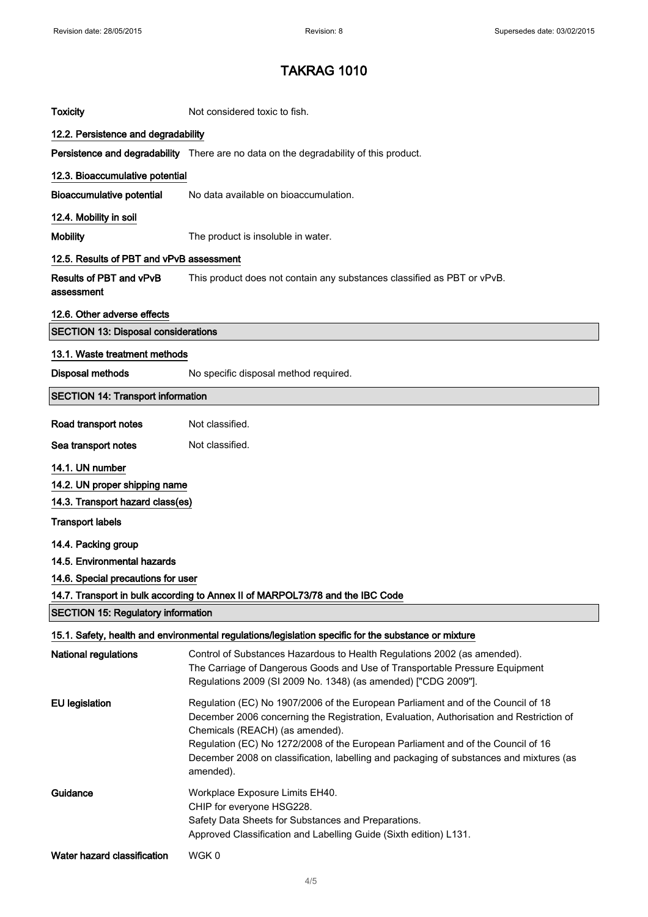| <b>Toxicity</b>                              | Not considered toxic to fish.                                                                                                                                                                                                                                                                                                                                                                              |
|----------------------------------------------|------------------------------------------------------------------------------------------------------------------------------------------------------------------------------------------------------------------------------------------------------------------------------------------------------------------------------------------------------------------------------------------------------------|
| 12.2. Persistence and degradability          |                                                                                                                                                                                                                                                                                                                                                                                                            |
|                                              | Persistence and degradability There are no data on the degradability of this product.                                                                                                                                                                                                                                                                                                                      |
| 12.3. Bioaccumulative potential              |                                                                                                                                                                                                                                                                                                                                                                                                            |
| <b>Bioaccumulative potential</b>             | No data available on bioaccumulation.                                                                                                                                                                                                                                                                                                                                                                      |
| 12.4. Mobility in soil                       |                                                                                                                                                                                                                                                                                                                                                                                                            |
| <b>Mobility</b>                              | The product is insoluble in water.                                                                                                                                                                                                                                                                                                                                                                         |
| 12.5. Results of PBT and vPvB assessment     |                                                                                                                                                                                                                                                                                                                                                                                                            |
| <b>Results of PBT and vPvB</b><br>assessment | This product does not contain any substances classified as PBT or vPvB.                                                                                                                                                                                                                                                                                                                                    |
| 12.6. Other adverse effects                  |                                                                                                                                                                                                                                                                                                                                                                                                            |
| <b>SECTION 13: Disposal considerations</b>   |                                                                                                                                                                                                                                                                                                                                                                                                            |
| 13.1. Waste treatment methods                |                                                                                                                                                                                                                                                                                                                                                                                                            |
| <b>Disposal methods</b>                      | No specific disposal method required.                                                                                                                                                                                                                                                                                                                                                                      |
| <b>SECTION 14: Transport information</b>     |                                                                                                                                                                                                                                                                                                                                                                                                            |
| Road transport notes                         | Not classified.                                                                                                                                                                                                                                                                                                                                                                                            |
| Sea transport notes                          | Not classified.                                                                                                                                                                                                                                                                                                                                                                                            |
| 14.1. UN number                              |                                                                                                                                                                                                                                                                                                                                                                                                            |
| 14.2. UN proper shipping name                |                                                                                                                                                                                                                                                                                                                                                                                                            |
| 14.3. Transport hazard class(es)             |                                                                                                                                                                                                                                                                                                                                                                                                            |
| <b>Transport labels</b>                      |                                                                                                                                                                                                                                                                                                                                                                                                            |
| 14.4. Packing group                          |                                                                                                                                                                                                                                                                                                                                                                                                            |
| 14.5. Environmental hazards                  |                                                                                                                                                                                                                                                                                                                                                                                                            |
| 14.6. Special precautions for user           |                                                                                                                                                                                                                                                                                                                                                                                                            |
|                                              | 14.7. Transport in bulk according to Annex II of MARPOL73/78 and the IBC Code                                                                                                                                                                                                                                                                                                                              |
| <b>SECTION 15: Regulatory information</b>    |                                                                                                                                                                                                                                                                                                                                                                                                            |
|                                              | 15.1. Safety, health and environmental regulations/legislation specific for the substance or mixture                                                                                                                                                                                                                                                                                                       |
| <b>National regulations</b>                  | Control of Substances Hazardous to Health Regulations 2002 (as amended).<br>The Carriage of Dangerous Goods and Use of Transportable Pressure Equipment<br>Regulations 2009 (SI 2009 No. 1348) (as amended) ["CDG 2009"].                                                                                                                                                                                  |
| <b>EU</b> legislation                        | Regulation (EC) No 1907/2006 of the European Parliament and of the Council of 18<br>December 2006 concerning the Registration, Evaluation, Authorisation and Restriction of<br>Chemicals (REACH) (as amended).<br>Regulation (EC) No 1272/2008 of the European Parliament and of the Council of 16<br>December 2008 on classification, labelling and packaging of substances and mixtures (as<br>amended). |
| Guidance                                     | Workplace Exposure Limits EH40.<br>CHIP for everyone HSG228.<br>Safety Data Sheets for Substances and Preparations.<br>Approved Classification and Labelling Guide (Sixth edition) L131.                                                                                                                                                                                                                   |
| Water hazard classification                  | WGK0                                                                                                                                                                                                                                                                                                                                                                                                       |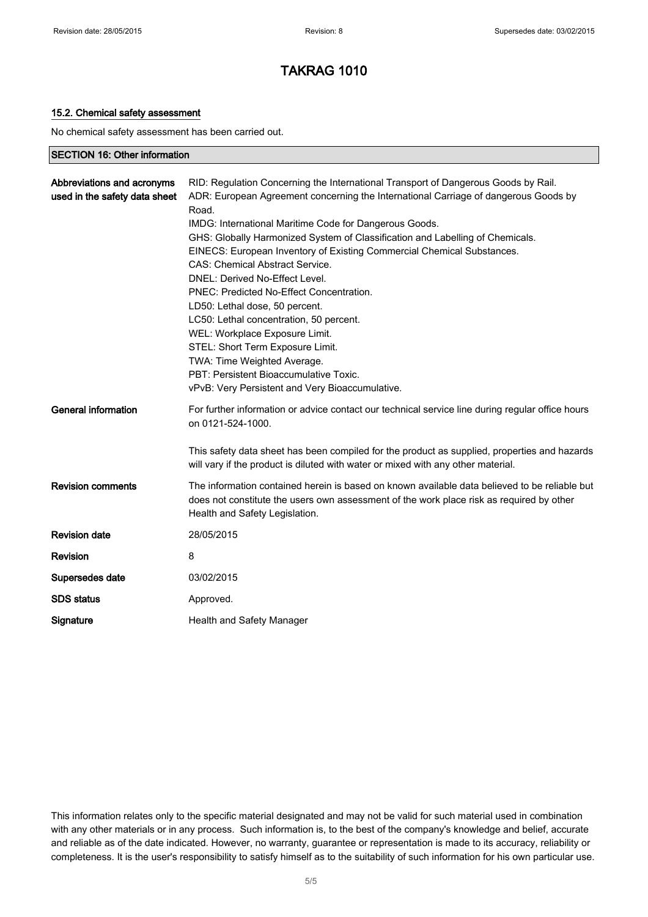#### 15.2. Chemical safety assessment

No chemical safety assessment has been carried out.

#### SECTION 16: Other information

| Abbreviations and acronyms<br>used in the safety data sheet | RID: Regulation Concerning the International Transport of Dangerous Goods by Rail.<br>ADR: European Agreement concerning the International Carriage of dangerous Goods by<br>Road.<br>IMDG: International Maritime Code for Dangerous Goods.<br>GHS: Globally Harmonized System of Classification and Labelling of Chemicals.<br>EINECS: European Inventory of Existing Commercial Chemical Substances.<br><b>CAS: Chemical Abstract Service.</b><br>DNEL: Derived No-Effect Level.<br>PNEC: Predicted No-Effect Concentration.<br>LD50: Lethal dose, 50 percent.<br>LC50: Lethal concentration, 50 percent. |
|-------------------------------------------------------------|--------------------------------------------------------------------------------------------------------------------------------------------------------------------------------------------------------------------------------------------------------------------------------------------------------------------------------------------------------------------------------------------------------------------------------------------------------------------------------------------------------------------------------------------------------------------------------------------------------------|
|                                                             | WEL: Workplace Exposure Limit.<br>STEL: Short Term Exposure Limit.<br>TWA: Time Weighted Average.<br>PBT: Persistent Bioaccumulative Toxic.<br>vPvB: Very Persistent and Very Bioaccumulative.                                                                                                                                                                                                                                                                                                                                                                                                               |
| <b>General information</b>                                  | For further information or advice contact our technical service line during regular office hours<br>on 0121-524-1000.                                                                                                                                                                                                                                                                                                                                                                                                                                                                                        |
|                                                             | This safety data sheet has been compiled for the product as supplied, properties and hazards<br>will vary if the product is diluted with water or mixed with any other material.                                                                                                                                                                                                                                                                                                                                                                                                                             |
| <b>Revision comments</b>                                    | The information contained herein is based on known available data believed to be reliable but<br>does not constitute the users own assessment of the work place risk as required by other<br>Health and Safety Legislation.                                                                                                                                                                                                                                                                                                                                                                                  |
| <b>Revision date</b>                                        | 28/05/2015                                                                                                                                                                                                                                                                                                                                                                                                                                                                                                                                                                                                   |
| <b>Revision</b>                                             | 8                                                                                                                                                                                                                                                                                                                                                                                                                                                                                                                                                                                                            |
| Supersedes date                                             | 03/02/2015                                                                                                                                                                                                                                                                                                                                                                                                                                                                                                                                                                                                   |
| <b>SDS</b> status                                           | Approved.                                                                                                                                                                                                                                                                                                                                                                                                                                                                                                                                                                                                    |
| Signature                                                   | Health and Safety Manager                                                                                                                                                                                                                                                                                                                                                                                                                                                                                                                                                                                    |

This information relates only to the specific material designated and may not be valid for such material used in combination with any other materials or in any process. Such information is, to the best of the company's knowledge and belief, accurate and reliable as of the date indicated. However, no warranty, guarantee or representation is made to its accuracy, reliability or completeness. It is the user's responsibility to satisfy himself as to the suitability of such information for his own particular use.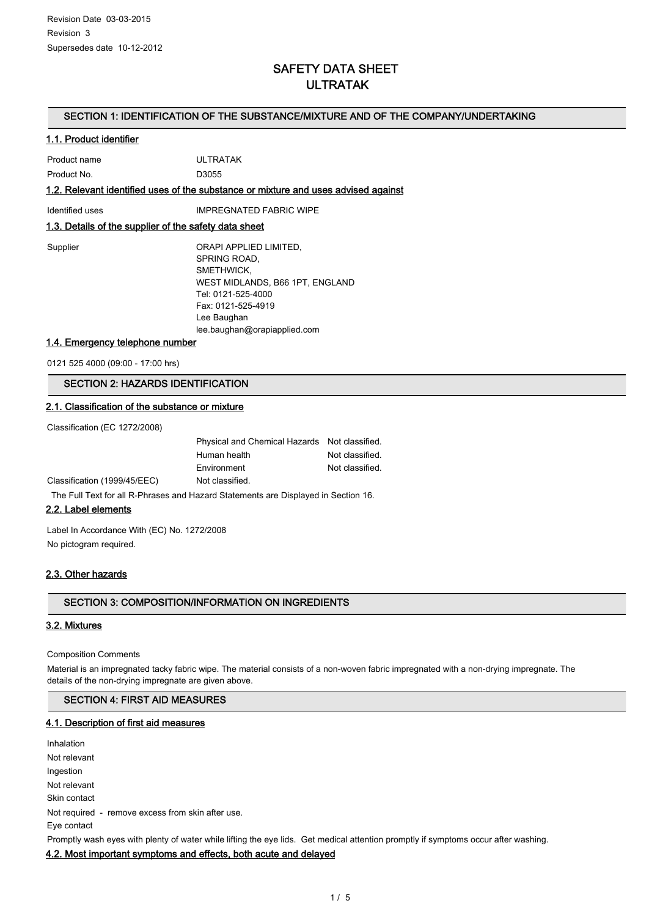## SAFETY DATA SHEET ULTRATAK

#### SECTION 1: IDENTIFICATION OF THE SUBSTANCE/MIXTURE AND OF THE COMPANY/UNDERTAKING

#### 1.1. Product identifier

|              | 1.2. Relevant identified uses of the substance or mixture and uses adv |
|--------------|------------------------------------------------------------------------|
| Product No.  | D3055                                                                  |
| Product name | UI TRATAK                                                              |

vised against

Identified uses **IMPREGNATED FABRIC WIPE** 

#### 1.3. Details of the supplier of the safety data sheet

| Supplier | ORAPI APPLIED LIMITED,          |
|----------|---------------------------------|
|          | SPRING ROAD,                    |
|          | SMETHWICK.                      |
|          | WEST MIDLANDS, B66 1PT, ENGLAND |
|          | Tel: 0121-525-4000              |
|          | Fax: 0121-525-4919              |
|          | Lee Baughan                     |
|          | lee.baughan@orapiapplied.com    |

#### 1.4. Emergency telephone number

0121 525 4000 (09:00 - 17:00 hrs)

#### SECTION 2: HAZARDS IDENTIFICATION

#### 2.1. Classification of the substance or mixture

Classification (EC 1272/2008)

|                                                                                                               | Physical and Chemical Hazards Not classified. |                 |
|---------------------------------------------------------------------------------------------------------------|-----------------------------------------------|-----------------|
|                                                                                                               | Human health                                  | Not classified. |
|                                                                                                               | Environment                                   | Not classified. |
| Classification (1999/45/EEC)                                                                                  | Not classified.                               |                 |
| TIP IT IS DON'T IN I ALL IN THE ISLAMIC IT AND IT AND IT AND IT AND IT AND IT AND IT AND IT AND IT AND IT AND |                                               |                 |

The Full Text for all R-Phrases and Hazard Statements are Displayed in Section 16.

#### 2.2. Label elements

Label In Accordance With (EC) No. 1272/2008 No pictogram required.

#### 2.3. Other hazards

#### SECTION 3: COMPOSITION/INFORMATION ON INGREDIENTS

#### 3.2. Mixtures

#### Composition Comments

Material is an impregnated tacky fabric wipe. The material consists of a non-woven fabric impregnated with a non-drying impregnate. The details of the non-drying impregnate are given above.

#### SECTION 4: FIRST AID MEASURES

#### 4.1. Description of first aid measures

Inhalation Not relevant Ingestion Not relevant Skin contact Not required - remove excess from skin after use. Eye contact Promptly wash eyes with plenty of water while lifting the eye lids. Get medical attention promptly if symptoms occur after washing.

#### 4.2. Most important symptoms and effects, both acute and delayed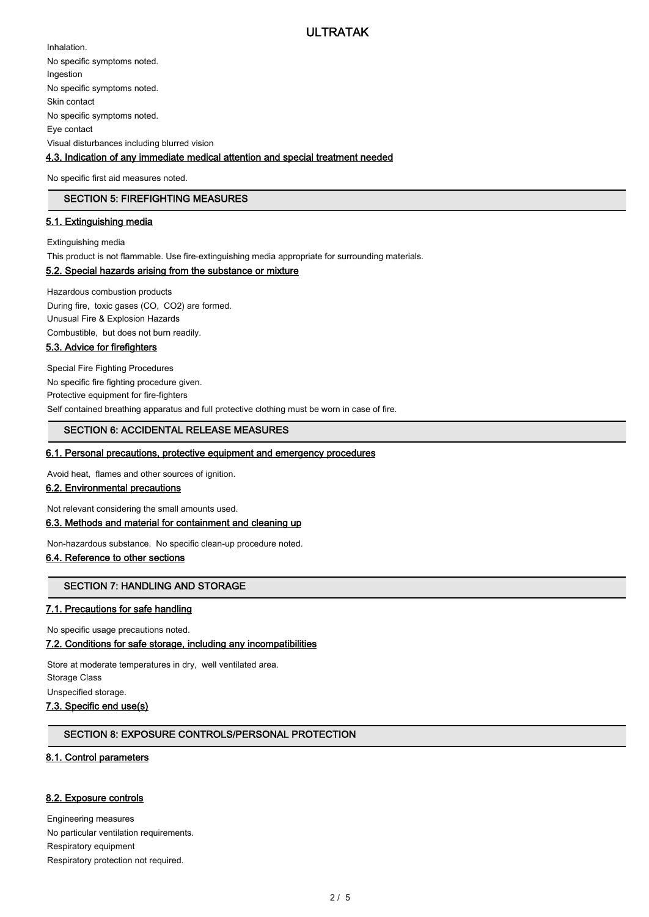Inhalation. No specific symptoms noted. Ingestion No specific symptoms noted. Skin contact No specific symptoms noted. Eye contact Visual disturbances including blurred vision

#### 4.3. Indication of any immediate medical attention and special treatment needed

No specific first aid measures noted.

#### SECTION 5: FIREFIGHTING MEASURES

#### 5.1. Extinguishing media

Extinguishing media

This product is not flammable. Use fire-extinguishing media appropriate for surrounding materials.

#### 5.2. Special hazards arising from the substance or mixture

Hazardous combustion products During fire, toxic gases (CO, CO2) are formed. Unusual Fire & Explosion Hazards Combustible, but does not burn readily.

#### 5.3. Advice for firefighters

Special Fire Fighting Procedures No specific fire fighting procedure given. Protective equipment for fire-fighters Self contained breathing apparatus and full protective clothing must be worn in case of fire.

#### SECTION 6: ACCIDENTAL RELEASE MEASURES

#### 6.1. Personal precautions, protective equipment and emergency procedures

Avoid heat, flames and other sources of ignition.

#### 6.2. Environmental precautions

Not relevant considering the small amounts used.

#### 6.3. Methods and material for containment and cleaning up

Non-hazardous substance. No specific clean-up procedure noted.

#### 6.4. Reference to other sections

#### SECTION 7: HANDLING AND STORAGE

#### 7.1. Precautions for safe handling

No specific usage precautions noted.

#### 7.2. Conditions for safe storage, including any incompatibilities

Store at moderate temperatures in dry, well ventilated area. Storage Class Unspecified storage.

### 7.3. Specific end use(s)

#### SECTION 8: EXPOSURE CONTROLS/PERSONAL PROTECTION

#### 8.1. Control parameters

#### 8.2. Exposure controls

Engineering measures No particular ventilation requirements. Respiratory equipment Respiratory protection not required.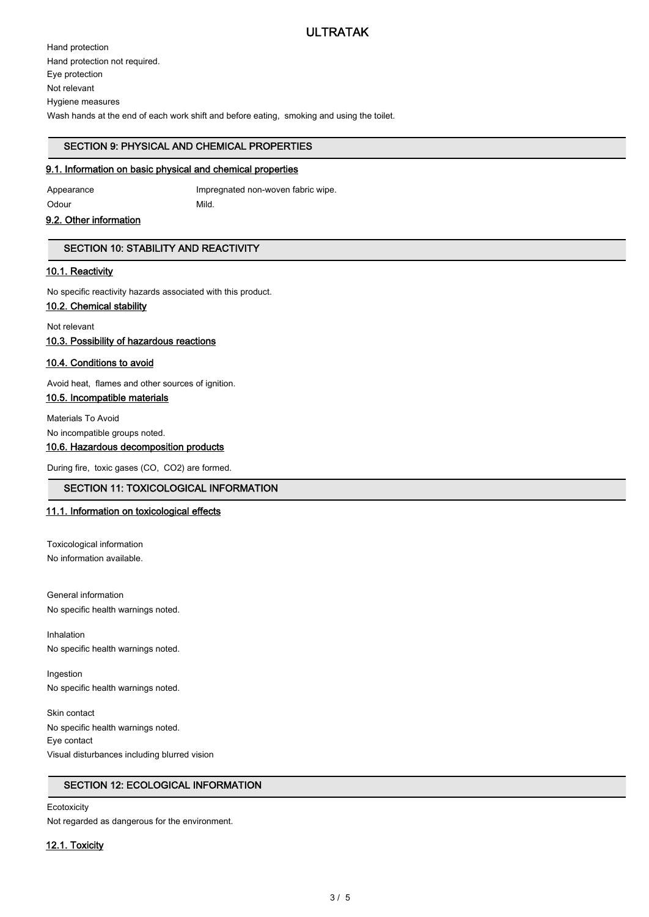Hand protection Hand protection not required. Eye protection Not relevant Hygiene measures Wash hands at the end of each work shift and before eating, smoking and using the toilet.

#### SECTION 9: PHYSICAL AND CHEMICAL PROPERTIES

#### 9.1. Information on basic physical and chemical properties

Appearance Impregnated non-woven fabric wipe. Odour Mild.

#### 9.2. Other information

#### SECTION 10: STABILITY AND REACTIVITY

#### 10.1. Reactivity

No specific reactivity hazards associated with this product.

#### 10.2. Chemical stability

Not relevant

10.3. Possibility of hazardous reactions

#### 10.4. Conditions to avoid

Avoid heat, flames and other sources of ignition.

#### 10.5. Incompatible materials

Materials To Avoid

No incompatible groups noted.

#### 10.6. Hazardous decomposition products

During fire, toxic gases (CO, CO2) are formed.

#### SECTION 11: TOXICOLOGICAL INFORMATION

#### 11.1. Information on toxicological effects

Toxicological information No information available.

General information No specific health warnings noted.

Inhalation No specific health warnings noted.

Ingestion No specific health warnings noted.

Skin contact No specific health warnings noted. Eye contact Visual disturbances including blurred vision

#### SECTION 12: ECOLOGICAL INFORMATION

#### **Ecotoxicity**

Not regarded as dangerous for the environment.

#### 12.1. Toxicity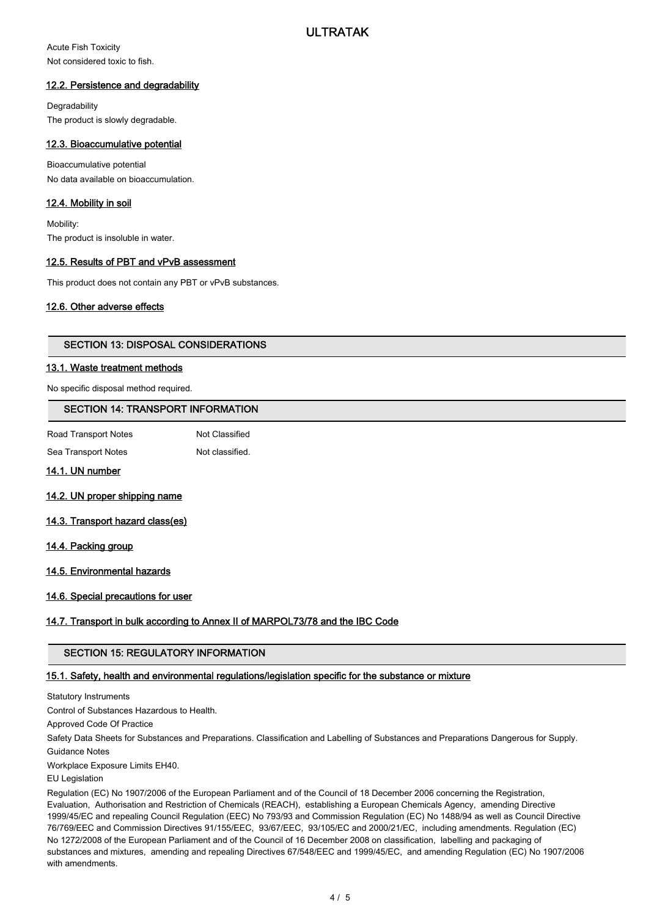Acute Fish Toxicity Not considered toxic to fish.

#### 12.2. Persistence and degradability

**Degradability** The product is slowly degradable.

#### 12.3. Bioaccumulative potential

Bioaccumulative potential No data available on bioaccumulation.

#### 12.4. Mobility in soil

Mobility: The product is insoluble in water.

#### 12.5. Results of PBT and vPvB assessment

This product does not contain any PBT or vPvB substances.

#### 12.6. Other adverse effects

#### SECTION 13: DISPOSAL CONSIDERATIONS

#### 13.1. Waste treatment methods

No specific disposal method required.

#### SECTION 14: TRANSPORT INFORMATION

| Road Transport Notes | Not Classified  |
|----------------------|-----------------|
| Sea Transport Notes  | Not classified. |

#### 14.1. UN number

- 14.2. UN proper shipping name
- 14.3. Transport hazard class(es)

#### 14.4. Packing group

14.5. Environmental hazards

#### 14.6. Special precautions for user

#### 14.7. Transport in bulk according to Annex II of MARPOL73/78 and the IBC Code

#### SECTION 15: REGULATORY INFORMATION

#### 15.1. Safety, health and environmental regulations/legislation specific for the substance or mixture

Statutory Instruments

Control of Substances Hazardous to Health.

Approved Code Of Practice

Safety Data Sheets for Substances and Preparations. Classification and Labelling of Substances and Preparations Dangerous for Supply. Guidance Notes

Workplace Exposure Limits EH40.

EU Legislation

Regulation (EC) No 1907/2006 of the European Parliament and of the Council of 18 December 2006 concerning the Registration, Evaluation, Authorisation and Restriction of Chemicals (REACH), establishing a European Chemicals Agency, amending Directive 1999/45/EC and repealing Council Regulation (EEC) No 793/93 and Commission Regulation (EC) No 1488/94 as well as Council Directive 76/769/EEC and Commission Directives 91/155/EEC, 93/67/EEC, 93/105/EC and 2000/21/EC, including amendments. Regulation (EC) No 1272/2008 of the European Parliament and of the Council of 16 December 2008 on classification, labelling and packaging of substances and mixtures, amending and repealing Directives 67/548/EEC and 1999/45/EC, and amending Regulation (EC) No 1907/2006 with amendments.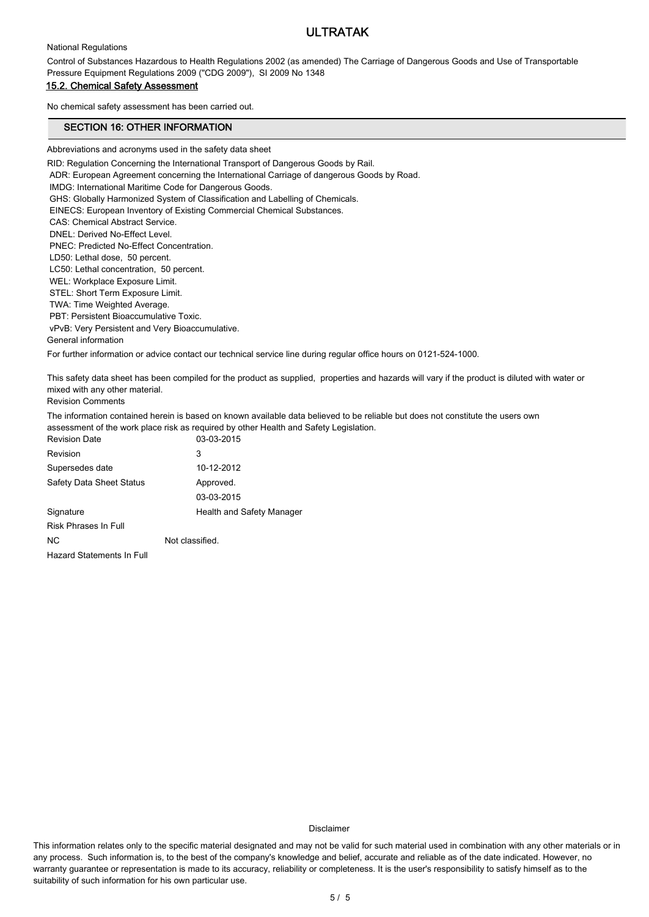#### National Regulations

Control of Substances Hazardous to Health Regulations 2002 (as amended) The Carriage of Dangerous Goods and Use of Transportable Pressure Equipment Regulations 2009 ("CDG 2009"), SI 2009 No 1348

#### 15.2. Chemical Safety Assessment

No chemical safety assessment has been carried out.

#### SECTION 16: OTHER INFORMATION

Abbreviations and acronyms used in the safety data sheet

RID: Regulation Concerning the International Transport of Dangerous Goods by Rail.

ADR: European Agreement concerning the International Carriage of dangerous Goods by Road.

IMDG: International Maritime Code for Dangerous Goods.

GHS: Globally Harmonized System of Classification and Labelling of Chemicals.

EINECS: European Inventory of Existing Commercial Chemical Substances.

CAS: Chemical Abstract Service.

DNEL: Derived No-Effect Level.

PNEC: Predicted No-Effect Concentration.

LD50: Lethal dose, 50 percent.

 LC50: Lethal concentration, 50 percent. WEL: Workplace Exposure Limit.

STEL: Short Term Exposure Limit.

TWA: Time Weighted Average.

 PBT: Persistent Bioaccumulative Toxic. vPvB: Very Persistent and Very Bioaccumulative.

General information

For further information or advice contact our technical service line during regular office hours on 0121-524-1000.

This safety data sheet has been compiled for the product as supplied, properties and hazards will vary if the product is diluted with water or mixed with any other material.

Revision Comments

The information contained herein is based on known available data believed to be reliable but does not constitute the users own assessment of the work place risk as required by other Health and Safety Legislation.

| <b>Revision Date</b>            | 03-03-2015                |
|---------------------------------|---------------------------|
| Revision                        | 3                         |
| Supersedes date                 | 10-12-2012                |
| <b>Safety Data Sheet Status</b> | Approved.                 |
|                                 | 03-03-2015                |
| Signature                       | Health and Safety Manager |
| Risk Phrases In Full            |                           |
| N <sub>C</sub>                  | Not classified.           |
| Hazard Statements In Full       |                           |

Disclaimer

This information relates only to the specific material designated and may not be valid for such material used in combination with any other materials or in any process. Such information is, to the best of the company's knowledge and belief, accurate and reliable as of the date indicated. However, no warranty guarantee or representation is made to its accuracy, reliability or completeness. It is the user's responsibility to satisfy himself as to the suitability of such information for his own particular use.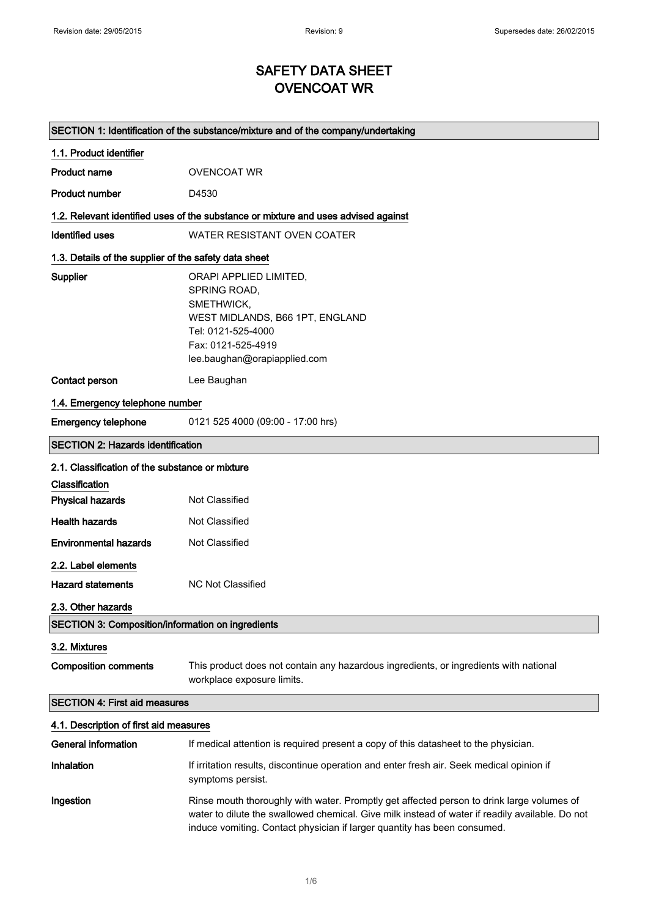## SAFETY DATA SHEET OVENCOAT WR

|                                                          | SECTION 1: Identification of the substance/mixture and of the company/undertaking                                                                                   |
|----------------------------------------------------------|---------------------------------------------------------------------------------------------------------------------------------------------------------------------|
| 1.1. Product identifier                                  |                                                                                                                                                                     |
| <b>Product name</b>                                      | <b>OVENCOAT WR</b>                                                                                                                                                  |
| <b>Product number</b>                                    | D4530                                                                                                                                                               |
|                                                          | 1.2. Relevant identified uses of the substance or mixture and uses advised against                                                                                  |
| <b>Identified uses</b>                                   | WATER RESISTANT OVEN COATER                                                                                                                                         |
| 1.3. Details of the supplier of the safety data sheet    |                                                                                                                                                                     |
| <b>Supplier</b>                                          | ORAPI APPLIED LIMITED,<br>SPRING ROAD,<br>SMETHWICK,<br>WEST MIDLANDS, B66 1PT, ENGLAND<br>Tel: 0121-525-4000<br>Fax: 0121-525-4919<br>lee.baughan@orapiapplied.com |
| <b>Contact person</b>                                    | Lee Baughan                                                                                                                                                         |
| 1.4. Emergency telephone number                          |                                                                                                                                                                     |
| <b>Emergency telephone</b>                               | 0121 525 4000 (09:00 - 17:00 hrs)                                                                                                                                   |
| <b>SECTION 2: Hazards identification</b>                 |                                                                                                                                                                     |
| 2.1. Classification of the substance or mixture          |                                                                                                                                                                     |
| Classification                                           |                                                                                                                                                                     |
| <b>Physical hazards</b>                                  | Not Classified                                                                                                                                                      |
| <b>Health hazards</b>                                    | Not Classified                                                                                                                                                      |
| <b>Environmental hazards</b>                             | Not Classified                                                                                                                                                      |
| 2.2. Label elements                                      |                                                                                                                                                                     |
| <b>Hazard statements</b>                                 | <b>NC Not Classified</b>                                                                                                                                            |
| 2.3. Other hazards                                       |                                                                                                                                                                     |
| <b>SECTION 3: Composition/information on ingredients</b> |                                                                                                                                                                     |
| 3.2. Mixtures                                            |                                                                                                                                                                     |
| <b>Composition comments</b>                              | This product does not contain any hazardous ingredients, or ingredients with national<br>workplace exposure limits.                                                 |
| <b>SECTION 4: First aid measures</b>                     |                                                                                                                                                                     |
| 4.1. Description of first aid measures                   |                                                                                                                                                                     |
| <b>General information</b>                               | If medical attention is required present a copy of this datasheet to the physician.                                                                                 |
| Inhalation                                               | If irritation results, discontinue operation and enter fresh air. Seek medical opinion if<br>symptoms persist.                                                      |
| Ingestion                                                | Rinse mouth thoroughly with water. Promptly get affected person to drink large volumes of                                                                           |

water to dilute the swallowed chemical. Give milk instead of water if readily available. Do not

induce vomiting. Contact physician if larger quantity has been consumed.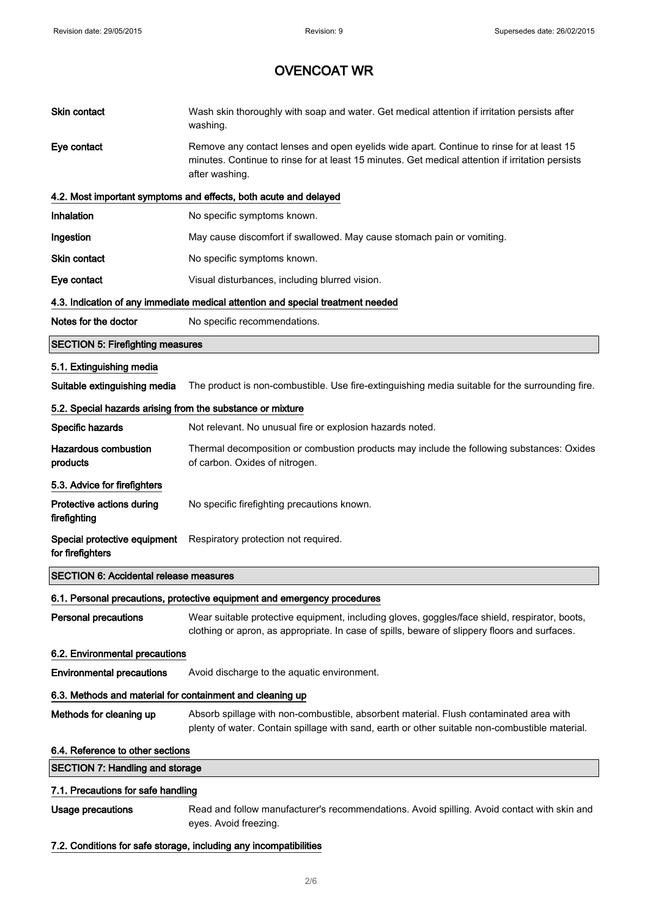| Skin contact                                               | Wash skin thoroughly with soap and water. Get medical attention if irritation persists after<br>washing.                                                                                                       |  |
|------------------------------------------------------------|----------------------------------------------------------------------------------------------------------------------------------------------------------------------------------------------------------------|--|
| Eye contact                                                | Remove any contact lenses and open eyelids wide apart. Continue to rinse for at least 15<br>minutes. Continue to rinse for at least 15 minutes. Get medical attention if irritation persists<br>after washing. |  |
|                                                            | 4.2. Most important symptoms and effects, both acute and delayed                                                                                                                                               |  |
| Inhalation                                                 | No specific symptoms known.                                                                                                                                                                                    |  |
| Ingestion                                                  | May cause discomfort if swallowed. May cause stomach pain or vomiting.                                                                                                                                         |  |
| <b>Skin contact</b>                                        | No specific symptoms known.                                                                                                                                                                                    |  |
| Eye contact                                                | Visual disturbances, including blurred vision.                                                                                                                                                                 |  |
|                                                            | 4.3. Indication of any immediate medical attention and special treatment needed                                                                                                                                |  |
| Notes for the doctor                                       | No specific recommendations.                                                                                                                                                                                   |  |
| <b>SECTION 5: Firefighting measures</b>                    |                                                                                                                                                                                                                |  |
| 5.1. Extinguishing media                                   |                                                                                                                                                                                                                |  |
| Suitable extinguishing media                               | The product is non-combustible. Use fire-extinguishing media suitable for the surrounding fire.                                                                                                                |  |
| 5.2. Special hazards arising from the substance or mixture |                                                                                                                                                                                                                |  |
| Specific hazards                                           | Not relevant. No unusual fire or explosion hazards noted.                                                                                                                                                      |  |
| <b>Hazardous combustion</b><br>products                    | Thermal decomposition or combustion products may include the following substances: Oxides<br>of carbon. Oxides of nitrogen.                                                                                    |  |
| 5.3. Advice for firefighters                               |                                                                                                                                                                                                                |  |
| Protective actions during<br>firefighting                  | No specific firefighting precautions known.                                                                                                                                                                    |  |
| Special protective equipment<br>for firefighters           | Respiratory protection not required.                                                                                                                                                                           |  |
| <b>SECTION 6: Accidental release measures</b>              |                                                                                                                                                                                                                |  |
|                                                            | 6.1. Personal precautions, protective equipment and emergency procedures                                                                                                                                       |  |
| <b>Personal precautions</b>                                | Wear suitable protective equipment, including gloves, goggles/face shield, respirator, boots,<br>clothing or apron, as appropriate. In case of spills, beware of slippery floors and surfaces.                 |  |
| 6.2. Environmental precautions                             |                                                                                                                                                                                                                |  |
| <b>Environmental precautions</b>                           | Avoid discharge to the aquatic environment.                                                                                                                                                                    |  |
| 6.3. Methods and material for containment and cleaning up  |                                                                                                                                                                                                                |  |
| Methods for cleaning up                                    | Absorb spillage with non-combustible, absorbent material. Flush contaminated area with<br>plenty of water. Contain spillage with sand, earth or other suitable non-combustible material.                       |  |
| 6.4. Reference to other sections                           |                                                                                                                                                                                                                |  |
| <b>SECTION 7: Handling and storage</b>                     |                                                                                                                                                                                                                |  |
| 7.1. Precautions for safe handling                         |                                                                                                                                                                                                                |  |
| <b>Usage precautions</b>                                   | Read and follow manufacturer's recommendations. Avoid spilling. Avoid contact with skin and<br>eyes. Avoid freezing.                                                                                           |  |

7.2. Conditions for safe storage, including any incompatibilities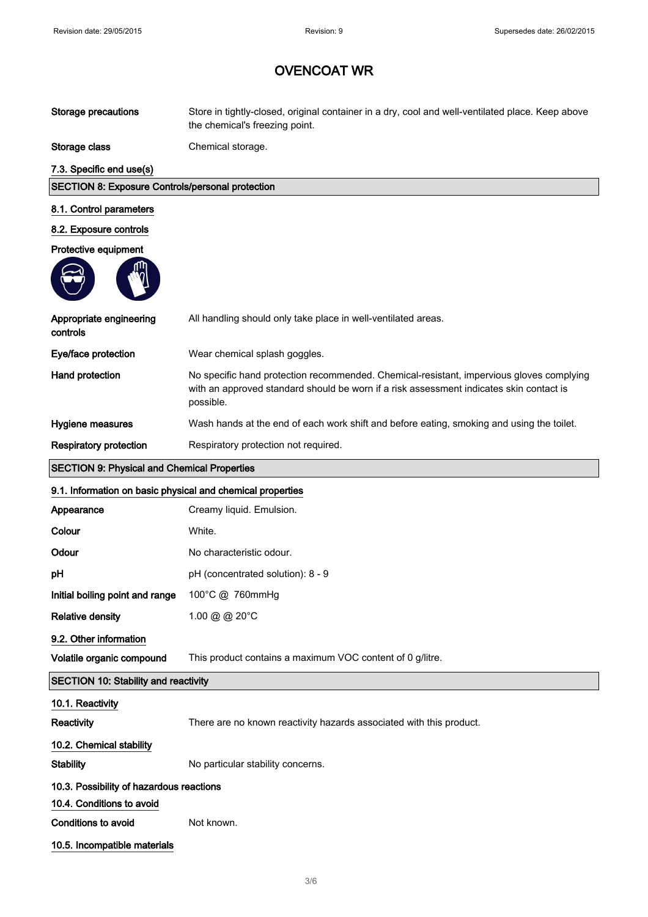| <b>Storage precautions</b>                                 | Store in tightly-closed, original container in a dry, cool and well-ventilated place. Keep above<br>the chemical's freezing point.                                                               |
|------------------------------------------------------------|--------------------------------------------------------------------------------------------------------------------------------------------------------------------------------------------------|
| Storage class                                              | Chemical storage.                                                                                                                                                                                |
| 7.3. Specific end use(s)                                   |                                                                                                                                                                                                  |
| <b>SECTION 8: Exposure Controls/personal protection</b>    |                                                                                                                                                                                                  |
| 8.1. Control parameters                                    |                                                                                                                                                                                                  |
| 8.2. Exposure controls                                     |                                                                                                                                                                                                  |
| Protective equipment                                       |                                                                                                                                                                                                  |
|                                                            |                                                                                                                                                                                                  |
| Appropriate engineering<br>controls                        | All handling should only take place in well-ventilated areas.                                                                                                                                    |
| Eye/face protection                                        | Wear chemical splash goggles.                                                                                                                                                                    |
| Hand protection                                            | No specific hand protection recommended. Chemical-resistant, impervious gloves complying<br>with an approved standard should be worn if a risk assessment indicates skin contact is<br>possible. |
| Hygiene measures                                           | Wash hands at the end of each work shift and before eating, smoking and using the toilet.                                                                                                        |
| <b>Respiratory protection</b>                              | Respiratory protection not required.                                                                                                                                                             |
| <b>SECTION 9: Physical and Chemical Properties</b>         |                                                                                                                                                                                                  |
| 9.1. Information on basic physical and chemical properties |                                                                                                                                                                                                  |
| Appearance                                                 | Creamy liquid. Emulsion.                                                                                                                                                                         |
|                                                            |                                                                                                                                                                                                  |
| Colour                                                     | White.                                                                                                                                                                                           |
| Odour                                                      | No characteristic odour.                                                                                                                                                                         |
| рH                                                         | pH (concentrated solution): 8 - 9                                                                                                                                                                |
| Initial boiling point and range                            | 100°C @ 760mmHg                                                                                                                                                                                  |
| <b>Relative density</b>                                    | 1.00 @ @ 20°C                                                                                                                                                                                    |
| 9.2. Other information                                     |                                                                                                                                                                                                  |
| Volatile organic compound                                  | This product contains a maximum VOC content of 0 g/litre.                                                                                                                                        |
| <b>SECTION 10: Stability and reactivity</b>                |                                                                                                                                                                                                  |
| 10.1. Reactivity                                           |                                                                                                                                                                                                  |
| Reactivity                                                 | There are no known reactivity hazards associated with this product.                                                                                                                              |
| 10.2. Chemical stability                                   |                                                                                                                                                                                                  |
| <b>Stability</b>                                           | No particular stability concerns.                                                                                                                                                                |
| 10.3. Possibility of hazardous reactions                   |                                                                                                                                                                                                  |
| 10.4. Conditions to avoid                                  |                                                                                                                                                                                                  |
| <b>Conditions to avoid</b>                                 | Not known.                                                                                                                                                                                       |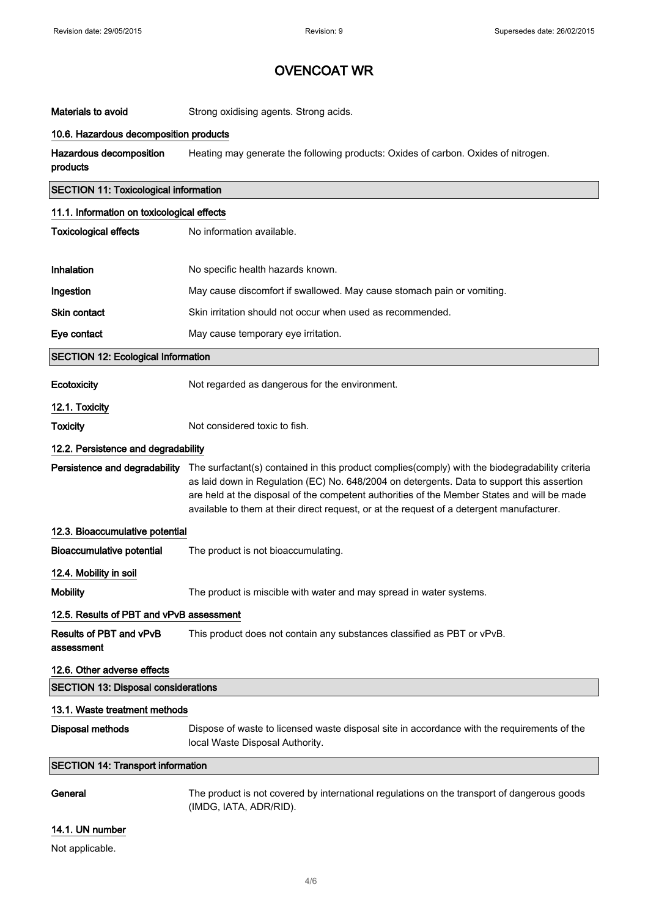| Materials to avoid                           | Strong oxidising agents. Strong acids.                                                                                                                                                                                                                                                                                                                                                    |  |
|----------------------------------------------|-------------------------------------------------------------------------------------------------------------------------------------------------------------------------------------------------------------------------------------------------------------------------------------------------------------------------------------------------------------------------------------------|--|
| 10.6. Hazardous decomposition products       |                                                                                                                                                                                                                                                                                                                                                                                           |  |
| Hazardous decomposition<br>products          | Heating may generate the following products: Oxides of carbon. Oxides of nitrogen.                                                                                                                                                                                                                                                                                                        |  |
| <b>SECTION 11: Toxicological information</b> |                                                                                                                                                                                                                                                                                                                                                                                           |  |
| 11.1. Information on toxicological effects   |                                                                                                                                                                                                                                                                                                                                                                                           |  |
| <b>Toxicological effects</b>                 | No information available.                                                                                                                                                                                                                                                                                                                                                                 |  |
| Inhalation                                   | No specific health hazards known.                                                                                                                                                                                                                                                                                                                                                         |  |
| Ingestion                                    | May cause discomfort if swallowed. May cause stomach pain or vomiting.                                                                                                                                                                                                                                                                                                                    |  |
| Skin contact                                 | Skin irritation should not occur when used as recommended.                                                                                                                                                                                                                                                                                                                                |  |
| Eye contact                                  | May cause temporary eye irritation.                                                                                                                                                                                                                                                                                                                                                       |  |
| <b>SECTION 12: Ecological Information</b>    |                                                                                                                                                                                                                                                                                                                                                                                           |  |
| Ecotoxicity                                  | Not regarded as dangerous for the environment.                                                                                                                                                                                                                                                                                                                                            |  |
| 12.1. Toxicity                               |                                                                                                                                                                                                                                                                                                                                                                                           |  |
| <b>Toxicity</b>                              | Not considered toxic to fish.                                                                                                                                                                                                                                                                                                                                                             |  |
| 12.2. Persistence and degradability          |                                                                                                                                                                                                                                                                                                                                                                                           |  |
| Persistence and degradability                | The surfactant(s) contained in this product complies(comply) with the biodegradability criteria<br>as laid down in Regulation (EC) No. 648/2004 on detergents. Data to support this assertion<br>are held at the disposal of the competent authorities of the Member States and will be made<br>available to them at their direct request, or at the request of a detergent manufacturer. |  |
| 12.3. Bioaccumulative potential              |                                                                                                                                                                                                                                                                                                                                                                                           |  |
| <b>Bioaccumulative potential</b>             | The product is not bioaccumulating.                                                                                                                                                                                                                                                                                                                                                       |  |
| 12.4. Mobility in soil                       |                                                                                                                                                                                                                                                                                                                                                                                           |  |
| <b>Mobility</b>                              | The product is miscible with water and may spread in water systems.                                                                                                                                                                                                                                                                                                                       |  |
| 12.5. Results of PBT and vPvB assessment     |                                                                                                                                                                                                                                                                                                                                                                                           |  |
| Results of PBT and vPvB<br>assessment        | This product does not contain any substances classified as PBT or vPvB.                                                                                                                                                                                                                                                                                                                   |  |
| 12.6. Other adverse effects                  |                                                                                                                                                                                                                                                                                                                                                                                           |  |
| <b>SECTION 13: Disposal considerations</b>   |                                                                                                                                                                                                                                                                                                                                                                                           |  |
| 13.1. Waste treatment methods                |                                                                                                                                                                                                                                                                                                                                                                                           |  |
| <b>Disposal methods</b>                      | Dispose of waste to licensed waste disposal site in accordance with the requirements of the<br>local Waste Disposal Authority.                                                                                                                                                                                                                                                            |  |
| <b>SECTION 14: Transport information</b>     |                                                                                                                                                                                                                                                                                                                                                                                           |  |
| General                                      | The product is not covered by international regulations on the transport of dangerous goods<br>(IMDG, IATA, ADR/RID).                                                                                                                                                                                                                                                                     |  |

### 14.1. UN number

Not applicable.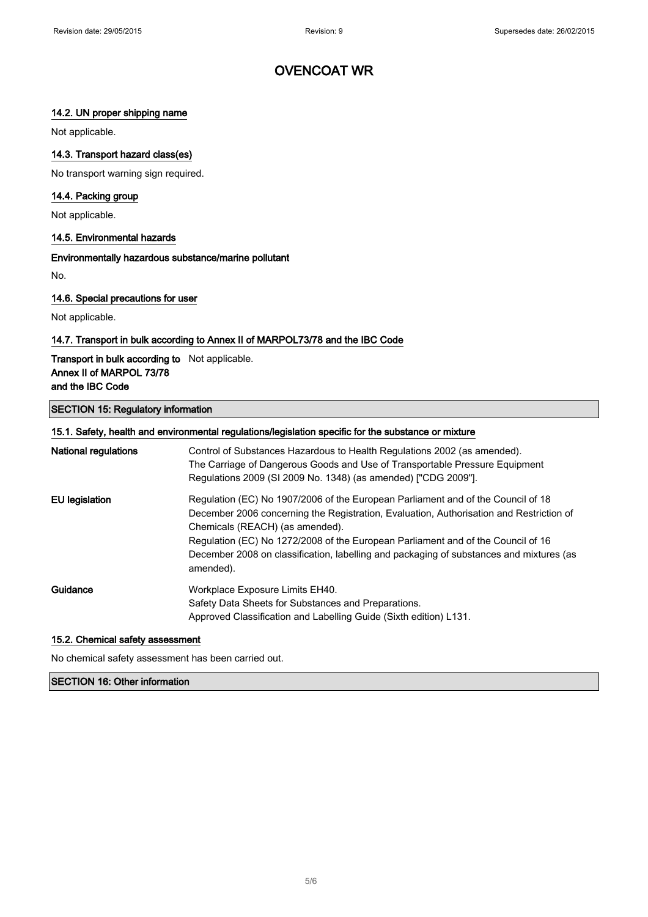#### 14.2. UN proper shipping name

Not applicable.

#### 14.3. Transport hazard class(es)

No transport warning sign required.

#### 14.4. Packing group

Not applicable.

#### 14.5. Environmental hazards

#### Environmentally hazardous substance/marine pollutant

No.

#### 14.6. Special precautions for user

Not applicable.

#### 14.7. Transport in bulk according to Annex II of MARPOL73/78 and the IBC Code

#### Transport in bulk according to Not applicable. Annex II of MARPOL 73/78 and the IBC Code

#### SECTION 15: Regulatory information

#### 15.1. Safety, health and environmental regulations/legislation specific for the substance or mixture

| <b>National regulations</b> | Control of Substances Hazardous to Health Regulations 2002 (as amended).<br>The Carriage of Dangerous Goods and Use of Transportable Pressure Equipment<br>Regulations 2009 (SI 2009 No. 1348) (as amended) ["CDG 2009"].                                                                                                                                                                                  |
|-----------------------------|------------------------------------------------------------------------------------------------------------------------------------------------------------------------------------------------------------------------------------------------------------------------------------------------------------------------------------------------------------------------------------------------------------|
| EU legislation              | Regulation (EC) No 1907/2006 of the European Parliament and of the Council of 18<br>December 2006 concerning the Registration, Evaluation, Authorisation and Restriction of<br>Chemicals (REACH) (as amended).<br>Regulation (EC) No 1272/2008 of the European Parliament and of the Council of 16<br>December 2008 on classification, labelling and packaging of substances and mixtures (as<br>amended). |
| Guidance                    | Workplace Exposure Limits EH40.<br>Safety Data Sheets for Substances and Preparations.<br>Approved Classification and Labelling Guide (Sixth edition) L131.                                                                                                                                                                                                                                                |

#### 15.2. Chemical safety assessment

No chemical safety assessment has been carried out.

#### SECTION 16: Other information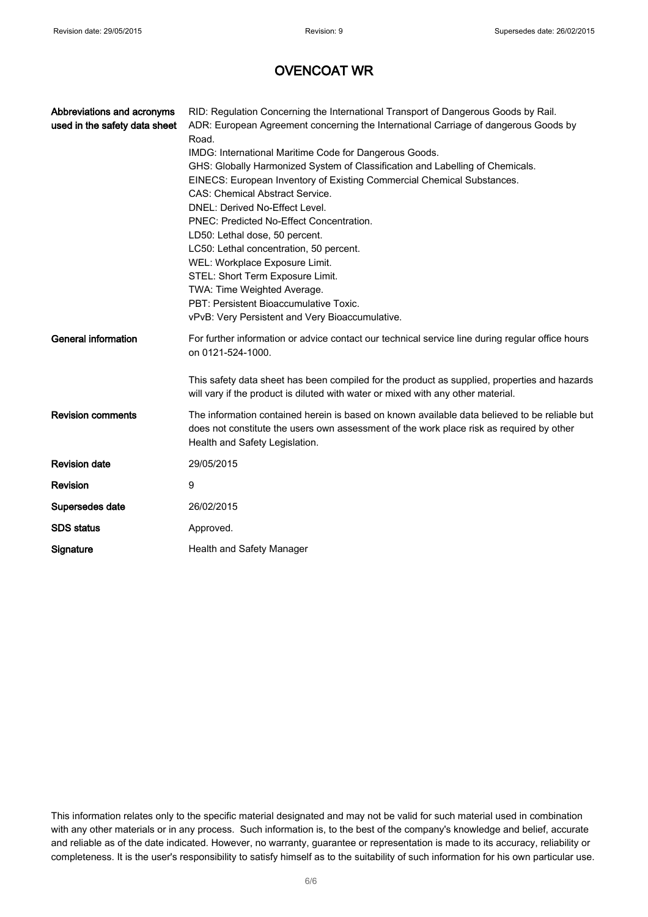| Abbreviations and acronyms<br>used in the safety data sheet | RID: Regulation Concerning the International Transport of Dangerous Goods by Rail.<br>ADR: European Agreement concerning the International Carriage of dangerous Goods by<br>Road.<br>IMDG: International Maritime Code for Dangerous Goods.<br>GHS: Globally Harmonized System of Classification and Labelling of Chemicals.<br>EINECS: European Inventory of Existing Commercial Chemical Substances.<br><b>CAS: Chemical Abstract Service.</b><br>DNEL: Derived No-Effect Level.<br>PNEC: Predicted No-Effect Concentration.<br>LD50: Lethal dose, 50 percent.<br>LC50: Lethal concentration, 50 percent.<br>WEL: Workplace Exposure Limit.<br>STEL: Short Term Exposure Limit.<br>TWA: Time Weighted Average.<br>PBT: Persistent Bioaccumulative Toxic.<br>vPvB: Very Persistent and Very Bioaccumulative. |
|-------------------------------------------------------------|----------------------------------------------------------------------------------------------------------------------------------------------------------------------------------------------------------------------------------------------------------------------------------------------------------------------------------------------------------------------------------------------------------------------------------------------------------------------------------------------------------------------------------------------------------------------------------------------------------------------------------------------------------------------------------------------------------------------------------------------------------------------------------------------------------------|
| <b>General information</b>                                  | For further information or advice contact our technical service line during regular office hours<br>on 0121-524-1000.<br>This safety data sheet has been compiled for the product as supplied, properties and hazards<br>will vary if the product is diluted with water or mixed with any other material.                                                                                                                                                                                                                                                                                                                                                                                                                                                                                                      |
| <b>Revision comments</b>                                    | The information contained herein is based on known available data believed to be reliable but<br>does not constitute the users own assessment of the work place risk as required by other<br>Health and Safety Legislation.                                                                                                                                                                                                                                                                                                                                                                                                                                                                                                                                                                                    |
| <b>Revision date</b>                                        | 29/05/2015                                                                                                                                                                                                                                                                                                                                                                                                                                                                                                                                                                                                                                                                                                                                                                                                     |
| Revision                                                    | 9                                                                                                                                                                                                                                                                                                                                                                                                                                                                                                                                                                                                                                                                                                                                                                                                              |
| Supersedes date                                             | 26/02/2015                                                                                                                                                                                                                                                                                                                                                                                                                                                                                                                                                                                                                                                                                                                                                                                                     |
| <b>SDS</b> status                                           | Approved.                                                                                                                                                                                                                                                                                                                                                                                                                                                                                                                                                                                                                                                                                                                                                                                                      |
| Signature                                                   | Health and Safety Manager                                                                                                                                                                                                                                                                                                                                                                                                                                                                                                                                                                                                                                                                                                                                                                                      |

This information relates only to the specific material designated and may not be valid for such material used in combination with any other materials or in any process. Such information is, to the best of the company's knowledge and belief, accurate and reliable as of the date indicated. However, no warranty, guarantee or representation is made to its accuracy, reliability or completeness. It is the user's responsibility to satisfy himself as to the suitability of such information for his own particular use.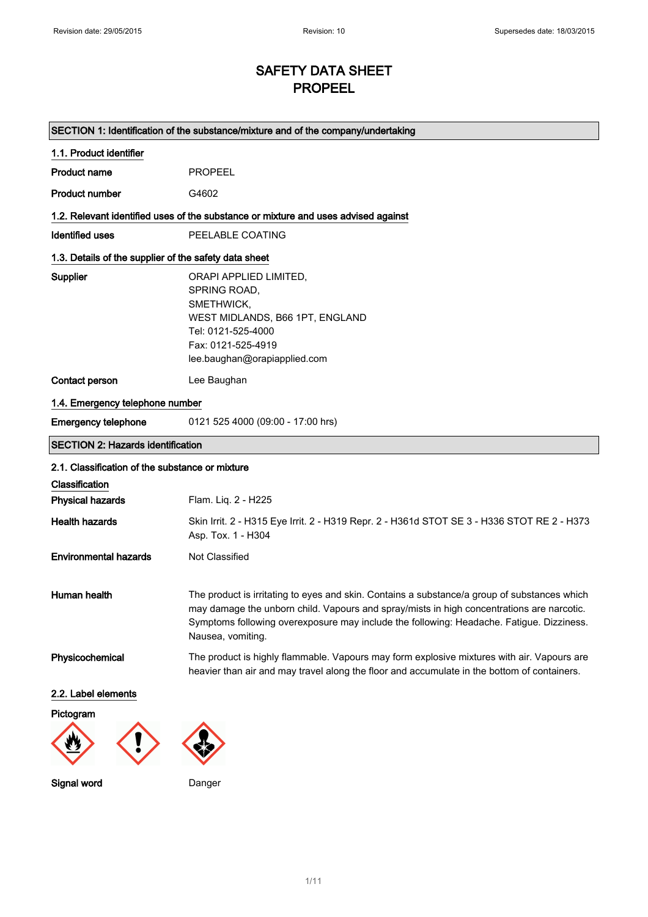## SAFETY DATA SHEET PROPEEL

| SECTION 1: Identification of the substance/mixture and of the company/undertaking |                                                                                                                                                                                                                                                                                                            |  |
|-----------------------------------------------------------------------------------|------------------------------------------------------------------------------------------------------------------------------------------------------------------------------------------------------------------------------------------------------------------------------------------------------------|--|
| 1.1. Product identifier                                                           |                                                                                                                                                                                                                                                                                                            |  |
| <b>Product name</b>                                                               | <b>PROPEEL</b>                                                                                                                                                                                                                                                                                             |  |
| <b>Product number</b>                                                             | G4602                                                                                                                                                                                                                                                                                                      |  |
|                                                                                   | 1.2. Relevant identified uses of the substance or mixture and uses advised against                                                                                                                                                                                                                         |  |
| <b>Identified uses</b>                                                            | PEELABLE COATING                                                                                                                                                                                                                                                                                           |  |
| 1.3. Details of the supplier of the safety data sheet                             |                                                                                                                                                                                                                                                                                                            |  |
| Supplier                                                                          | ORAPI APPLIED LIMITED,<br>SPRING ROAD,<br>SMETHWICK,<br>WEST MIDLANDS, B66 1PT, ENGLAND<br>Tel: 0121-525-4000<br>Fax: 0121-525-4919<br>lee.baughan@orapiapplied.com                                                                                                                                        |  |
| Contact person                                                                    | Lee Baughan                                                                                                                                                                                                                                                                                                |  |
| 1.4. Emergency telephone number                                                   |                                                                                                                                                                                                                                                                                                            |  |
| <b>Emergency telephone</b>                                                        | 0121 525 4000 (09:00 - 17:00 hrs)                                                                                                                                                                                                                                                                          |  |
| <b>SECTION 2: Hazards identification</b>                                          |                                                                                                                                                                                                                                                                                                            |  |
| 2.1. Classification of the substance or mixture                                   |                                                                                                                                                                                                                                                                                                            |  |
| Classification                                                                    |                                                                                                                                                                                                                                                                                                            |  |
| <b>Physical hazards</b>                                                           | Flam. Liq. 2 - H225                                                                                                                                                                                                                                                                                        |  |
| <b>Health hazards</b>                                                             | Skin Irrit. 2 - H315 Eye Irrit. 2 - H319 Repr. 2 - H361d STOT SE 3 - H336 STOT RE 2 - H373<br>Asp. Tox. 1 - H304                                                                                                                                                                                           |  |
| <b>Environmental hazards</b>                                                      | Not Classified                                                                                                                                                                                                                                                                                             |  |
| Human health                                                                      | The product is irritating to eyes and skin. Contains a substance/a group of substances which<br>may damage the unborn child. Vapours and spray/mists in high concentrations are narcotic.<br>Symptoms following overexposure may include the following: Headache. Fatigue. Dizziness.<br>Nausea, vomiting. |  |
| Physicochemical                                                                   | The product is highly flammable. Vapours may form explosive mixtures with air. Vapours are<br>heavier than air and may travel along the floor and accumulate in the bottom of containers.                                                                                                                  |  |
| 2.2. Label elements                                                               |                                                                                                                                                                                                                                                                                                            |  |
| Pictogram                                                                         |                                                                                                                                                                                                                                                                                                            |  |
|                                                                                   |                                                                                                                                                                                                                                                                                                            |  |

Signal word Danger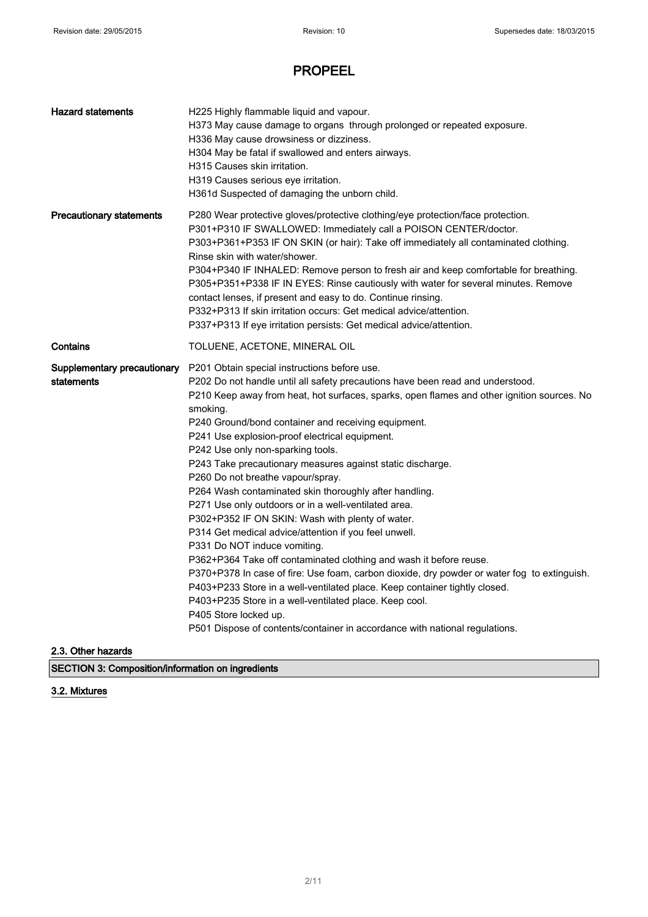| H225 Highly flammable liquid and vapour.<br>H373 May cause damage to organs through prolonged or repeated exposure.<br>H336 May cause drowsiness or dizziness.<br>H304 May be fatal if swallowed and enters airways.<br>H315 Causes skin irritation.<br>H319 Causes serious eve irritation.<br>H361d Suspected of damaging the unborn child.                                                                                                                                                                                                                                                                                                                                                                                                                                                                                                                                                                                                                                                                                                                                                                                                                                  |  |
|-------------------------------------------------------------------------------------------------------------------------------------------------------------------------------------------------------------------------------------------------------------------------------------------------------------------------------------------------------------------------------------------------------------------------------------------------------------------------------------------------------------------------------------------------------------------------------------------------------------------------------------------------------------------------------------------------------------------------------------------------------------------------------------------------------------------------------------------------------------------------------------------------------------------------------------------------------------------------------------------------------------------------------------------------------------------------------------------------------------------------------------------------------------------------------|--|
| P280 Wear protective gloves/protective clothing/eye protection/face protection.<br>P301+P310 IF SWALLOWED: Immediately call a POISON CENTER/doctor.<br>P303+P361+P353 IF ON SKIN (or hair): Take off immediately all contaminated clothing.<br>Rinse skin with water/shower.<br>P304+P340 IF INHALED: Remove person to fresh air and keep comfortable for breathing.<br>P305+P351+P338 IF IN EYES: Rinse cautiously with water for several minutes. Remove<br>contact lenses, if present and easy to do. Continue rinsing.<br>P332+P313 If skin irritation occurs: Get medical advice/attention.<br>P337+P313 If eye irritation persists: Get medical advice/attention.                                                                                                                                                                                                                                                                                                                                                                                                                                                                                                       |  |
| TOLUENE, ACETONE, MINERAL OIL                                                                                                                                                                                                                                                                                                                                                                                                                                                                                                                                                                                                                                                                                                                                                                                                                                                                                                                                                                                                                                                                                                                                                 |  |
| P201 Obtain special instructions before use.<br>P202 Do not handle until all safety precautions have been read and understood.<br>P210 Keep away from heat, hot surfaces, sparks, open flames and other ignition sources. No<br>smoking.<br>P240 Ground/bond container and receiving equipment.<br>P241 Use explosion-proof electrical equipment.<br>P242 Use only non-sparking tools.<br>P243 Take precautionary measures against static discharge.<br>P260 Do not breathe vapour/spray.<br>P264 Wash contaminated skin thoroughly after handling.<br>P271 Use only outdoors or in a well-ventilated area.<br>P302+P352 IF ON SKIN: Wash with plenty of water.<br>P314 Get medical advice/attention if you feel unwell.<br>P331 Do NOT induce vomiting.<br>P362+P364 Take off contaminated clothing and wash it before reuse.<br>P370+P378 In case of fire: Use foam, carbon dioxide, dry powder or water fog to extinguish.<br>P403+P233 Store in a well-ventilated place. Keep container tightly closed.<br>P403+P235 Store in a well-ventilated place. Keep cool.<br>P405 Store locked up.<br>P501 Dispose of contents/container in accordance with national regulations. |  |
|                                                                                                                                                                                                                                                                                                                                                                                                                                                                                                                                                                                                                                                                                                                                                                                                                                                                                                                                                                                                                                                                                                                                                                               |  |

2.3. Other hazards

SECTION 3: Composition/information on ingredients

#### 3.2. Mixtures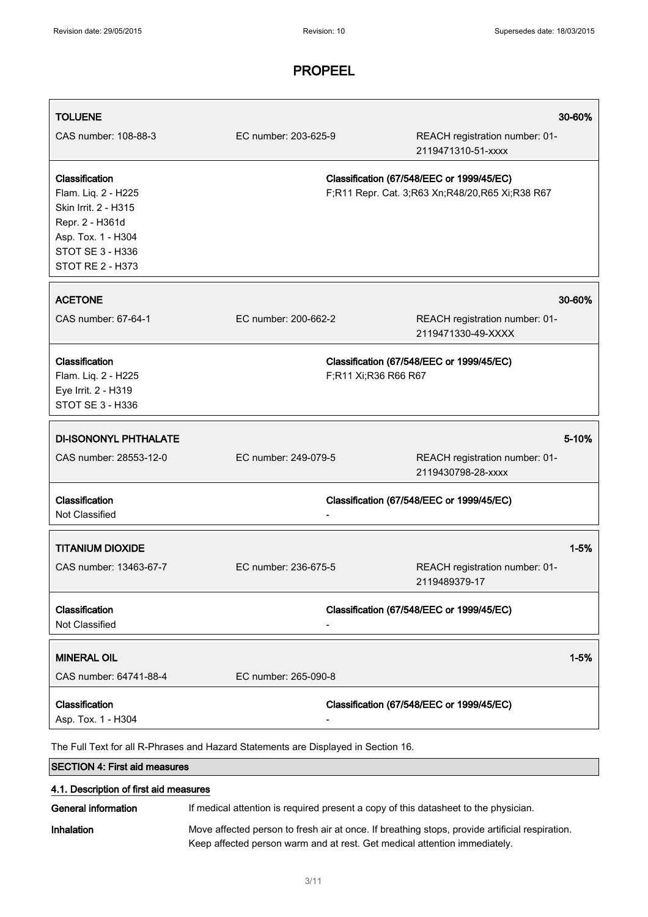| <b>TOLUENE</b>                                                                                                                                               |                      |                      | 30-60%                                                                                       |
|--------------------------------------------------------------------------------------------------------------------------------------------------------------|----------------------|----------------------|----------------------------------------------------------------------------------------------|
| CAS number: 108-88-3                                                                                                                                         | EC number: 203-625-9 |                      | REACH registration number: 01-<br>2119471310-51-xxxx                                         |
| Classification<br>Flam. Liq. 2 - H225<br>Skin Irrit. 2 - H315<br>Repr. 2 - H361d<br>Asp. Tox. 1 - H304<br><b>STOT SE 3 - H336</b><br><b>STOT RE 2 - H373</b> |                      |                      | Classification (67/548/EEC or 1999/45/EC)<br>F;R11 Repr. Cat. 3;R63 Xn;R48/20,R65 Xi;R38 R67 |
| <b>ACETONE</b>                                                                                                                                               |                      |                      | 30-60%                                                                                       |
| CAS number: 67-64-1                                                                                                                                          | EC number: 200-662-2 |                      | REACH registration number: 01-<br>2119471330-49-XXXX                                         |
| Classification<br>Flam. Liq. 2 - H225<br>Eye Irrit. 2 - H319<br>STOT SE 3 - H336                                                                             |                      | F;R11 Xi;R36 R66 R67 | Classification (67/548/EEC or 1999/45/EC)                                                    |
| <b>DI-ISONONYL PHTHALATE</b>                                                                                                                                 |                      |                      | 5-10%                                                                                        |
| CAS number: 28553-12-0                                                                                                                                       | EC number: 249-079-5 |                      | REACH registration number: 01-<br>2119430798-28-xxxx                                         |
| Classification<br>Not Classified                                                                                                                             |                      |                      | Classification (67/548/EEC or 1999/45/EC)                                                    |
| <b>TITANIUM DIOXIDE</b>                                                                                                                                      |                      |                      | $1 - 5%$                                                                                     |
| CAS number: 13463-67-7                                                                                                                                       | EC number: 236-675-5 |                      | REACH registration number: 01-<br>2119489379-17                                              |
| Classification<br>Not Classified                                                                                                                             |                      |                      | Classification (67/548/EEC or 1999/45/EC)                                                    |
| <b>MINERAL OIL</b>                                                                                                                                           |                      |                      | $1 - 5%$                                                                                     |
| CAS number: 64741-88-4                                                                                                                                       | EC number: 265-090-8 |                      |                                                                                              |
| Classification<br>Asp. Tox. 1 - H304                                                                                                                         |                      |                      | Classification (67/548/EEC or 1999/45/EC)                                                    |
| The Full Text for all R-Phrases and Hazard Statements are Displayed in Section 16.                                                                           |                      |                      |                                                                                              |
| <b>SECTION 4: First aid measures</b>                                                                                                                         |                      |                      |                                                                                              |
| 4.1. Description of first aid measures                                                                                                                       |                      |                      |                                                                                              |
| General information                                                                                                                                          |                      |                      | If medical attention is required present a copy of this datasheet to the physician.          |

Inhalation Move affected person to fresh air at once. If breathing stops, provide artificial respiration. Keep affected person warm and at rest. Get medical attention immediately.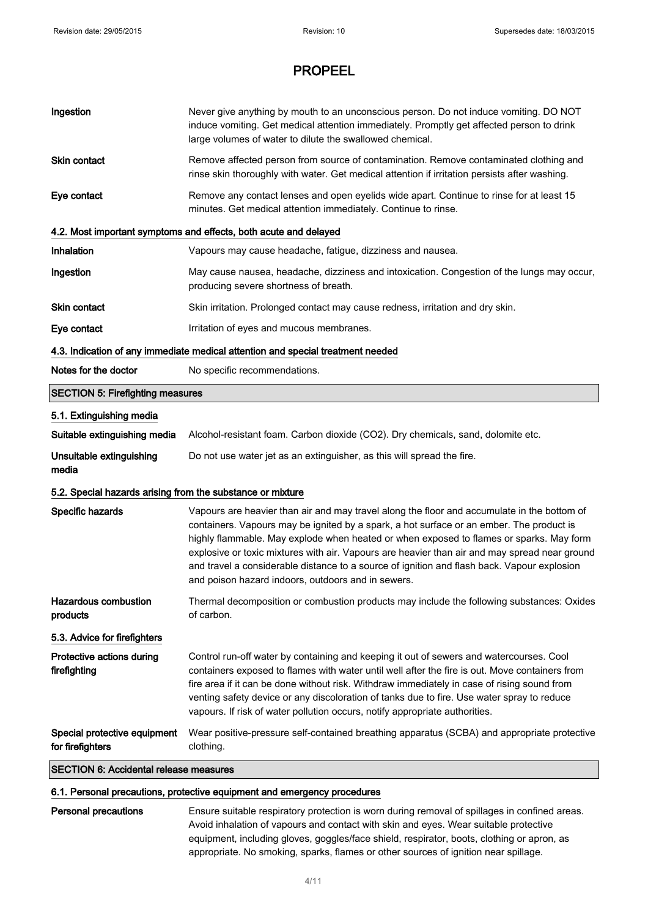| Ingestion                                                                                         | Never give anything by mouth to an unconscious person. Do not induce vomiting. DO NOT<br>induce vomiting. Get medical attention immediately. Promptly get affected person to drink<br>large volumes of water to dilute the swallowed chemical.                                                                                                                                                                                                                                                                                           |  |
|---------------------------------------------------------------------------------------------------|------------------------------------------------------------------------------------------------------------------------------------------------------------------------------------------------------------------------------------------------------------------------------------------------------------------------------------------------------------------------------------------------------------------------------------------------------------------------------------------------------------------------------------------|--|
| Skin contact                                                                                      | Remove affected person from source of contamination. Remove contaminated clothing and<br>rinse skin thoroughly with water. Get medical attention if irritation persists after washing.                                                                                                                                                                                                                                                                                                                                                   |  |
| Eye contact                                                                                       | Remove any contact lenses and open eyelids wide apart. Continue to rinse for at least 15<br>minutes. Get medical attention immediately. Continue to rinse.                                                                                                                                                                                                                                                                                                                                                                               |  |
|                                                                                                   | 4.2. Most important symptoms and effects, both acute and delayed                                                                                                                                                                                                                                                                                                                                                                                                                                                                         |  |
| Inhalation                                                                                        | Vapours may cause headache, fatigue, dizziness and nausea.                                                                                                                                                                                                                                                                                                                                                                                                                                                                               |  |
| Ingestion                                                                                         | May cause nausea, headache, dizziness and intoxication. Congestion of the lungs may occur,<br>producing severe shortness of breath.                                                                                                                                                                                                                                                                                                                                                                                                      |  |
| Skin contact                                                                                      | Skin irritation. Prolonged contact may cause redness, irritation and dry skin.                                                                                                                                                                                                                                                                                                                                                                                                                                                           |  |
| Eye contact                                                                                       | Irritation of eyes and mucous membranes.                                                                                                                                                                                                                                                                                                                                                                                                                                                                                                 |  |
| 4.3. Indication of any immediate medical attention and special treatment needed                   |                                                                                                                                                                                                                                                                                                                                                                                                                                                                                                                                          |  |
| Notes for the doctor                                                                              | No specific recommendations.                                                                                                                                                                                                                                                                                                                                                                                                                                                                                                             |  |
| <b>SECTION 5: Firefighting measures</b>                                                           |                                                                                                                                                                                                                                                                                                                                                                                                                                                                                                                                          |  |
| 5.1. Extinguishing media                                                                          |                                                                                                                                                                                                                                                                                                                                                                                                                                                                                                                                          |  |
| Suitable extinguishing media                                                                      | Alcohol-resistant foam. Carbon dioxide (CO2). Dry chemicals, sand, dolomite etc.                                                                                                                                                                                                                                                                                                                                                                                                                                                         |  |
| Unsuitable extinguishing<br>media                                                                 | Do not use water jet as an extinguisher, as this will spread the fire.                                                                                                                                                                                                                                                                                                                                                                                                                                                                   |  |
| 5.2. Special hazards arising from the substance or mixture                                        |                                                                                                                                                                                                                                                                                                                                                                                                                                                                                                                                          |  |
| Specific hazards                                                                                  | Vapours are heavier than air and may travel along the floor and accumulate in the bottom of<br>containers. Vapours may be ignited by a spark, a hot surface or an ember. The product is<br>highly flammable. May explode when heated or when exposed to flames or sparks. May form<br>explosive or toxic mixtures with air. Vapours are heavier than air and may spread near ground<br>and travel a considerable distance to a source of ignition and flash back. Vapour explosion<br>and poison hazard indoors, outdoors and in sewers. |  |
| <b>Hazardous combustion</b><br>products                                                           | Thermal decomposition or combustion products may include the following substances: Oxides<br>of carbon.                                                                                                                                                                                                                                                                                                                                                                                                                                  |  |
| 5.3. Advice for firefighters                                                                      |                                                                                                                                                                                                                                                                                                                                                                                                                                                                                                                                          |  |
| Protective actions during<br>firefighting                                                         | Control run-off water by containing and keeping it out of sewers and watercourses. Cool<br>containers exposed to flames with water until well after the fire is out. Move containers from<br>fire area if it can be done without risk. Withdraw immediately in case of rising sound from<br>venting safety device or any discoloration of tanks due to fire. Use water spray to reduce<br>vapours. If risk of water pollution occurs, notify appropriate authorities.                                                                    |  |
| Special protective equipment<br>for firefighters<br><b>SECTION 6: Accidental release measures</b> | Wear positive-pressure self-contained breathing apparatus (SCBA) and appropriate protective<br>clothing.                                                                                                                                                                                                                                                                                                                                                                                                                                 |  |

#### 6.1. Personal precautions, protective equipment and emergency procedures

Personal precautions Ensure suitable respiratory protection is worn during removal of spillages in confined areas. Avoid inhalation of vapours and contact with skin and eyes. Wear suitable protective equipment, including gloves, goggles/face shield, respirator, boots, clothing or apron, as appropriate. No smoking, sparks, flames or other sources of ignition near spillage.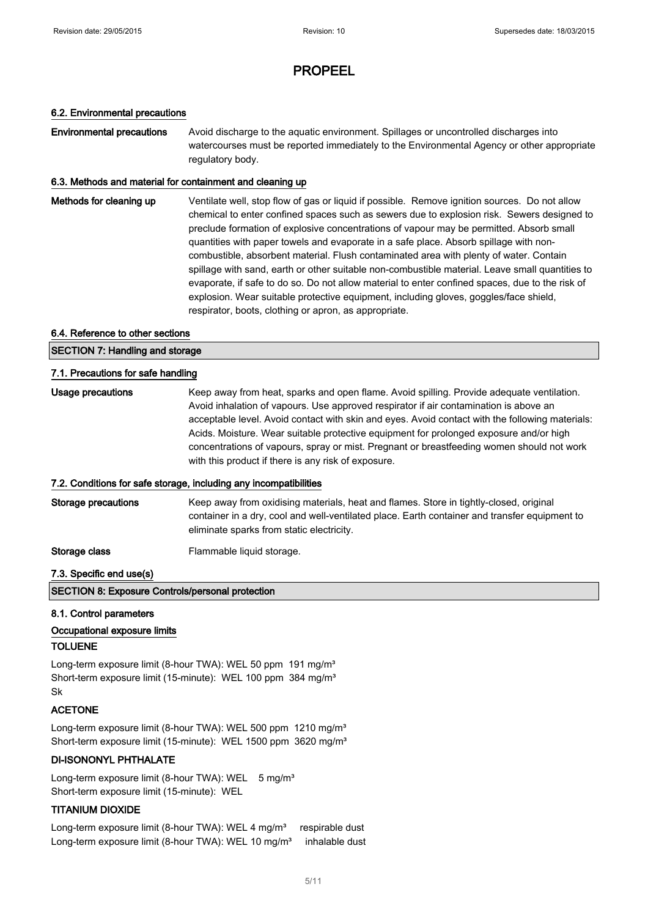#### 6.2. Environmental precautions

**Environmental precautions** Avoid discharge to the aquatic environment. Spillages or uncontrolled discharges into watercourses must be reported immediately to the Environmental Agency or other appropriate regulatory body.

#### 6.3. Methods and material for containment and cleaning up

Methods for cleaning up Ventilate well, stop flow of gas or liquid if possible. Remove ignition sources. Do not allow chemical to enter confined spaces such as sewers due to explosion risk. Sewers designed to preclude formation of explosive concentrations of vapour may be permitted. Absorb small quantities with paper towels and evaporate in a safe place. Absorb spillage with noncombustible, absorbent material. Flush contaminated area with plenty of water. Contain spillage with sand, earth or other suitable non-combustible material. Leave small quantities to evaporate, if safe to do so. Do not allow material to enter confined spaces, due to the risk of explosion. Wear suitable protective equipment, including gloves, goggles/face shield, respirator, boots, clothing or apron, as appropriate.

#### 6.4. Reference to other sections

SECTION 7: Handling and storage 7.1. Precautions for safe handling Usage precautions **Keep away from heat, sparks and open flame**. Avoid spilling. Provide adequate ventilation.

Avoid inhalation of vapours. Use approved respirator if air contamination is above an acceptable level. Avoid contact with skin and eyes. Avoid contact with the following materials: Acids. Moisture. Wear suitable protective equipment for prolonged exposure and/or high concentrations of vapours, spray or mist. Pregnant or breastfeeding women should not work with this product if there is any risk of exposure.

#### 7.2. Conditions for safe storage, including any incompatibilities

Storage precautions Keep away from oxidising materials, heat and flames. Store in tightly-closed, original container in a dry, cool and well-ventilated place. Earth container and transfer equipment to eliminate sparks from static electricity.

Storage class Flammable liquid storage.

#### 7.3. Specific end use(s)

SECTION 8: Exposure Controls/personal protection

#### 8.1. Control parameters

#### Occupational exposure limits

#### TOLUENE

Long-term exposure limit (8-hour TWA): WEL 50 ppm 191 mg/m<sup>3</sup> Short-term exposure limit (15-minute): WEL 100 ppm 384 mg/m<sup>3</sup> Sk

#### ACETONE

Long-term exposure limit (8-hour TWA): WEL 500 ppm 1210 mg/m<sup>3</sup> Short-term exposure limit (15-minute): WEL 1500 ppm 3620 mg/m<sup>3</sup>

#### DI-ISONONYL PHTHALATE

Long-term exposure limit (8-hour TWA): WEL 5 mg/m<sup>3</sup> Short-term exposure limit (15-minute): WEL

#### TITANIUM DIOXIDE

Long-term exposure limit (8-hour TWA): WEL 4 mg/m<sup>3</sup> respirable dust Long-term exposure limit (8-hour TWA): WEL 10 mg/m<sup>3</sup> inhalable dust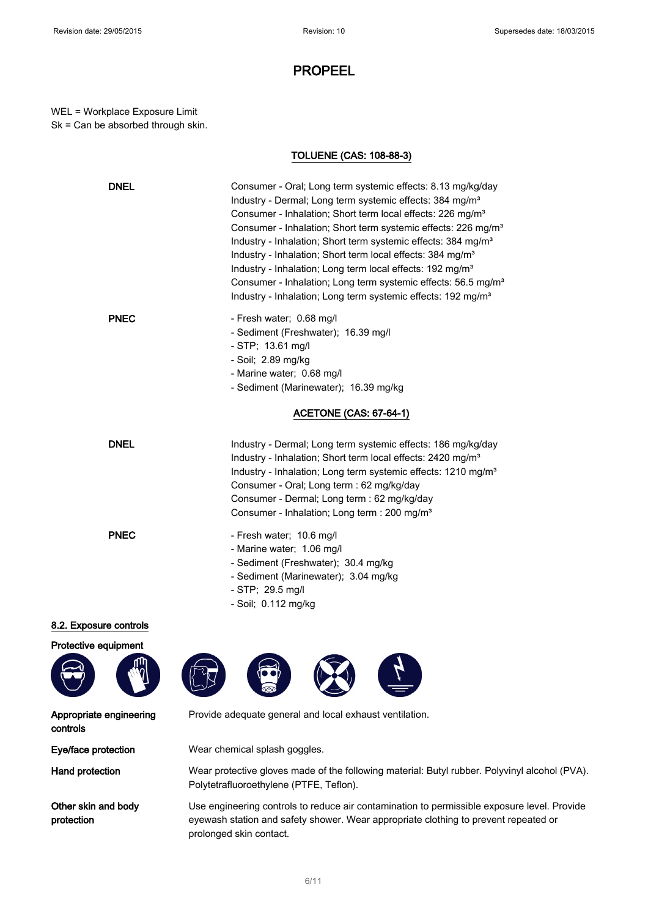WEL = Workplace Exposure Limit Sk = Can be absorbed through skin.

#### TOLUENE (CAS: 108-88-3)

| <b>DNEL</b> | Consumer - Oral; Long term systemic effects: 8.13 mg/kg/day<br>Industry - Dermal; Long term systemic effects: 384 mg/m <sup>3</sup><br>Consumer - Inhalation; Short term local effects: 226 mg/m <sup>3</sup><br>Consumer - Inhalation; Short term systemic effects: 226 mg/m <sup>3</sup><br>Industry - Inhalation; Short term systemic effects: 384 mg/m <sup>3</sup><br>Industry - Inhalation; Short term local effects: 384 mg/m <sup>3</sup><br>Industry - Inhalation; Long term local effects: 192 mg/m <sup>3</sup><br>Consumer - Inhalation; Long term systemic effects: 56.5 mg/m <sup>3</sup><br>Industry - Inhalation; Long term systemic effects: 192 mg/m <sup>3</sup> |
|-------------|-------------------------------------------------------------------------------------------------------------------------------------------------------------------------------------------------------------------------------------------------------------------------------------------------------------------------------------------------------------------------------------------------------------------------------------------------------------------------------------------------------------------------------------------------------------------------------------------------------------------------------------------------------------------------------------|
| <b>PNEC</b> | - Fresh water; 0.68 mg/l<br>- Sediment (Freshwater); 16.39 mg/l<br>$-$ STP; 13.61 mg/l<br>- Soil; 2.89 mg/kg<br>- Marine water; 0.68 mg/l<br>- Sediment (Marinewater); 16.39 mg/kg                                                                                                                                                                                                                                                                                                                                                                                                                                                                                                  |
|             | <b>ACETONE (CAS: 67-64-1)</b>                                                                                                                                                                                                                                                                                                                                                                                                                                                                                                                                                                                                                                                       |
| <b>DNEL</b> | Industry - Dermal; Long term systemic effects: 186 mg/kg/day<br>Industry - Inhalation; Short term local effects: 2420 mg/m <sup>3</sup><br>Industry - Inhalation; Long term systemic effects: 1210 mg/m <sup>3</sup><br>Consumer - Oral; Long term : 62 mg/kg/day<br>Consumer - Dermal; Long term : 62 mg/kg/day<br>Consumer - Inhalation; Long term : 200 mg/m <sup>3</sup>                                                                                                                                                                                                                                                                                                        |
| <b>PNEC</b> | - Fresh water; 10.6 mg/l<br>- Marine water; 1.06 mg/l<br>- Sediment (Freshwater); 30.4 mg/kg<br>- Sediment (Marinewater); 3.04 mg/kg<br>$-$ STP; 29.5 mg/l<br>- Soil; 0.112 mg/kg                                                                                                                                                                                                                                                                                                                                                                                                                                                                                                   |

#### 8.2. Exposure controls



Appropriate engineering controls

Other skin and body protection



Provide adequate general and local exhaust ventilation.

Eye/face protection Wear chemical splash goggles.

Hand protection Wear protective gloves made of the following material: Butyl rubber. Polyvinyl alcohol (PVA). Polytetrafluoroethylene (PTFE, Teflon).

> Use engineering controls to reduce air contamination to permissible exposure level. Provide eyewash station and safety shower. Wear appropriate clothing to prevent repeated or prolonged skin contact.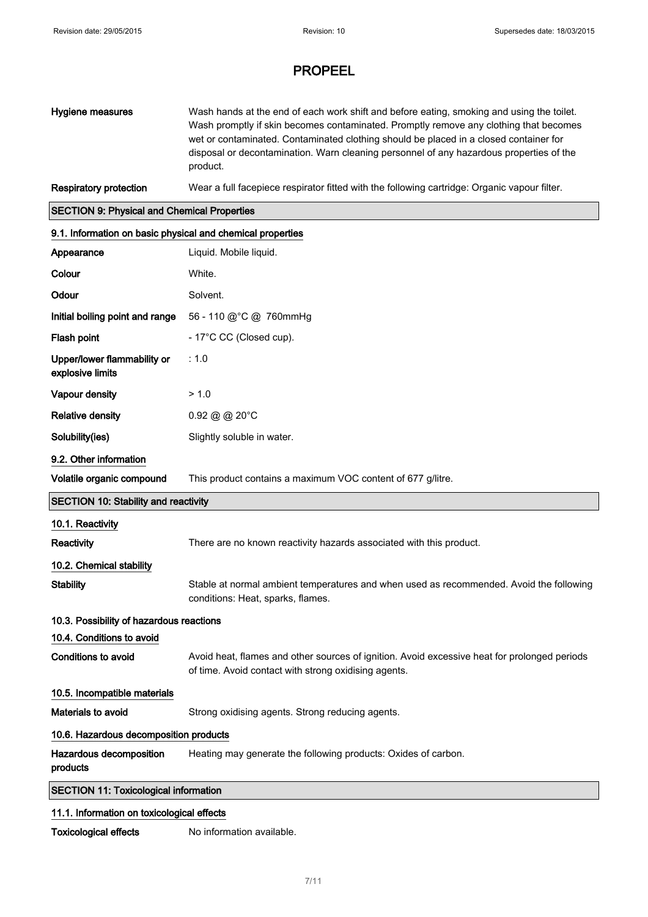| Hygiene measures                                           | Wash hands at the end of each work shift and before eating, smoking and using the toilet.<br>Wash promptly if skin becomes contaminated. Promptly remove any clothing that becomes<br>wet or contaminated. Contaminated clothing should be placed in a closed container for<br>disposal or decontamination. Warn cleaning personnel of any hazardous properties of the<br>product. |  |  |
|------------------------------------------------------------|------------------------------------------------------------------------------------------------------------------------------------------------------------------------------------------------------------------------------------------------------------------------------------------------------------------------------------------------------------------------------------|--|--|
| <b>Respiratory protection</b>                              | Wear a full facepiece respirator fitted with the following cartridge: Organic vapour filter.                                                                                                                                                                                                                                                                                       |  |  |
| <b>SECTION 9: Physical and Chemical Properties</b>         |                                                                                                                                                                                                                                                                                                                                                                                    |  |  |
| 9.1. Information on basic physical and chemical properties |                                                                                                                                                                                                                                                                                                                                                                                    |  |  |
| Appearance                                                 | Liquid. Mobile liquid.                                                                                                                                                                                                                                                                                                                                                             |  |  |
| Colour                                                     | White.                                                                                                                                                                                                                                                                                                                                                                             |  |  |
| Odour                                                      | Solvent.                                                                                                                                                                                                                                                                                                                                                                           |  |  |
| Initial boiling point and range                            | 56 - 110 @ °C @ 760mmHg                                                                                                                                                                                                                                                                                                                                                            |  |  |
| Flash point                                                | - 17°C CC (Closed cup).                                                                                                                                                                                                                                                                                                                                                            |  |  |

| Upper/lower flammability or | : 1.0 |
|-----------------------------|-------|
| explosive limits            |       |
| Vapour density              | >10   |

Relative density 0.92 @ @ 20°C

Solubility(ies) Slightly soluble in water.

| 9.2. Other information                      |                                                                     |  |
|---------------------------------------------|---------------------------------------------------------------------|--|
| Volatile organic compound                   | This product contains a maximum VOC content of 677 g/litre.         |  |
| <b>SECTION 10: Stability and reactivity</b> |                                                                     |  |
| 10.1. Reactivity                            |                                                                     |  |
| Reactivity                                  | There are no known reactivity hazards associated with this product. |  |
| 10.2. Chemical stability                    |                                                                     |  |
|                                             |                                                                     |  |

## Stability Stable at normal ambient temperatures and when used as recommended. Avoid the following conditions: Heat, sparks, flames.

## 10.3. Possibility of hazardous reactions

10.4. Conditions to avoid Conditions to avoid **Avoid heat, flames and other sources of ignition**. Avoid excessive heat for prolonged periods of time. Avoid contact with strong oxidising agents. 10.5. Incompatible materials

Materials to avoid Strong oxidising agents. Strong reducing agents.

#### 10.6. Hazardous decomposition products

Hazardous decomposition products Heating may generate the following products: Oxides of carbon.

#### SECTION 11: Toxicological information

#### 11.1. Information on toxicological effects

Toxicological effects No information available.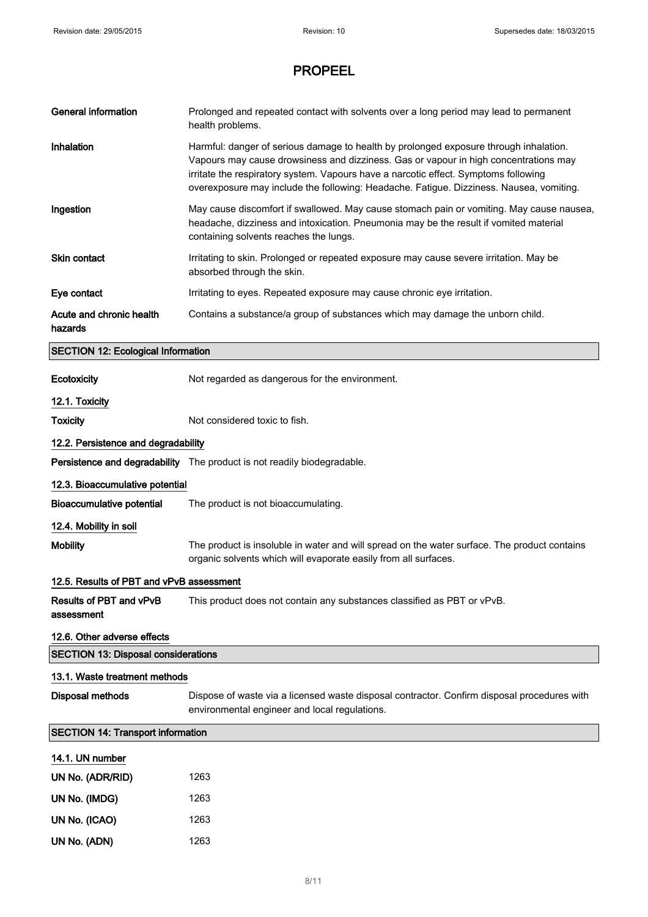| <b>General information</b>                   | Prolonged and repeated contact with solvents over a long period may lead to permanent<br>health problems.                                                                                                                                                                                                                                                       |  |
|----------------------------------------------|-----------------------------------------------------------------------------------------------------------------------------------------------------------------------------------------------------------------------------------------------------------------------------------------------------------------------------------------------------------------|--|
| Inhalation                                   | Harmful: danger of serious damage to health by prolonged exposure through inhalation.<br>Vapours may cause drowsiness and dizziness. Gas or vapour in high concentrations may<br>irritate the respiratory system. Vapours have a narcotic effect. Symptoms following<br>overexposure may include the following: Headache. Fatigue. Dizziness. Nausea, vomiting. |  |
| Ingestion                                    | May cause discomfort if swallowed. May cause stomach pain or vomiting. May cause nausea,<br>headache, dizziness and intoxication. Pneumonia may be the result if vomited material<br>containing solvents reaches the lungs.                                                                                                                                     |  |
| <b>Skin contact</b>                          | Irritating to skin. Prolonged or repeated exposure may cause severe irritation. May be<br>absorbed through the skin.                                                                                                                                                                                                                                            |  |
| Eye contact                                  | Irritating to eyes. Repeated exposure may cause chronic eye irritation.                                                                                                                                                                                                                                                                                         |  |
| Acute and chronic health<br>hazards          | Contains a substance/a group of substances which may damage the unborn child.                                                                                                                                                                                                                                                                                   |  |
| <b>SECTION 12: Ecological Information</b>    |                                                                                                                                                                                                                                                                                                                                                                 |  |
| Ecotoxicity                                  | Not regarded as dangerous for the environment.                                                                                                                                                                                                                                                                                                                  |  |
| 12.1. Toxicity                               |                                                                                                                                                                                                                                                                                                                                                                 |  |
| <b>Toxicity</b>                              | Not considered toxic to fish.                                                                                                                                                                                                                                                                                                                                   |  |
| 12.2. Persistence and degradability          |                                                                                                                                                                                                                                                                                                                                                                 |  |
|                                              | Persistence and degradability The product is not readily biodegradable.                                                                                                                                                                                                                                                                                         |  |
| 12.3. Bioaccumulative potential              |                                                                                                                                                                                                                                                                                                                                                                 |  |
| <b>Bioaccumulative potential</b>             | The product is not bioaccumulating.                                                                                                                                                                                                                                                                                                                             |  |
| 12.4. Mobility in soil                       |                                                                                                                                                                                                                                                                                                                                                                 |  |
| <b>Mobility</b>                              | The product is insoluble in water and will spread on the water surface. The product contains<br>organic solvents which will evaporate easily from all surfaces.                                                                                                                                                                                                 |  |
| 12.5. Results of PBT and vPvB assessment     |                                                                                                                                                                                                                                                                                                                                                                 |  |
| <b>Results of PBT and vPvB</b><br>assessment | This product does not contain any substances classified as PBT or vPvB.                                                                                                                                                                                                                                                                                         |  |
| 12.6. Other adverse effects                  |                                                                                                                                                                                                                                                                                                                                                                 |  |
| <b>SECTION 13: Disposal considerations</b>   |                                                                                                                                                                                                                                                                                                                                                                 |  |
| 13.1. Waste treatment methods                |                                                                                                                                                                                                                                                                                                                                                                 |  |
| <b>Disposal methods</b>                      | Dispose of waste via a licensed waste disposal contractor. Confirm disposal procedures with<br>environmental engineer and local regulations.                                                                                                                                                                                                                    |  |
| <b>SECTION 14: Transport information</b>     |                                                                                                                                                                                                                                                                                                                                                                 |  |
| 14.1. UN number                              |                                                                                                                                                                                                                                                                                                                                                                 |  |
| UN No. (ADR/RID)                             | 1263                                                                                                                                                                                                                                                                                                                                                            |  |
| UN No. (IMDG)                                | 1263                                                                                                                                                                                                                                                                                                                                                            |  |
| UN No. (ICAO)                                | 1263                                                                                                                                                                                                                                                                                                                                                            |  |
| UN No. (ADN)                                 | 1263                                                                                                                                                                                                                                                                                                                                                            |  |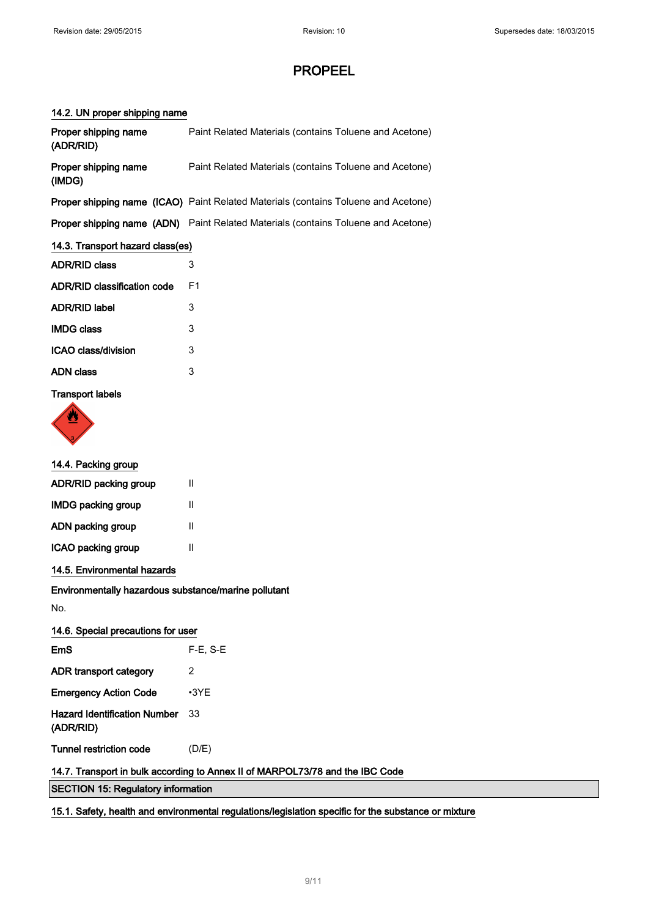### 14.2. UN proper shipping name

| Proper shipping name<br>(ADR/RID)                                             | Paint Related Materials (contains Toluene and Acetone)                             |  |
|-------------------------------------------------------------------------------|------------------------------------------------------------------------------------|--|
| Proper shipping name<br>(IMDG)                                                | Paint Related Materials (contains Toluene and Acetone)                             |  |
|                                                                               | Proper shipping name (ICAO) Paint Related Materials (contains Toluene and Acetone) |  |
|                                                                               | Proper shipping name (ADN) Paint Related Materials (contains Toluene and Acetone)  |  |
| 14.3. Transport hazard class(es)                                              |                                                                                    |  |
| <b>ADR/RID class</b>                                                          | 3                                                                                  |  |
| <b>ADR/RID classification code</b>                                            | F <sub>1</sub>                                                                     |  |
| <b>ADR/RID label</b>                                                          | 3                                                                                  |  |
| <b>IMDG class</b>                                                             | 3                                                                                  |  |
| ICAO class/division                                                           | 3                                                                                  |  |
| <b>ADN class</b>                                                              | 3                                                                                  |  |
| <b>Transport labels</b>                                                       |                                                                                    |  |
|                                                                               |                                                                                    |  |
| 14.4. Packing group                                                           |                                                                                    |  |
| ADR/RID packing group                                                         | $\mathbf{H}$                                                                       |  |
| <b>IMDG packing group</b>                                                     | $\mathbf{H}$                                                                       |  |
| ADN packing group                                                             | Ш                                                                                  |  |
| ICAO packing group                                                            | Ш                                                                                  |  |
| 14.5. Environmental hazards                                                   |                                                                                    |  |
| Environmentally hazardous substance/marine pollutant                          |                                                                                    |  |
| No.                                                                           |                                                                                    |  |
| 14.6. Special precautions for user                                            |                                                                                    |  |
| EmS                                                                           | $F-E$ , S-E                                                                        |  |
| ADR transport category                                                        | 2                                                                                  |  |
| <b>Emergency Action Code</b>                                                  | $\cdot$ 3YE                                                                        |  |
| <b>Hazard Identification Number</b><br>(ADR/RID)                              | 33                                                                                 |  |
| <b>Tunnel restriction code</b>                                                | (D/E)                                                                              |  |
| 14.7. Transport in bulk according to Annex II of MARPOL73/78 and the IBC Code |                                                                                    |  |
| <b>SECTION 15: Regulatory information</b>                                     |                                                                                    |  |

15.1. Safety, health and environmental regulations/legislation specific for the substance or mixture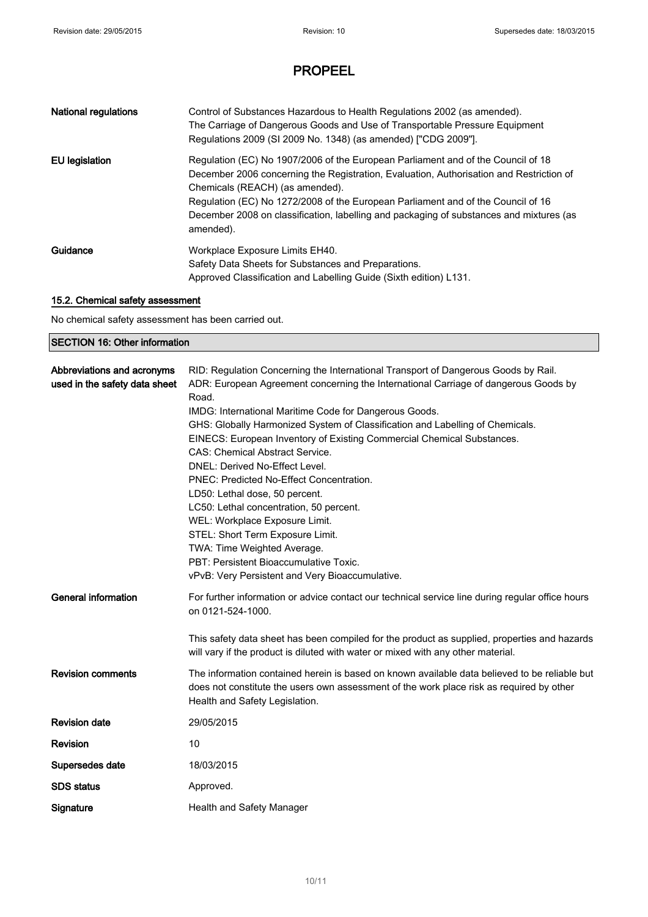| <b>National regulations</b> | Control of Substances Hazardous to Health Regulations 2002 (as amended).<br>The Carriage of Dangerous Goods and Use of Transportable Pressure Equipment<br>Regulations 2009 (SI 2009 No. 1348) (as amended) ["CDG 2009"].                                                                                                                                                                                  |
|-----------------------------|------------------------------------------------------------------------------------------------------------------------------------------------------------------------------------------------------------------------------------------------------------------------------------------------------------------------------------------------------------------------------------------------------------|
| EU legislation              | Regulation (EC) No 1907/2006 of the European Parliament and of the Council of 18<br>December 2006 concerning the Registration, Evaluation, Authorisation and Restriction of<br>Chemicals (REACH) (as amended).<br>Regulation (EC) No 1272/2008 of the European Parliament and of the Council of 16<br>December 2008 on classification, labelling and packaging of substances and mixtures (as<br>amended). |
| Guidance                    | Workplace Exposure Limits EH40.<br>Safety Data Sheets for Substances and Preparations.<br>Approved Classification and Labelling Guide (Sixth edition) L131.                                                                                                                                                                                                                                                |

### 15.2. Chemical safety assessment

No chemical safety assessment has been carried out.

## SECTION 16: Other information

| Abbreviations and acronyms<br>used in the safety data sheet | RID: Regulation Concerning the International Transport of Dangerous Goods by Rail.<br>ADR: European Agreement concerning the International Carriage of dangerous Goods by                                                   |
|-------------------------------------------------------------|-----------------------------------------------------------------------------------------------------------------------------------------------------------------------------------------------------------------------------|
|                                                             | Road.                                                                                                                                                                                                                       |
|                                                             | IMDG: International Maritime Code for Dangerous Goods.                                                                                                                                                                      |
|                                                             | GHS: Globally Harmonized System of Classification and Labelling of Chemicals.                                                                                                                                               |
|                                                             | EINECS: European Inventory of Existing Commercial Chemical Substances.                                                                                                                                                      |
|                                                             | <b>CAS: Chemical Abstract Service.</b>                                                                                                                                                                                      |
|                                                             | DNEL: Derived No-Effect Level.                                                                                                                                                                                              |
|                                                             | PNEC: Predicted No-Effect Concentration.                                                                                                                                                                                    |
|                                                             | LD50: Lethal dose, 50 percent.                                                                                                                                                                                              |
|                                                             | LC50: Lethal concentration, 50 percent.                                                                                                                                                                                     |
|                                                             | WEL: Workplace Exposure Limit.                                                                                                                                                                                              |
|                                                             | STEL: Short Term Exposure Limit.                                                                                                                                                                                            |
|                                                             | TWA: Time Weighted Average.                                                                                                                                                                                                 |
|                                                             | PBT: Persistent Bioaccumulative Toxic.                                                                                                                                                                                      |
|                                                             | vPvB: Very Persistent and Very Bioaccumulative.                                                                                                                                                                             |
| <b>General information</b>                                  | For further information or advice contact our technical service line during regular office hours<br>on 0121-524-1000.                                                                                                       |
|                                                             | This safety data sheet has been compiled for the product as supplied, properties and hazards<br>will vary if the product is diluted with water or mixed with any other material.                                            |
| <b>Revision comments</b>                                    | The information contained herein is based on known available data believed to be reliable but<br>does not constitute the users own assessment of the work place risk as required by other<br>Health and Safety Legislation. |
| <b>Revision date</b>                                        | 29/05/2015                                                                                                                                                                                                                  |
| Revision                                                    | 10                                                                                                                                                                                                                          |
| Supersedes date                                             | 18/03/2015                                                                                                                                                                                                                  |
| <b>SDS</b> status                                           | Approved.                                                                                                                                                                                                                   |
| Signature                                                   | Health and Safety Manager                                                                                                                                                                                                   |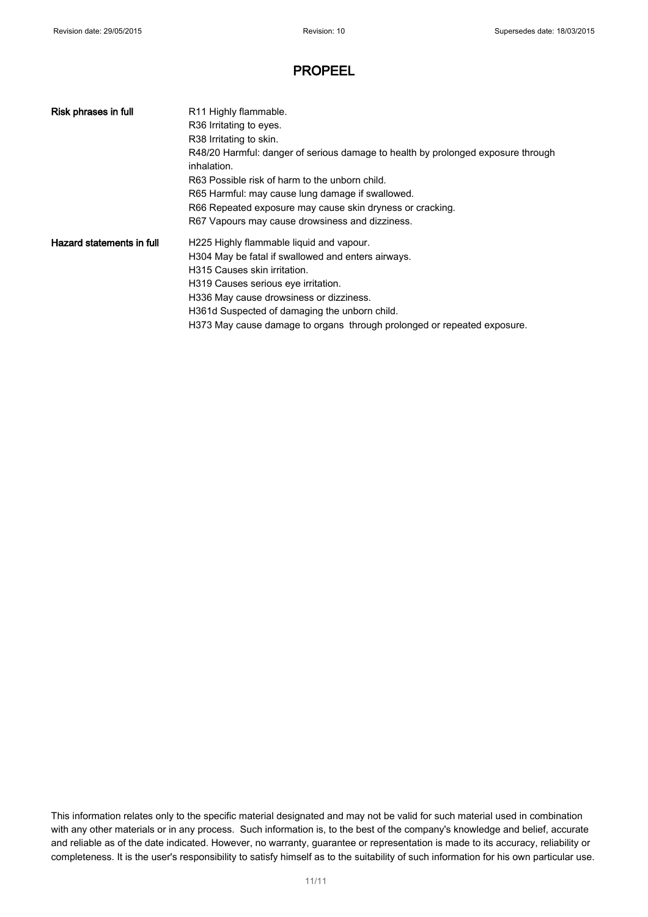| Risk phrases in full      | R <sub>11</sub> Highly flammable.                                                |  |
|---------------------------|----------------------------------------------------------------------------------|--|
|                           | R36 Irritating to eyes.                                                          |  |
|                           | R38 Irritating to skin.                                                          |  |
|                           | R48/20 Harmful: danger of serious damage to health by prolonged exposure through |  |
|                           | inhalation.                                                                      |  |
|                           | R63 Possible risk of harm to the unborn child.                                   |  |
|                           | R65 Harmful: may cause lung damage if swallowed.                                 |  |
|                           | R66 Repeated exposure may cause skin dryness or cracking.                        |  |
|                           | R67 Vapours may cause drowsiness and dizziness.                                  |  |
| Hazard statements in full | H225 Highly flammable liquid and vapour.                                         |  |
|                           | H304 May be fatal if swallowed and enters airways.                               |  |
|                           | H315 Causes skin irritation.                                                     |  |
|                           | H319 Causes serious eye irritation.                                              |  |
|                           | H336 May cause drowsiness or dizziness.                                          |  |
|                           | H361d Suspected of damaging the unborn child.                                    |  |
|                           | H373 May cause damage to organs through prolonged or repeated exposure.          |  |

This information relates only to the specific material designated and may not be valid for such material used in combination with any other materials or in any process. Such information is, to the best of the company's knowledge and belief, accurate and reliable as of the date indicated. However, no warranty, guarantee or representation is made to its accuracy, reliability or completeness. It is the user's responsibility to satisfy himself as to the suitability of such information for his own particular use.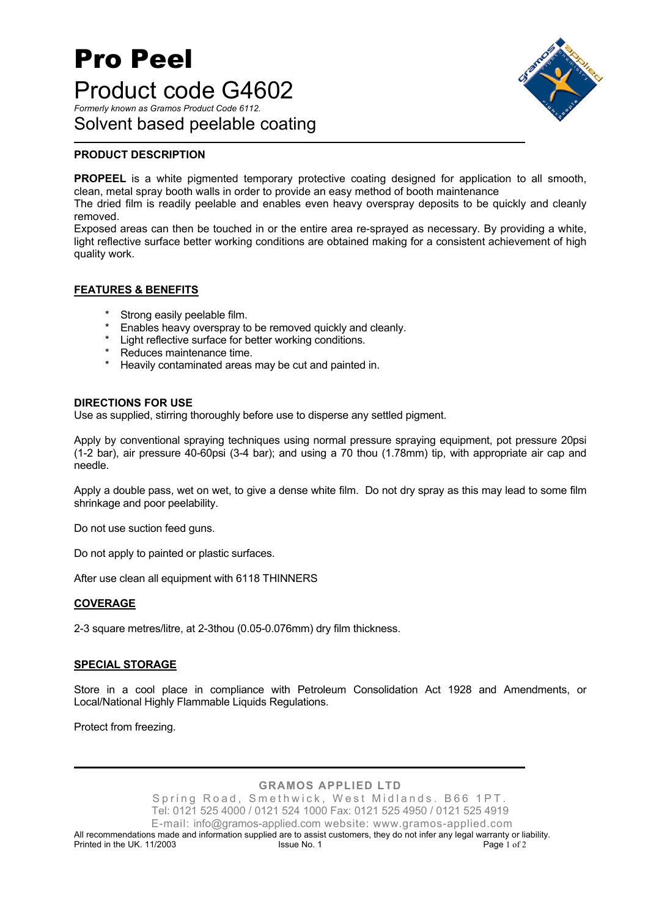## Pro Peel Product code G4602 *Formerly known as Gramos Product Code 6112.*  Solvent based peelable coating



#### **PRODUCT DESCRIPTION**

**PROPEEL** is a white pigmented temporary protective coating designed for application to all smooth, clean, metal spray booth walls in order to provide an easy method of booth maintenance

The dried film is readily peelable and enables even heavy overspray deposits to be quickly and cleanly removed.

Exposed areas can then be touched in or the entire area re-sprayed as necessary. By providing a white, light reflective surface better working conditions are obtained making for a consistent achievement of high quality work.

#### **FEATURES & BENEFITS**

- Strong easily peelable film.
- Enables heavy overspray to be removed quickly and cleanly.
- \* Light reflective surface for better working conditions.
- \* Reduces maintenance time.
- Heavily contaminated areas may be cut and painted in.

#### **DIRECTIONS FOR USE**

Use as supplied, stirring thoroughly before use to disperse any settled pigment.

Apply by conventional spraying techniques using normal pressure spraying equipment, pot pressure 20psi (1-2 bar), air pressure 40-60psi (3-4 bar); and using a 70 thou (1.78mm) tip, with appropriate air cap and needle.

Apply a double pass, wet on wet, to give a dense white film. Do not dry spray as this may lead to some film shrinkage and poor peelability.

Do not use suction feed guns.

Do not apply to painted or plastic surfaces.

After use clean all equipment with 6118 THINNERS

#### **COVERAGE**

2-3 square metres/litre, at 2-3thou (0.05-0.076mm) dry film thickness.

#### **SPECIAL STORAGE**

Store in a cool place in compliance with Petroleum Consolidation Act 1928 and Amendments, or Local/National Highly Flammable Liquids Regulations.

Protect from freezing.

**GRAMOS APPLIED LTD**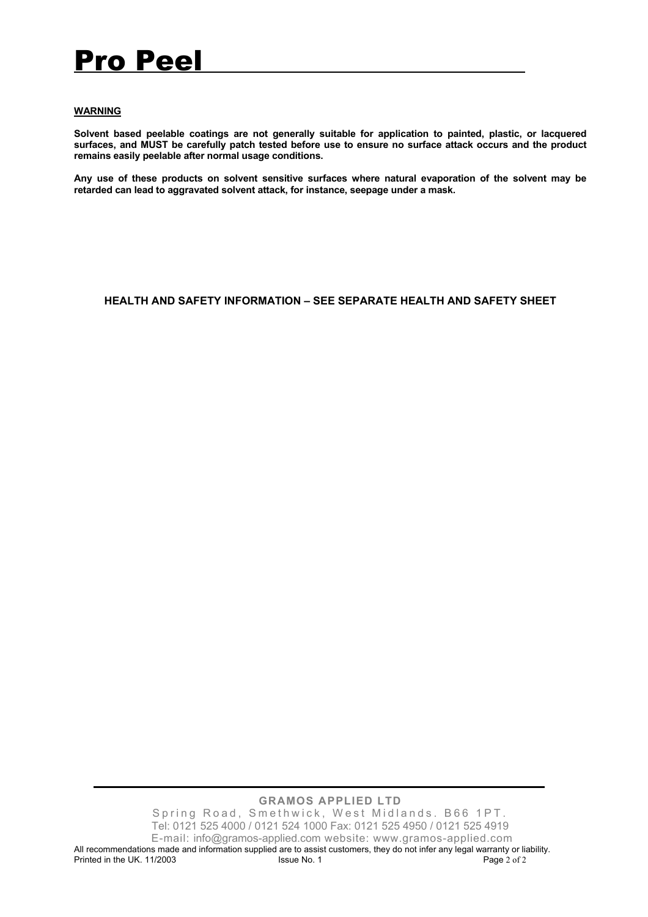# Pro Peel

#### **WARNING**

**Solvent based peelable coatings are not generally suitable for application to painted, plastic, or lacquered surfaces, and MUST be carefully patch tested before use to ensure no surface attack occurs and the product remains easily peelable after normal usage conditions.** 

**Any use of these products on solvent sensitive surfaces where natural evaporation of the solvent may be retarded can lead to aggravated solvent attack, for instance, seepage under a mask.** 

#### **HEALTH AND SAFETY INFORMATION – SEE SEPARATE HEALTH AND SAFETY SHEET**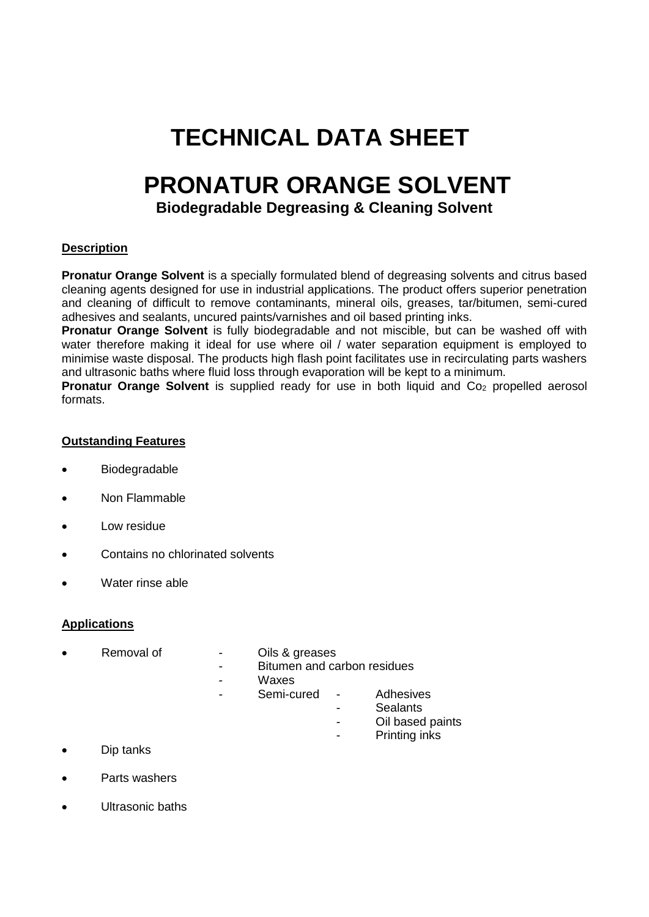## **TECHNICAL DATA SHEET**

## **PRONATUR ORANGE SOLVENT**

## **Biodegradable Degreasing & Cleaning Solvent**

## **Description**

**Pronatur Orange Solvent** is a specially formulated blend of degreasing solvents and citrus based cleaning agents designed for use in industrial applications. The product offers superior penetration and cleaning of difficult to remove contaminants, mineral oils, greases, tar/bitumen, semi-cured adhesives and sealants, uncured paints/varnishes and oil based printing inks.

**Pronatur Orange Solvent** is fully biodegradable and not miscible, but can be washed off with water therefore making it ideal for use where oil / water separation equipment is employed to minimise waste disposal. The products high flash point facilitates use in recirculating parts washers and ultrasonic baths where fluid loss through evaporation will be kept to a minimum.

**Pronatur Orange Solvent** is supplied ready for use in both liquid and Co<sub>2</sub> propelled aerosol formats.

## **Outstanding Features**

- Biodegradable
- Non Flammable
- Low residue
- Contains no chlorinated solvents
- Water rinse able

## **Applications**

- - Removal of The Cils & greases
		- Bitumen and carbon residues
		- Waxes
		- Semi-cured Adhesives
			-
			- Sealants
			- Oil based paints
			- Printing inks
- Dip tanks
- Parts washers
- Ultrasonic baths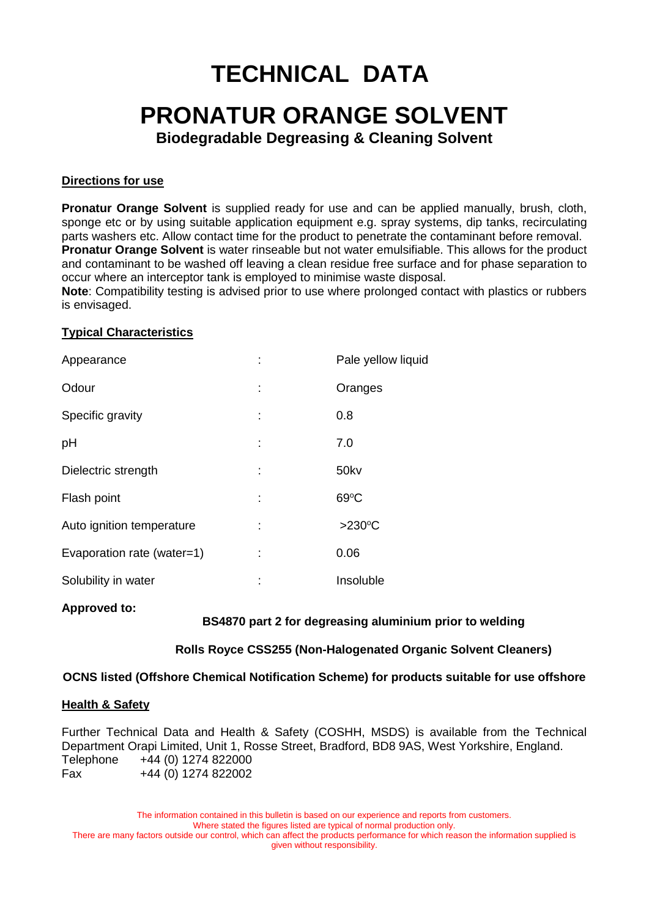## **TECHNICAL DATA**

## **PRONATUR ORANGE SOLVENT**

**Biodegradable Degreasing & Cleaning Solvent**

## **Directions for use**

**Pronatur Orange Solvent** is supplied ready for use and can be applied manually, brush, cloth, sponge etc or by using suitable application equipment e.g. spray systems, dip tanks, recirculating parts washers etc. Allow contact time for the product to penetrate the contaminant before removal. **Pronatur Orange Solvent** is water rinseable but not water emulsifiable. This allows for the product and contaminant to be washed off leaving a clean residue free surface and for phase separation to occur where an interceptor tank is employed to minimise waste disposal.

**Note**: Compatibility testing is advised prior to use where prolonged contact with plastics or rubbers is envisaged.

## **Typical Characteristics**

| Appearance                 |    | Pale yellow liquid |
|----------------------------|----|--------------------|
| Odour                      | I  | Oranges            |
| Specific gravity           |    | 0.8                |
| pH                         |    | 7.0                |
| Dielectric strength        | ÷  | 50kv               |
| Flash point                |    | $69^{\circ}$ C     |
| Auto ignition temperature  |    | $>230^{\circ}$ C   |
| Evaporation rate (water=1) |    | 0.06               |
| Solubility in water        | ×, | Insoluble          |

#### **Approved to:**

## **BS4870 part 2 for degreasing aluminium prior to welding**

## **Rolls Royce CSS255 (Non-Halogenated Organic Solvent Cleaners)**

## **OCNS listed (Offshore Chemical Notification Scheme) for products suitable for use offshore**

#### **Health & Safety**

Further Technical Data and Health & Safety (COSHH, MSDS) is available from the Technical Department Orapi Limited, Unit 1, Rosse Street, Bradford, BD8 9AS, West Yorkshire, England. Telephone +44 (0) 1274 822000 Fax +44 (0) 1274 822002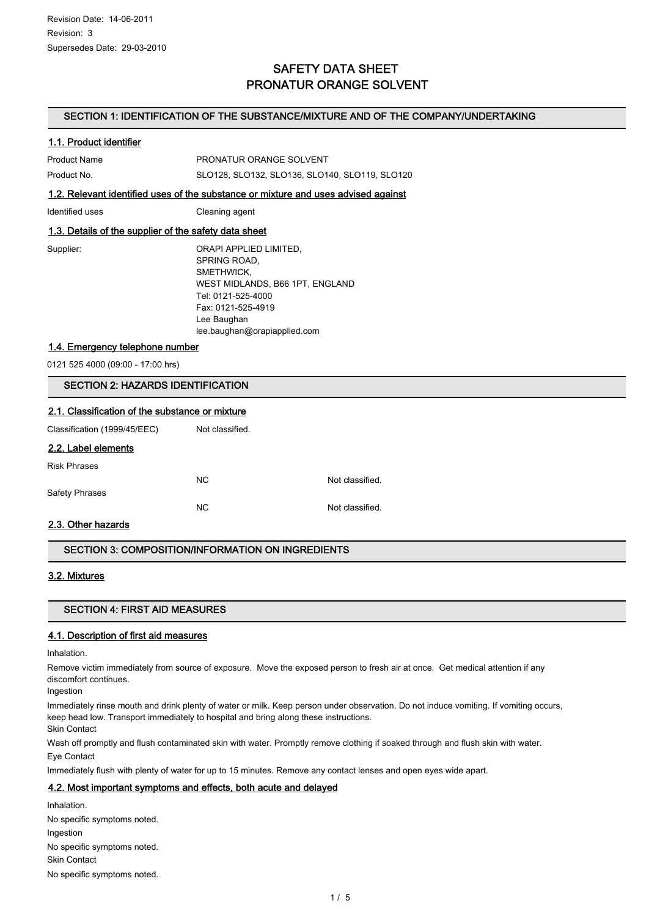## SAFETY DATA SHEET PRONATUR ORANGE SOLVENT

#### SECTION 1: IDENTIFICATION OF THE SUBSTANCE/MIXTURE AND OF THE COMPANY/UNDERTAKING

#### 1.1. Product identifier

| 1.2. Relevant identified uses of the substance or mixture and uses advised against |                                                |  |
|------------------------------------------------------------------------------------|------------------------------------------------|--|
| Product No.                                                                        | SLO128, SLO132, SLO136, SLO140, SLO119, SLO120 |  |
| Product Name                                                                       | PRONATUR ORANGE SOLVENT                        |  |

Identified uses Cleaning agent

#### 1.3. Details of the supplier of the safety data sheet

| Supplier: | ORAPI APPLIED LIMITED,          |
|-----------|---------------------------------|
|           | SPRING ROAD,                    |
|           | SMETHWICK,                      |
|           | WEST MIDLANDS, B66 1PT, ENGLAND |
|           | Tel: 0121-525-4000              |
|           | Fax: 0121-525-4919              |
|           | Lee Baughan                     |
|           | lee.baughan@orapiapplied.com    |
|           |                                 |

1.4. Emergency telephone number

0121 525 4000 (09:00 - 17:00 hrs)

#### SECTION 2: HAZARDS IDENTIFICATION

#### 2.1. Classification of the substance or mixture

Classification (1999/45/EEC) Not classified.

#### 2.2. Label elements

| <b>Risk Phrases</b> |     |                 |
|---------------------|-----|-----------------|
|                     | NC. | Not classified. |
| Safety Phrases      |     |                 |
|                     | NC. | Not classified. |

#### 2.3. Other hazards

#### SECTION 3: COMPOSITION/INFORMATION ON INGREDIENTS

#### 3.2. Mixtures

#### SECTION 4: FIRST AID MEASURES

#### 4.1. Description of first aid measures

Inhalation.

Remove victim immediately from source of exposure. Move the exposed person to fresh air at once. Get medical attention if any discomfort continues.

Ingestion

Immediately rinse mouth and drink plenty of water or milk. Keep person under observation. Do not induce vomiting. If vomiting occurs, keep head low. Transport immediately to hospital and bring along these instructions.

Skin Contact

Wash off promptly and flush contaminated skin with water. Promptly remove clothing if soaked through and flush skin with water. Eye Contact

Immediately flush with plenty of water for up to 15 minutes. Remove any contact lenses and open eyes wide apart.

#### 4.2. Most important symptoms and effects, both acute and delayed

**Inhalation** No specific symptoms noted. Ingestion No specific symptoms noted. Skin Contact No specific symptoms noted.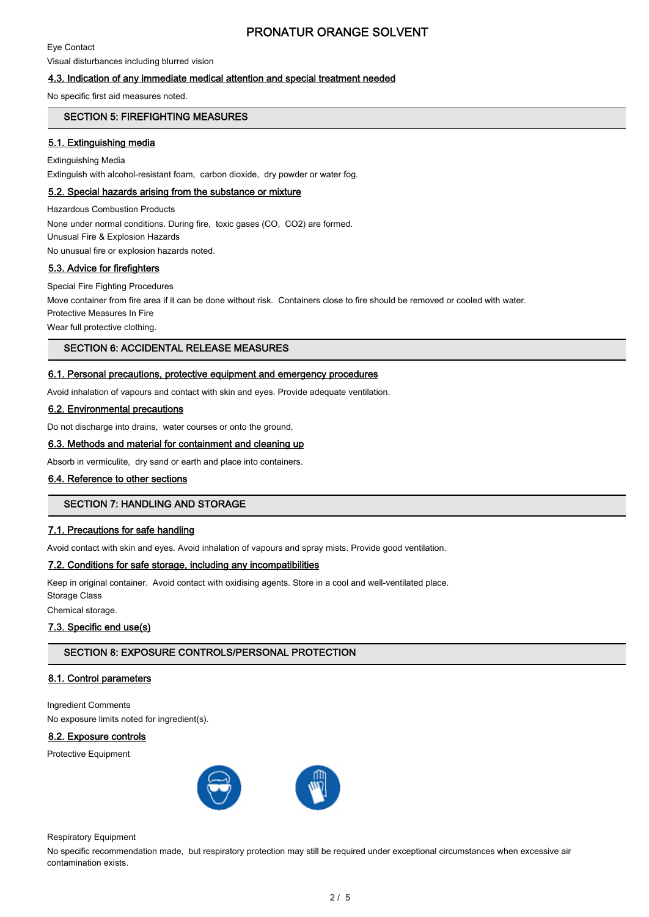Eye Contact

Visual disturbances including blurred vision

#### 4.3. Indication of any immediate medical attention and special treatment needed

No specific first aid measures noted.

#### SECTION 5: FIREFIGHTING MEASURES

#### 5.1. Extinguishing media

Extinguishing Media Extinguish with alcohol-resistant foam, carbon dioxide, dry powder or water fog.

#### 5.2. Special hazards arising from the substance or mixture

Hazardous Combustion Products None under normal conditions. During fire, toxic gases (CO, CO2) are formed. Unusual Fire & Explosion Hazards

No unusual fire or explosion hazards noted.

#### 5.3. Advice for firefighters

Special Fire Fighting Procedures Move container from fire area if it can be done without risk. Containers close to fire should be removed or cooled with water.

Protective Measures In Fire

Wear full protective clothing.

#### SECTION 6: ACCIDENTAL RELEASE MEASURES

#### 6.1. Personal precautions, protective equipment and emergency procedures

Avoid inhalation of vapours and contact with skin and eyes. Provide adequate ventilation.

#### 6.2. Environmental precautions

Do not discharge into drains, water courses or onto the ground.

#### 6.3. Methods and material for containment and cleaning up

Absorb in vermiculite, dry sand or earth and place into containers.

#### 6.4. Reference to other sections

#### SECTION 7: HANDLING AND STORAGE

#### 7.1. Precautions for safe handling

Avoid contact with skin and eyes. Avoid inhalation of vapours and spray mists. Provide good ventilation.

#### 7.2. Conditions for safe storage, including any incompatibilities

Keep in original container. Avoid contact with oxidising agents. Store in a cool and well-ventilated place. Storage Class

Chemical storage.

#### 7.3. Specific end use(s)

#### SECTION 8: EXPOSURE CONTROLS/PERSONAL PROTECTION

#### 8.1. Control parameters

Ingredient Comments No exposure limits noted for ingredient(s).

#### 8.2. Exposure controls

Protective Equipment



Respiratory Equipment

No specific recommendation made, but respiratory protection may still be required under exceptional circumstances when excessive air contamination exists.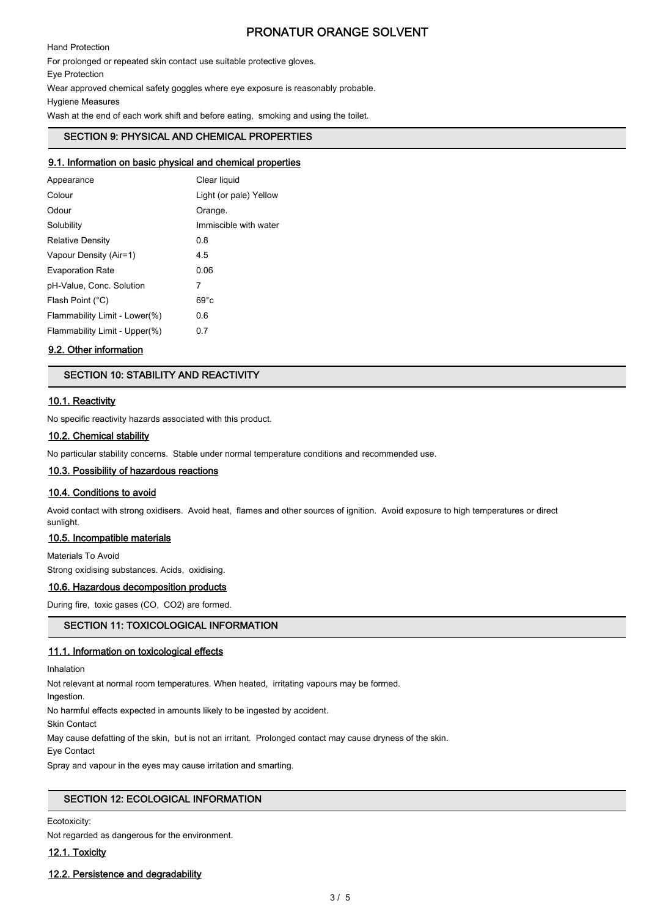Hand Protection

For prolonged or repeated skin contact use suitable protective gloves.

Eye Protection

Wear approved chemical safety goggles where eye exposure is reasonably probable.

Hygiene Measures

Wash at the end of each work shift and before eating, smoking and using the toilet.

## SECTION 9: PHYSICAL AND CHEMICAL PROPERTIES

#### 9.1. Information on basic physical and chemical properties

| Appearance                    | Clear liquid           |
|-------------------------------|------------------------|
| Colour                        | Light (or pale) Yellow |
| Odour                         | Orange.                |
| Solubility                    | Immiscible with water  |
| <b>Relative Density</b>       | 0.8                    |
| Vapour Density (Air=1)        | 4.5                    |
| <b>Evaporation Rate</b>       | 0.06                   |
| pH-Value, Conc. Solution      | 7                      |
| Flash Point (°C)              | $69^{\circ}c$          |
| Flammability Limit - Lower(%) | 0.6                    |
| Flammability Limit - Upper(%) | 0.7                    |
|                               |                        |

#### 9.2. Other information

#### SECTION 10: STABILITY AND REACTIVITY

#### 10.1. Reactivity

No specific reactivity hazards associated with this product.

#### 10.2. Chemical stability

No particular stability concerns. Stable under normal temperature conditions and recommended use.

#### 10.3. Possibility of hazardous reactions

#### 10.4. Conditions to avoid

Avoid contact with strong oxidisers. Avoid heat, flames and other sources of ignition. Avoid exposure to high temperatures or direct sunlight.

#### 10.5. Incompatible materials

Materials To Avoid

Strong oxidising substances. Acids, oxidising.

#### 10.6. Hazardous decomposition products

During fire, toxic gases (CO, CO2) are formed.

#### SECTION 11: TOXICOLOGICAL INFORMATION

#### 11.1. Information on toxicological effects

Inhalation

Not relevant at normal room temperatures. When heated, irritating vapours may be formed.

Ingestion.

No harmful effects expected in amounts likely to be ingested by accident.

Skin Contact

May cause defatting of the skin, but is not an irritant. Prolonged contact may cause dryness of the skin.

Eye Contact

Spray and vapour in the eyes may cause irritation and smarting.

#### SECTION 12: ECOLOGICAL INFORMATION

Ecotoxicity:

Not regarded as dangerous for the environment.

12.1. Toxicity

#### 12.2. Persistence and degradability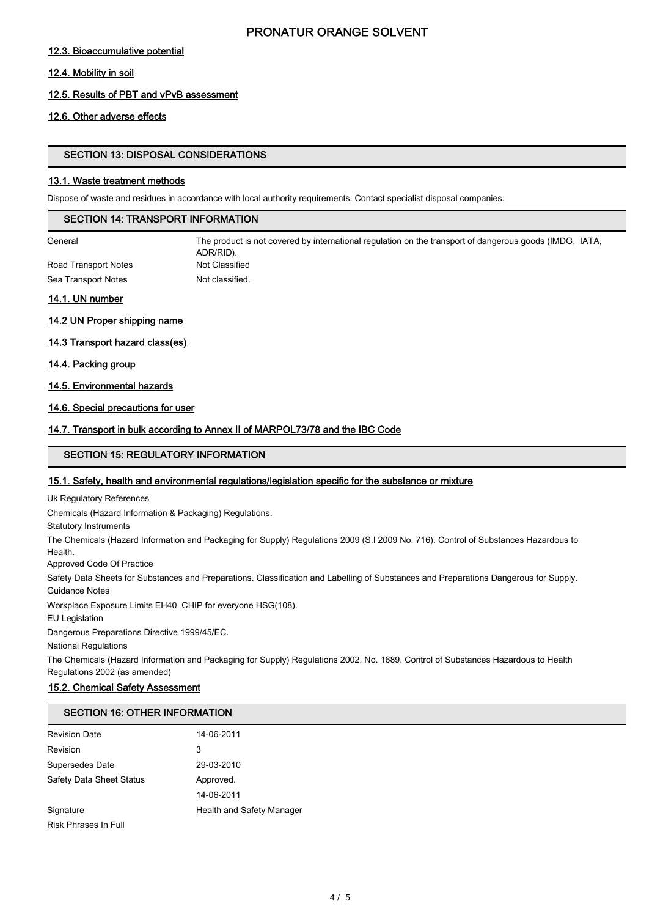#### 12.3. Bioaccumulative potential

#### 12.4. Mobility in soil

#### 12.5. Results of PBT and vPvB assessment

#### 12.6. Other adverse effects

#### SECTION 13: DISPOSAL CONSIDERATIONS

#### 13.1. Waste treatment methods

Dispose of waste and residues in accordance with local authority requirements. Contact specialist disposal companies.

#### SECTION 14: TRANSPORT INFORMATION

General The product is not covered by international regulation on the transport of dangerous goods (IMDG, IATA, ADR/RID). Road Transport Notes Not Classified Sea Transport Notes Not classified.

#### 14.1. UN number

#### 14.2 UN Proper shipping name

14.3 Transport hazard class(es)

#### 14.4. Packing group

14.5. Environmental hazards

#### 14.6. Special precautions for user

#### 14.7. Transport in bulk according to Annex II of MARPOL73/78 and the IBC Code

#### SECTION 15: REGULATORY INFORMATION

#### 15.1. Safety, health and environmental regulations/legislation specific for the substance or mixture

Uk Regulatory References

Chemicals (Hazard Information & Packaging) Regulations.

Statutory Instruments

The Chemicals (Hazard Information and Packaging for Supply) Regulations 2009 (S.I 2009 No. 716). Control of Substances Hazardous to Health.

Approved Code Of Practice

Safety Data Sheets for Substances and Preparations. Classification and Labelling of Substances and Preparations Dangerous for Supply. Guidance Notes

Workplace Exposure Limits EH40. CHIP for everyone HSG(108).

EU Legislation

Dangerous Preparations Directive 1999/45/EC.

National Regulations

The Chemicals (Hazard Information and Packaging for Supply) Regulations 2002. No. 1689. Control of Substances Hazardous to Health Regulations 2002 (as amended)

#### 15.2. Chemical Safety Assessment

## SECTION 16: OTHER INFORMATION

| <b>Revision Date</b>            | 14-06-2011                |
|---------------------------------|---------------------------|
| Revision                        | 3                         |
| Supersedes Date                 | 29-03-2010                |
| <b>Safety Data Sheet Status</b> | Approved.                 |
|                                 | 14-06-2011                |
| Signature                       | Health and Safety Manager |
| <b>Risk Phrases In Full</b>     |                           |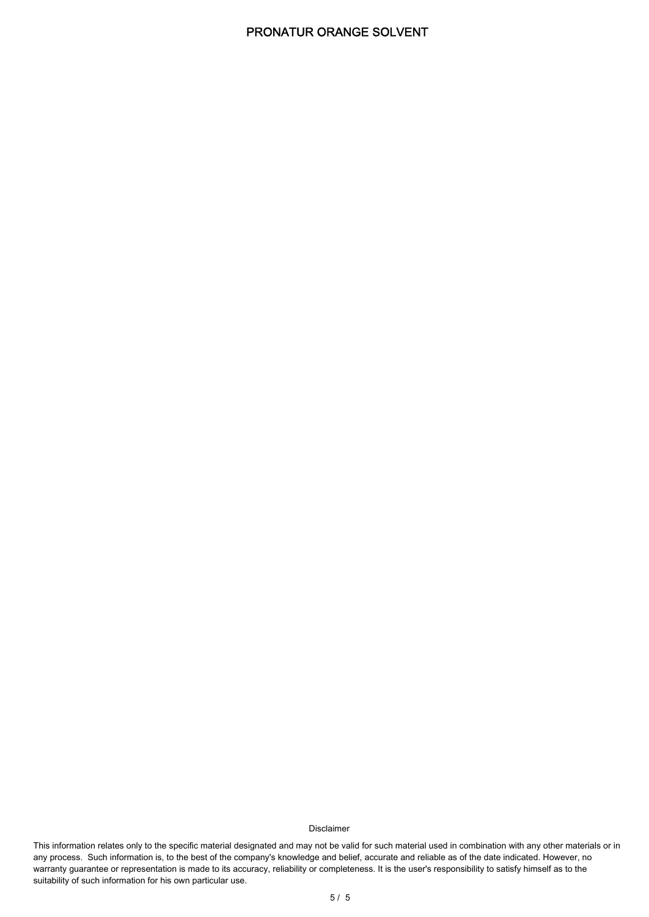#### Disclaimer

This information relates only to the specific material designated and may not be valid for such material used in combination with any other materials or in any process. Such information is, to the best of the company's knowledge and belief, accurate and reliable as of the date indicated. However, no warranty guarantee or representation is made to its accuracy, reliability or completeness. It is the user's responsibility to satisfy himself as to the suitability of such information for his own particular use.